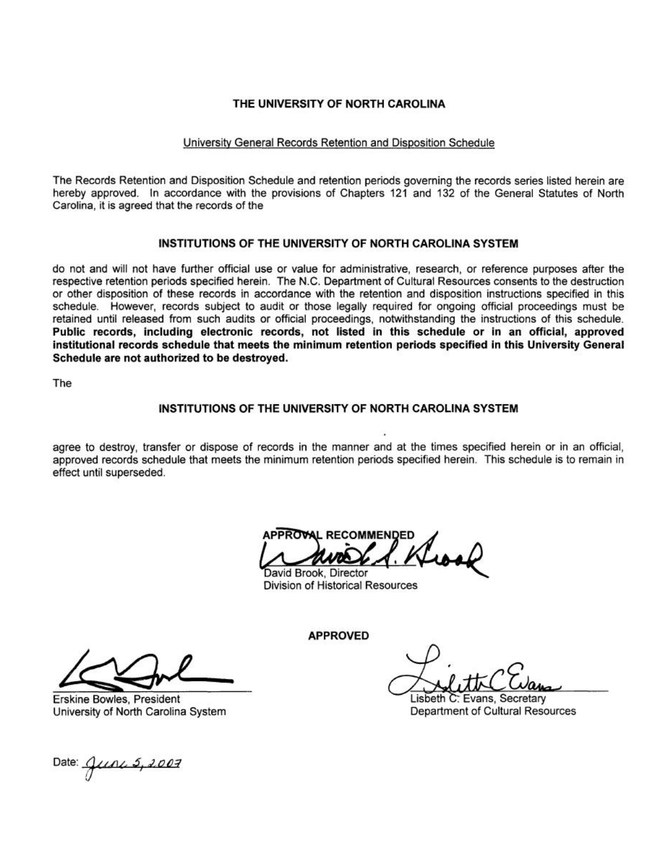### THE UNIVERSITY OF NORTH CAROLINA

### University General Records Retention and Disposition Schedule

The Records Retention and Disposition Schedule and retention periods governing the records series listed herein are hereby approved. In accordance with the provisions of Chapters 121 and 132 of the General Statutes of North Carolina, it is agreed that the records of the

### INSTITUTIONS OF THE UNIVERSITY OF NORTH CAROLINA SYSTEM

do not and will not have further official use or value for administrative, research, or reference purposes after the respective retention periods specified herein. The N.C. Department of Cultural Resources consents to the destruction or other disposition of these records in accordance with the retention and disposition instructions specified in this schedule. However, records subject to audit or those legally required for ongoing official proceedings must be retained until released from such audits or official proceedings, notwithstanding the instructions of this schedule. Public records, including electronic records, not listed in this schedule or in an official, approved institutional records schedule that meets the minimum retention periods specified in this University General Schedule are not authorized to be destroyed.

The

### INSTITUTIONS OF THE UNIVERSITY OF NORTH CAROLINA SYSTEM

agree to destroy, transfer or dispose of records in the manner and at the times specified herein or in an official, approved records schedule that meets the minimum retention periods specified herein. This schedule is to remain in effect until superseded.

**APPROVAL RECOMMENDED** 

David Brook, Director Division of Historical Resources

**APPROVED** 

Lisbeth C: Evans, Secretary Department of Cultural Resources

Erskine Bowles, President University of North Carolina System

Date: *June 5, 2007*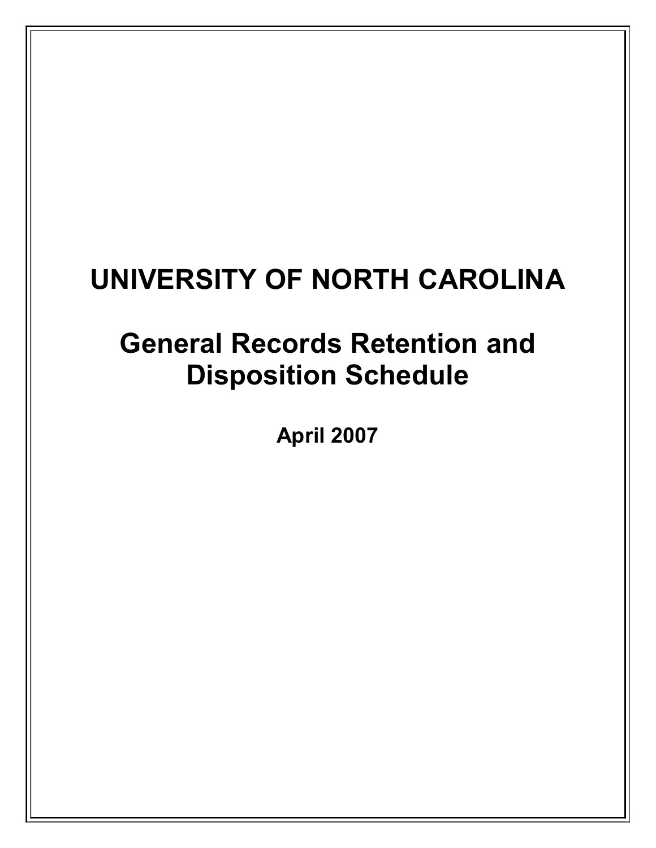# **UNIVERSITY OF NORTH CAROLINA**

# **General Records Retention and Disposition Schedule**

**April 2007**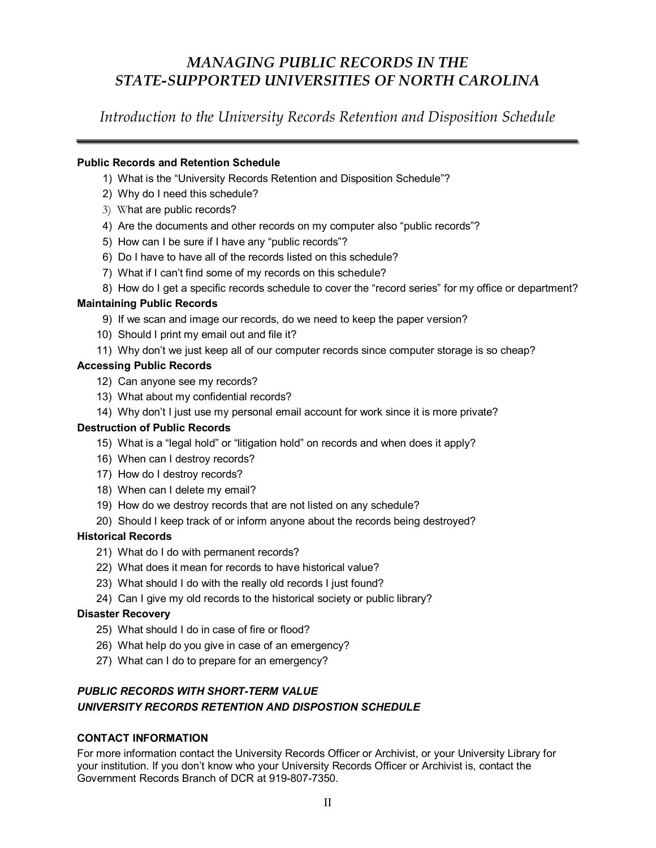### *MANAGING PUBLIC RECORDS IN THE STATESUPPORTED UNIVERSITIES OF NORTH CAROLINA*

*Introduction to the University Records Retention and Disposition Schedule*

### **Public Records and Retention Schedule**

- 1) What is the "University Records Retention and Disposition Schedule"?
- 2) Why do I need this schedule?
- 3) What are public records?
- 4) Are the documents and other records on my computer also "public records"?
- 5) How can I be sure if I have any "public records"?
- 6) Do I have to have all of the records listed on this schedule?
- 7) What if I can't find some of my records on this schedule?
- 8) How do I get a specific records schedule to cover the "record series" for my office or department?

### **Maintaining Public Records**

- 9) If we scan and image our records, do we need to keep the paper version?
- 10) Should I print my email out and file it?
- 11) Why don't we just keep all of our computer records since computer storage is so cheap?

### **Accessing Public Records**

- 12) Can anyone see my records?
- 13) What about my confidential records?
- 14) Why don't I just use my personal email account for work since it is more private?

### **Destruction of Public Records**

- 15) What is a "legal hold" or "litigation hold" on records and when does it apply?
- 16) When can I destroy records?
- 17) How do I destroy records?
- 18) When can I delete my email?
- 19) How do we destroy records that are not listed on any schedule?
- 20) Should I keep track of or inform anyone about the records being destroyed?

### **Historical Records**

- 21) What do I do with permanent records?
- 22) What does it mean for records to have historical value?
- 23) What should I do with the really old records I just found?
- 24) Can I give my old records to the historical society or public library?

### **Disaster Recovery**

- 25) What should I do in case of fire or flood?
- 26) What help do you give in case of an emergency?
- 27) What can I do to prepare for an emergency?

### **PUBLIC RECORDS WITH SHORT-TERM VALUE** *UNIVERSITY RECORDS RETENTION AND DISPOSTION SCHEDULE*

### **CONTACT INFORMATION**

For more information contact the University Records Officer or Archivist, or your University Library for your institution. If you don't know who your University Records Officer or Archivist is, contact the Government Records Branch of DCR at 919-807-7350.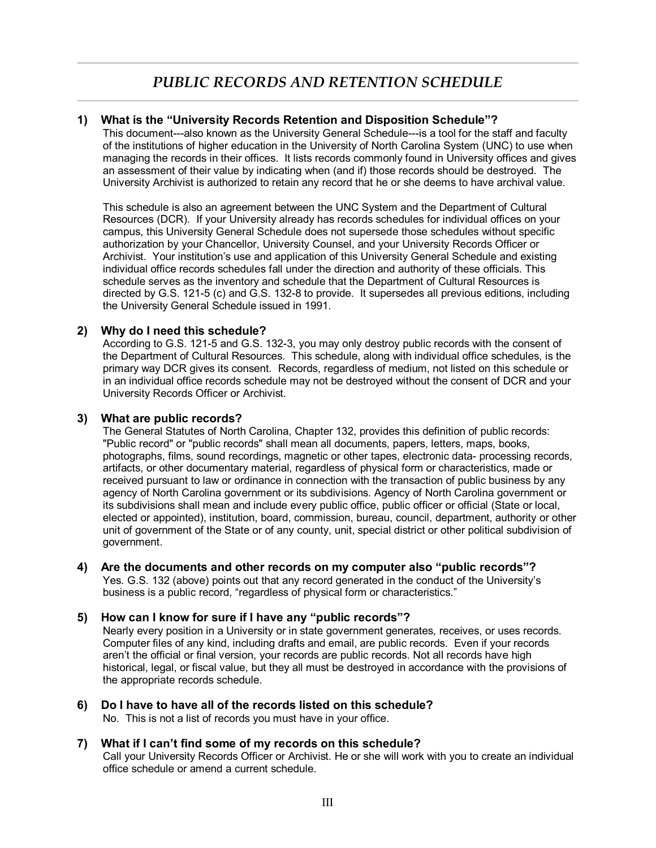### *PUBLIC RECORDS AND RETENTION SCHEDULE*

### **1) What is the "University Records Retention and Disposition Schedule"?**

This document---also known as the University General Schedule---is a tool for the staff and faculty of the institutions of higher education in the University of North Carolina System (UNC) to use when managing the records in their offices. It lists records commonly found in University offices and gives an assessment of their value by indicating when (and if) those records should be destroyed. The University Archivist is authorized to retain any record that he or she deems to have archival value.

This schedule is also an agreement between the UNC System and the Department of Cultural Resources (DCR). If your University already has records schedules for individual offices on your campus, this University General Schedule does not supersede those schedules without specific authorization by your Chancellor, University Counsel, and your University Records Officer or Archivist. Your institution's use and application of this University General Schedule and existing individual office records schedules fall under the direction and authority of these officials. This schedule serves as the inventory and schedule that the Department of Cultural Resources is directed by G.S. 121-5 (c) and G.S. 132-8 to provide. It supersedes all previous editions, including the University General Schedule issued in 1991.

### **2) Why do I need this schedule?**

According to G.S. 121-5 and G.S. 132-3, you may only destroy public records with the consent of the Department of Cultural Resources. This schedule, along with individual office schedules, is the primary way DCR gives its consent. Records, regardless of medium, not listed on this schedule or in an individual office records schedule may not be destroyed without the consent of DCR and your University Records Officer or Archivist.

### **3) What are public records?**

The General Statutes of North Carolina, Chapter 132, provides this definition of public records: "Public record" or "public records" shall mean all documents, papers, letters, maps, books, photographs, films, sound recordings, magnetic or other tapes, electronic data- processing records, artifacts, or other documentary material, regardless of physical form or characteristics, made or received pursuant to law or ordinance in connection with the transaction of public business by any agency of North Carolina government or its subdivisions. Agency of North Carolina government or its subdivisions shall mean and include every public office, public officer or official (State or local, elected or appointed), institution, board, commission, bureau, council, department, authority or other unit of government of the State or of any county, unit, special district or other political subdivision of government.

### **4) Are the documents and other records on my computer also "public records"?**

Yes. G.S. 132 (above) points out that any record generated in the conduct of the University's business is a public record, "regardless of physical form or characteristics."

#### **5) How can I know for sure if I have any "public records"?**

Nearly every position in a University or in state government generates, receives, or uses records. Computer files of any kind, including drafts and email, are public records. Even if your records aren't the official or final version, your records are public records. Not all records have high historical, legal, or fiscal value, but they all must be destroyed in accordance with the provisions of the appropriate records schedule.

**6) Do I have to have all of the records listed on this schedule?** No. This is not a list of records you must have in your office.

### **7) What if I can't find some of my records on this schedule?** Call your University Records Officer or Archivist. He or she will work with you to create an individual office schedule or amend a current schedule.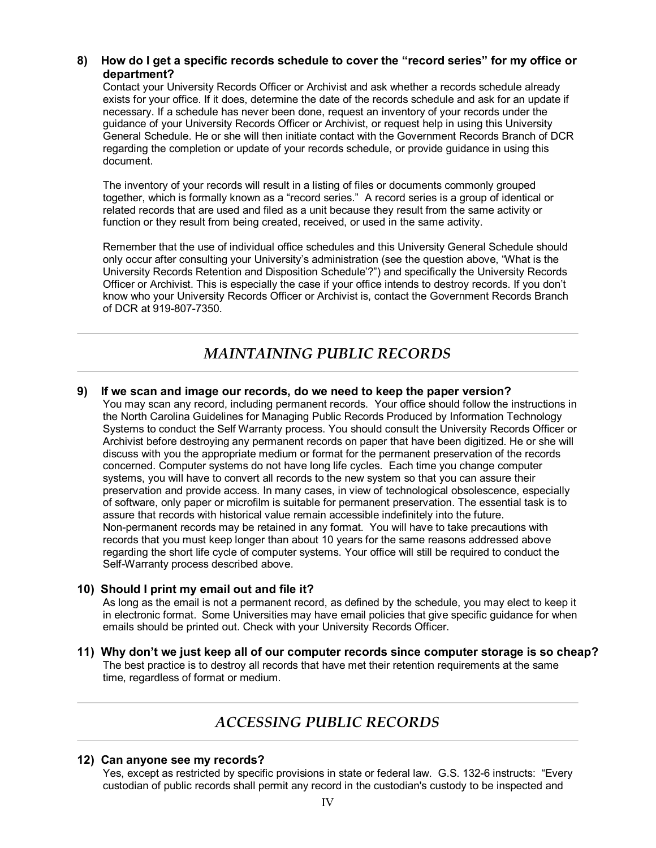### **8) How do I get a specific records schedule to cover the "record series" for my office or department?**

Contact your University Records Officer or Archivist and ask whether a records schedule already exists for your office. If it does, determine the date of the records schedule and ask for an update if necessary. If a schedule has never been done, request an inventory of your records under the guidance of your University Records Officer or Archivist, or request help in using this University General Schedule. He or she will then initiate contact with the Government Records Branch of DCR regarding the completion or update of your records schedule, or provide guidance in using this document.

The inventory of your records will result in a listing of files or documents commonly grouped together, which is formally known as a "record series." A record series is a group of identical or related records that are used and filed as a unit because they result from the same activity or function or they result from being created, received, or used in the same activity.

Remember that the use of individual office schedules and this University General Schedule should only occur after consulting your University's administration (see the question above, "What is the University Records Retention and Disposition Schedule'?") and specifically the University Records Officer or Archivist. This is especially the case if your office intends to destroy records. If you don't know who your University Records Officer or Archivist is, contact the Government Records Branch of DCR at 919-807-7350.

### *MAINTAINING PUBLIC RECORDS*

### **9) If we scan and image our records, do we need to keep the paper version?**

You may scan any record, including permanent records. Your office should follow the instructions in the North Carolina Guidelines for Managing Public Records Produced by Information Technology Systems to conduct the Self Warranty process. You should consult the University Records Officer or Archivist before destroying any permanent records on paper that have been digitized. He or she will discuss with you the appropriate medium or format for the permanent preservation of the records concerned. Computer systems do not have long life cycles. Each time you change computer systems, you will have to convert all records to the new system so that you can assure their preservation and provide access. In many cases, in view of technological obsolescence, especially of software, only paper or microfilm is suitable for permanent preservation. The essential task is to assure that records with historical value remain accessible indefinitely into the future. Non-permanent records may be retained in any format. You will have to take precautions with records that you must keep longer than about 10 years for the same reasons addressed above regarding the short life cycle of computer systems. Your office will still be required to conduct the Self-Warranty process described above.

### **10) Should I print my email out and file it?**

As long as the email is not a permanent record, as defined by the schedule, you may elect to keep it in electronic format. Some Universities may have email policies that give specific guidance for when emails should be printed out. Check with your University Records Officer.

**11) Why don't we just keep all of our computer records since computer storage is so cheap?** The best practice is to destroy all records that have met their retention requirements at the same time, regardless of format or medium.

### *ACCESSING PUBLIC RECORDS*

#### **12) Can anyone see my records?**

Yes, except as restricted by specific provisions in state or federal law. G.S. 1326 instructs: "Every custodian of public records shall permit any record in the custodian's custody to be inspected and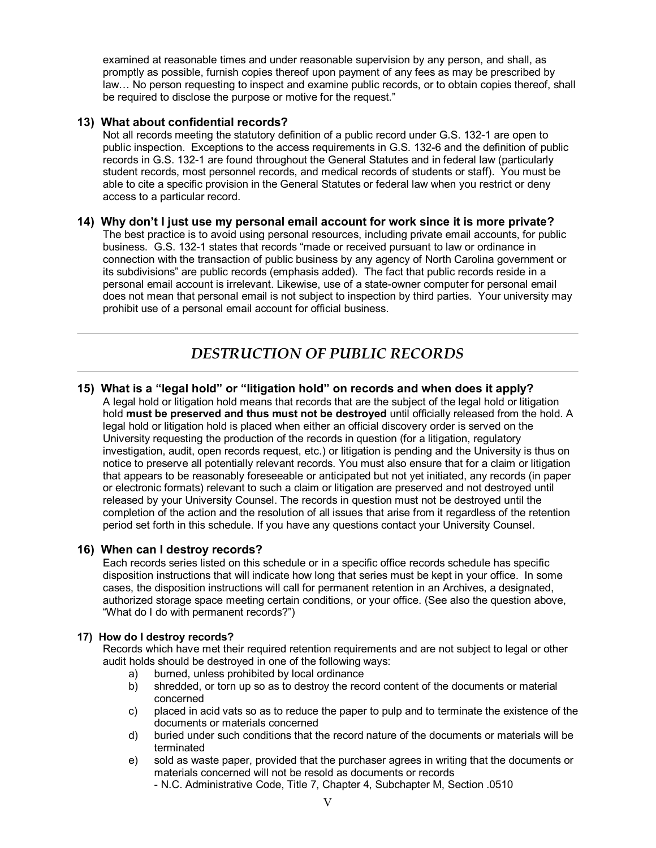examined at reasonable times and under reasonable supervision by any person, and shall, as promptly as possible, furnish copies thereof upon payment of any fees as may be prescribed by law… No person requesting to inspect and examine public records, or to obtain copies thereof, shall be required to disclose the purpose or motive for the request."

### **13) What about confidential records?**

Not all records meeting the statutory definition of a public record under G.S. 132-1 are open to public inspection. Exceptions to the access requirements in G.S. 132-6 and the definition of public records in G.S. 132-1 are found throughout the General Statutes and in federal law (particularly student records, most personnel records, and medical records of students or staff). You must be able to cite a specific provision in the General Statutes or federal law when you restrict or deny access to a particular record.

### **14) Why don't I just use my personal email account for work since it is more private?**

The best practice is to avoid using personal resources, including private email accounts, for public business. G.S. 132-1 states that records "made or received pursuant to law or ordinance in connection with the transaction of public business by any agency of North Carolina government or its subdivisions" are public records (emphasis added). The fact that public records reside in a personal email account is irrelevant. Likewise, use of a state-owner computer for personal email does not mean that personal email is not subject to inspection by third parties. Your university may prohibit use of a personal email account for official business.

### *DESTRUCTION OF PUBLIC RECORDS*

#### **15) What is a "legal hold" or "litigation hold" on records and when does it apply?** A legal hold or litigation hold means that records that are the subject of the legal hold or litigation hold **must be preserved and thus must not be destroyed** until officially released from the hold. A legal hold or litigation hold is placed when either an official discovery order is served on the University requesting the production of the records in question (for a litigation, regulatory investigation, audit, open records request, etc.) or litigation is pending and the University is thus on notice to preserve all potentially relevant records. You must also ensure that for a claim or litigation that appears to be reasonably foreseeable or anticipated but not yet initiated, any records (in paper or electronic formats) relevant to such a claim or litigation are preserved and not destroyed until released by your University Counsel. The records in question must not be destroyed until the completion of the action and the resolution of all issues that arise from it regardless of the retention period set forth in this schedule. If you have any questions contact your University Counsel.

### **16) When can I destroy records?**

Each records series listed on this schedule or in a specific office records schedule has specific disposition instructions that will indicate how long that series must be kept in your office. In some cases, the disposition instructions will call for permanent retention in an Archives, a designated, authorized storage space meeting certain conditions, or your office. (See also the question above, "What do I do with permanent records?")

### **17) How do I destroy records?**

Records which have met their required retention requirements and are not subject to legal or other audit holds should be destroyed in one of the following ways:

- a) burned, unless prohibited by local ordinance
- b) shredded, or torn up so as to destroy the record content of the documents or material concerned
- c) placed in acid vats so as to reduce the paper to pulp and to terminate the existence of the documents or materials concerned
- d) buried under such conditions that the record nature of the documents or materials will be terminated
- e) sold as waste paper, provided that the purchaser agrees in writing that the documents or materials concerned will not be resold as documents or records
	- N.C. Administrative Code, Title 7, Chapter 4, Subchapter M, Section .0510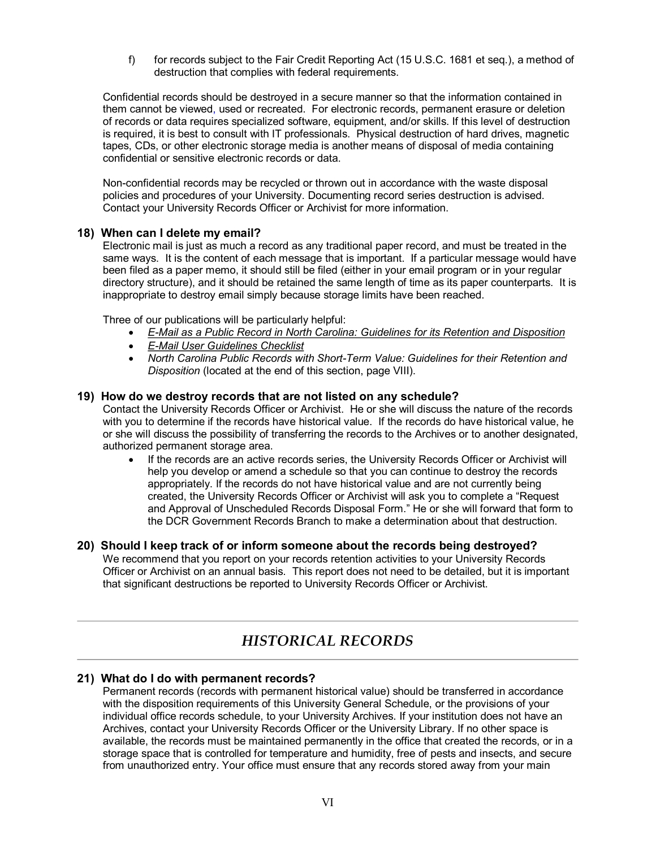f) for records subject to the Fair Credit Reporting Act (15 U.S.C. 1681 et seq.), a method of destruction that complies with federal requirements.

Confidential records should be destroyed in a secure manner so that the information contained in them cannot be viewed, used or recreated. For electronic records, permanent erasure or deletion of records or data requires specialized software, equipment, and/or skills. If this level of destruction is required, it is best to consult with IT professionals. Physical destruction of hard drives, magnetic tapes, CDs, or other electronic storage media is another means of disposal of media containing confidential or sensitive electronic records or data.

Non-confidential records may be recycled or thrown out in accordance with the waste disposal policies and procedures of your University. Documenting record series destruction is advised. Contact your University Records Officer or Archivist for more information.

### **18) When can I delete my email?**

Electronic mail is just as much a record as any traditional paper record, and must be treated in the same ways. It is the content of each message that is important. If a particular message would have been filed as a paper memo, it should still be filed (either in your email program or in your regular directory structure), and it should be retained the same length of time as its paper counterparts. It is inappropriate to destroy email simply because storage limits have been reached.

Three of our publications will be particularly helpful:

- · *EMail as a Public Record in North Carolina: [Guidelines for its Retention](http://www.ah.dcr.state.nc.us/records/e_records/Email_8_02.pdf) and Disposition*
- · *EMail [User Guidelines Checklist](http://www.ah.dcr.state.nc.us/records/e_records/Emailchecklist.pdf)*
- *North Carolina Public Records with Short-Term Value: Guidelines for their Retention and Disposition* (located at the end of this section, page VIII).

### **19) How do we destroy records that are not listed on any schedule?**

Contact the University Records Officer or Archivist. He or she will discuss the nature of the records with you to determine if the records have historical value. If the records do have historical value, he or she will discuss the possibility of transferring the records to the Archives or to another designated, authorized permanent storage area.

If the records are an active records series, the University Records Officer or Archivist will help you develop or amend a schedule so that you can continue to destroy the records appropriately. If the records do not have historical value and are not currently being created, the University Records Officer or Archivist will ask you to complete a "Request and Approval of Unscheduled Records Disposal Form." He or she will forward that form to the DCR Government Records Branch to make a determination about that destruction.

### **20) Should I keep track of or inform someone about the records being destroyed?**

We recommend that you report on your records retention activities to your University Records Officer or Archivist on an annual basis. This report does not need to be detailed, but it is important that significant destructions be reported to University Records Officer or Archivist.

### *HISTORICAL RECORDS*

### **21) What do I do with permanent records?**

Permanent records (records with permanent historical value) should be transferred in accordance with the disposition requirements of this University General Schedule, or the provisions of your individual office records schedule, to your University Archives. If your institution does not have an Archives, contact your University Records Officer or the University Library. If no other space is available, the records must be maintained permanently in the office that created the records, or in a storage space that is controlled for temperature and humidity, free of pests and insects, and secure from unauthorized entry. Your office must ensure that any records stored away from your main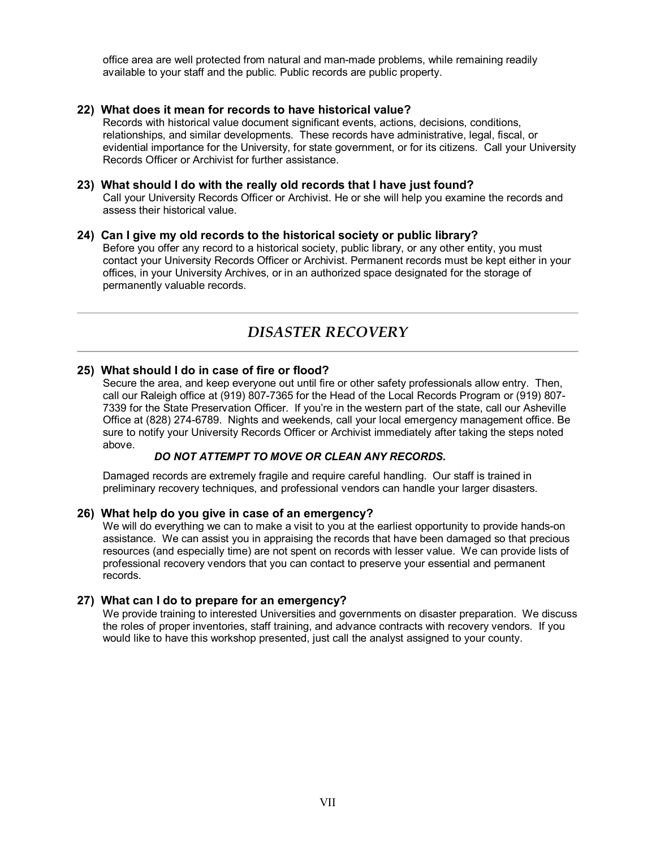office area are well protected from natural and man-made problems, while remaining readily available to your staff and the public. Public records are public property.

### **22) What does it mean for records to have historical value?**

Records with historical value document significant events, actions, decisions, conditions, relationships, and similar developments. These records have administrative, legal, fiscal, or evidential importance for the University, for state government, or for its citizens. Call your University Records Officer or Archivist for further assistance.

#### **23) What should I do with the really old records that I have just found?**

Call your University Records Officer or Archivist. He or she will help you examine the records and assess their historical value.

#### **24) Can I give my old records to the historical society or public library?**

Before you offer any record to a historical society, public library, or any other entity, you must contact your University Records Officer or Archivist. Permanent records must be kept either in your offices, in your University Archives, or in an authorized space designated for the storage of permanently valuable records.

### *DISASTER RECOVERY*

### **25) What should I do in case of fire or flood?**

Secure the area, and keep everyone out until fire or other safety professionals allow entry. Then, call our Raleigh office at (919) 807-7365 for the Head of the Local Records Program or (919) 807-7339 for the State Preservation Officer. If you're in the western part of the state, call our Asheville Office at (828) 274-6789. Nights and weekends, call your local emergency management office. Be sure to notify your University Records Officer or Archivist immediately after taking the steps noted above.

### *DO NOT ATTEMPT TO MOVE OR CLEAN ANY RECORDS.*

Damaged records are extremely fragile and require careful handling. Our staff is trained in preliminary recovery techniques, and professional vendors can handle your larger disasters.

### **26) What help do you give in case of an emergency?**

We will do everything we can to make a visit to you at the earliest opportunity to provide hands-on assistance. We can assist you in appraising the records that have been damaged so that precious resources (and especially time) are not spent on records with lesser value. We can provide lists of professional recovery vendors that you can contact to preserve your essential and permanent records.

### **27) What can I do to prepare for an emergency?**

We provide training to interested Universities and governments on disaster preparation. We discuss the roles of proper inventories, staff training, and advance contracts with recovery vendors. If you would like to have this workshop presented, just call the analyst assigned to your county.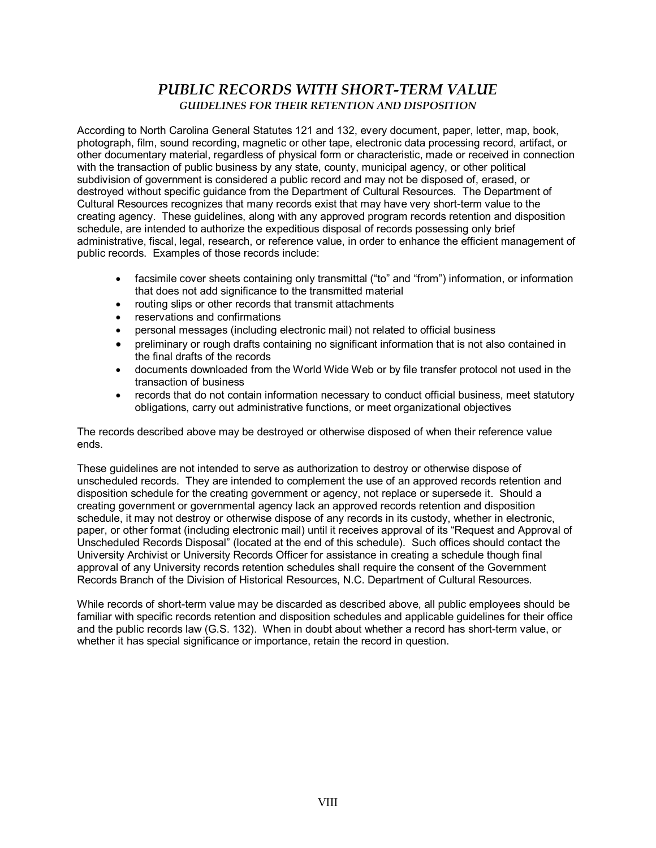### **PUBLIC RECORDS WITH SHORT-TERM VALUE** *GUIDELINES FOR THEIR RETENTION AND DISPOSITION*

According to North Carolina General Statutes 121 and 132, every document, paper, letter, map, book, photograph, film, sound recording, magnetic or other tape, electronic data processing record, artifact, or other documentary material, regardless of physical form or characteristic, made or received in connection with the transaction of public business by any state, county, municipal agency, or other political subdivision of government is considered a public record and may not be disposed of, erased, or destroyed without specific guidance from the Department of Cultural Resources. The Department of Cultural Resources recognizes that many records exist that may have very short-term value to the creating agency. These guidelines, along with any approved program records retention and disposition schedule, are intended to authorize the expeditious disposal of records possessing only brief administrative, fiscal, legal, research, or reference value, in order to enhance the efficient management of public records. Examples of those records include:

- · facsimile cover sheets containing only transmittal ("to" and "from") information, or information that does not add significance to the transmitted material
- · routing slips or other records that transmit attachments
- · reservations and confirmations
- · personal messages (including electronic mail) not related to official business
- · preliminary or rough drafts containing no significant information that is not also contained in the final drafts of the records
- · documents downloaded from the World Wide Web or by file transfer protocol not used in the transaction of business
- · records that do not contain information necessary to conduct official business, meet statutory obligations, carry out administrative functions, or meet organizational objectives

The records described above may be destroyed or otherwise disposed of when their reference value ends.

These guidelines are not intended to serve as authorization to destroy or otherwise dispose of unscheduled records. They are intended to complement the use of an approved records retention and disposition schedule for the creating government or agency, not replace or supersede it. Should a creating government or governmental agency lack an approved records retention and disposition schedule, it may not destroy or otherwise dispose of any records in its custody, whether in electronic, paper, or other format (including electronic mail) until it receives approval of its "Request and Approval of Unscheduled Records Disposal" (located at the end of this schedule). Such offices should contact the University Archivist or University Records Officer for assistance in creating a schedule though final approval of any University records retention schedules shall require the consent of the Government Records Branch of the Division of Historical Resources, N.C. Department of Cultural Resources.

While records of short-term value may be discarded as described above, all public employees should be familiar with specific records retention and disposition schedules and applicable guidelines for their office and the public records law (G.S. 132). When in doubt about whether a record has short-term value, or whether it has special significance or importance, retain the record in question.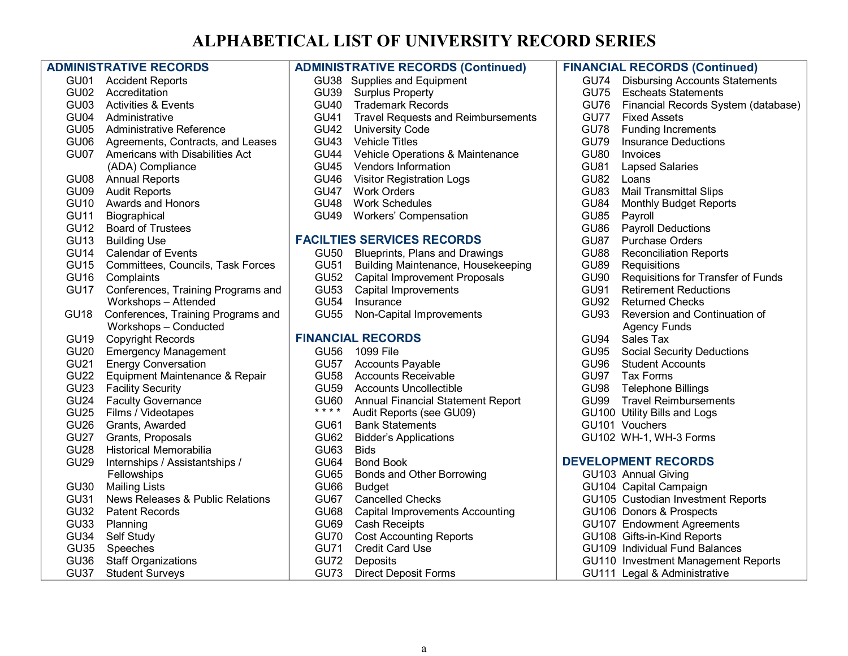# **ALPHABETICAL LIST OF UNIVERSITY RECORD SERIES**

|                  | <b>ADMINISTRATIVE RECORDS</b>        |             | <b>ADMINISTRATIVE RECORDS (Continued)</b> |             | <b>FINANCIAL RECORDS (Continued)</b> |
|------------------|--------------------------------------|-------------|-------------------------------------------|-------------|--------------------------------------|
|                  | GU01 Accident Reports                |             | GU38 Supplies and Equipment               |             | GU74 Disbursing Accounts Statements  |
|                  | GU02 Accreditation                   |             | GU39 Surplus Property                     | GU75        | <b>Escheats Statements</b>           |
|                  | GU03 Activities & Events             | <b>GU40</b> | <b>Trademark Records</b>                  | GU76        | Financial Records System (database)  |
| GU04             | Administrative                       | <b>GU41</b> | <b>Travel Requests and Reimbursements</b> | GU77        | <b>Fixed Assets</b>                  |
| GU05             | Administrative Reference             | <b>GU42</b> | <b>University Code</b>                    | <b>GU78</b> | <b>Funding Increments</b>            |
| GU06             | Agreements, Contracts, and Leases    | <b>GU43</b> | <b>Vehicle Titles</b>                     | GU79        | <b>Insurance Deductions</b>          |
|                  | GU07 Americans with Disabilities Act | <b>GU44</b> | Vehicle Operations & Maintenance          | <b>GU80</b> | Invoices                             |
|                  | (ADA) Compliance                     | GU45        | <b>Vendors Information</b>                | <b>GU81</b> | <b>Lapsed Salaries</b>               |
| GU08             | <b>Annual Reports</b>                | <b>GU46</b> | <b>Visitor Registration Logs</b>          | <b>GU82</b> | Loans                                |
| GU09             | <b>Audit Reports</b>                 | GU47        | <b>Work Orders</b>                        | <b>GU83</b> | <b>Mail Transmittal Slips</b>        |
| <b>GU10</b>      | Awards and Honors                    | <b>GU48</b> | <b>Work Schedules</b>                     | <b>GU84</b> | <b>Monthly Budget Reports</b>        |
| <b>GU11</b>      | Biographical                         | <b>GU49</b> | <b>Workers' Compensation</b>              | <b>GU85</b> | Payroll                              |
| <b>GU12</b>      | <b>Board of Trustees</b>             |             |                                           | GU86        | <b>Payroll Deductions</b>            |
| <b>GU13</b>      | <b>Building Use</b>                  |             | <b>FACILTIES SERVICES RECORDS</b>         |             | GU87 Purchase Orders                 |
| <b>GU14</b>      | <b>Calendar of Events</b>            | GU50        | Blueprints, Plans and Drawings            |             | GU88 Reconciliation Reports          |
| GU <sub>15</sub> | Committees, Councils, Task Forces    | <b>GU51</b> | Building Maintenance, Housekeeping        | GU89        | Requisitions                         |
| GU <sub>16</sub> | Complaints                           |             | GU52 Capital Improvement Proposals        | GU90        | Requisitions for Transfer of Funds   |
| GU17             | Conferences, Training Programs and   | <b>GU53</b> | Capital Improvements                      | GU91        | <b>Retirement Reductions</b>         |
|                  | Workshops - Attended                 | <b>GU54</b> | Insurance                                 | GU92        | <b>Returned Checks</b>               |
| GU18             | Conferences, Training Programs and   | <b>GU55</b> | Non-Capital Improvements                  |             | GU93 Reversion and Continuation of   |
|                  | Workshops - Conducted                |             |                                           |             | <b>Agency Funds</b>                  |
| GU <sub>19</sub> | <b>Copyright Records</b>             |             | <b>FINANCIAL RECORDS</b>                  | GU94        | Sales Tax                            |
| <b>GU20</b>      | <b>Emergency Management</b>          |             | GU56 1099 File                            |             | GU95 Social Security Deductions      |
| <b>GU21</b>      | <b>Energy Conversation</b>           |             | GU57 Accounts Payable                     |             | GU96 Student Accounts                |
| <b>GU22</b>      | Equipment Maintenance & Repair       |             | GU58 Accounts Receivable                  |             | GU97 Tax Forms                       |
| GU <sub>23</sub> | <b>Facility Security</b>             | <b>GU59</b> | <b>Accounts Uncollectible</b>             |             | GU98 Telephone Billings              |
| GU <sub>24</sub> | <b>Faculty Governance</b>            | GU60        | <b>Annual Financial Statement Report</b>  |             | GU99 Travel Reimbursements           |
| <b>GU25</b>      | Films / Videotapes                   | * * * *     | Audit Reports (see GU09)                  |             | GU100 Utility Bills and Logs         |
| <b>GU26</b>      | Grants, Awarded                      | GU61        | <b>Bank Statements</b>                    |             | GU101 Vouchers                       |
| GU27             | Grants, Proposals                    | <b>GU62</b> | <b>Bidder's Applications</b>              |             | GU102 WH-1, WH-3 Forms               |
| <b>GU28</b>      | Historical Memorabilia               | GU63        | <b>Bids</b>                               |             |                                      |
| <b>GU29</b>      | Internships / Assistantships /       | <b>GU64</b> | <b>Bond Book</b>                          |             | <b>DEVELOPMENT RECORDS</b>           |
|                  | Fellowships                          | <b>GU65</b> | Bonds and Other Borrowing                 |             | GU103 Annual Giving                  |
| <b>GU30</b>      | <b>Mailing Lists</b>                 | <b>GU66</b> | <b>Budget</b>                             |             | GU104 Capital Campaign               |
| <b>GU31</b>      | News Releases & Public Relations     | GU67        | <b>Cancelled Checks</b>                   |             | GU105 Custodian Investment Reports   |
| <b>GU32</b>      | <b>Patent Records</b>                | GU68        | <b>Capital Improvements Accounting</b>    |             | GU106 Donors & Prospects             |
| <b>GU33</b>      | Planning                             | GU69        | Cash Receipts                             |             | GU107 Endowment Agreements           |
| GU34             | Self Study                           | GU70        | <b>Cost Accounting Reports</b>            |             | GU108 Gifts-in-Kind Reports          |
| <b>GU35</b>      | Speeches                             | <b>GU71</b> | <b>Credit Card Use</b>                    |             | GU109 Individual Fund Balances       |
| GU36             | <b>Staff Organizations</b>           | GU72        | Deposits                                  |             | GU110 Investment Management Reports  |
| GU37             | <b>Student Surveys</b>               | <b>GU73</b> | <b>Direct Deposit Forms</b>               |             | GU111 Legal & Administrative         |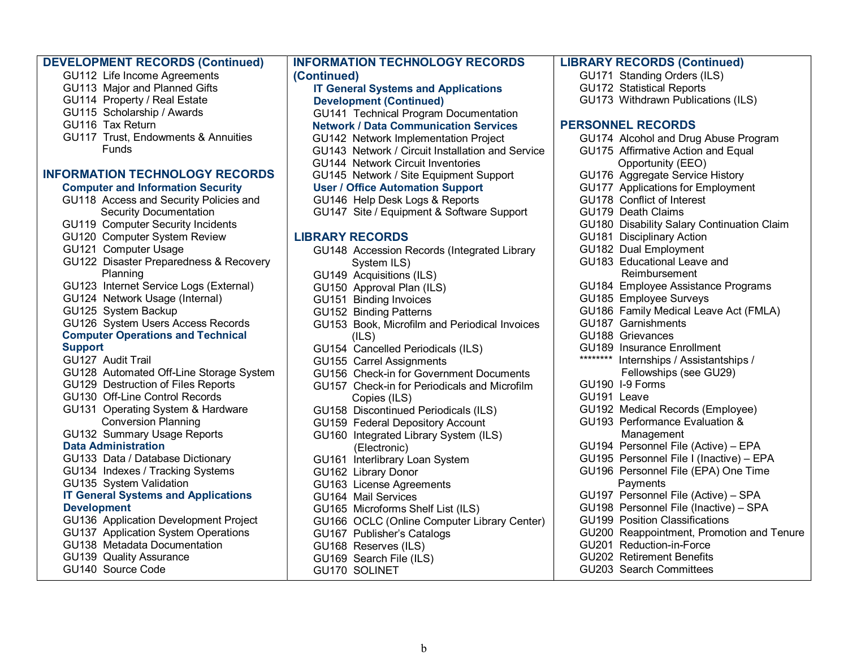| <b>DEVELOPMENT RECORDS (Continued)</b>     | <b>INFORMATION TECHNOLOGY RECORDS</b>            | <b>LIBRARY RECORDS (Continued)</b>         |
|--------------------------------------------|--------------------------------------------------|--------------------------------------------|
| GU112 Life Income Agreements               | (Continued)                                      | GU171 Standing Orders (ILS)                |
| GU113 Major and Planned Gifts              | <b>IT General Systems and Applications</b>       | <b>GU172 Statistical Reports</b>           |
| GU114 Property / Real Estate               | <b>Development (Continued)</b>                   | GU173 Withdrawn Publications (ILS)         |
| GU115 Scholarship / Awards                 | GU141 Technical Program Documentation            |                                            |
| GU116 Tax Return                           | <b>Network / Data Communication Services</b>     | <b>PERSONNEL RECORDS</b>                   |
| GU117 Trust, Endowments & Annuities        | GU142 Network Implementation Project             | GU174 Alcohol and Drug Abuse Program       |
| <b>Funds</b>                               | GU143 Network / Circuit Installation and Service | GU175 Affirmative Action and Equal         |
|                                            | GU144 Network Circuit Inventories                | Opportunity (EEO)                          |
| <b>INFORMATION TECHNOLOGY RECORDS</b>      | GU145 Network / Site Equipment Support           | GU176 Aggregate Service History            |
| <b>Computer and Information Security</b>   | <b>User / Office Automation Support</b>          | GU177 Applications for Employment          |
| GU118 Access and Security Policies and     | GU146 Help Desk Logs & Reports                   | GU178 Conflict of Interest                 |
| <b>Security Documentation</b>              | GU147 Site / Equipment & Software Support        | GU179 Death Claims                         |
| GU119 Computer Security Incidents          |                                                  | GU180 Disability Salary Continuation Claim |
| GU120 Computer System Review               | <b>LIBRARY RECORDS</b>                           | GU181 Disciplinary Action                  |
| GU121 Computer Usage                       | GU148 Accession Records (Integrated Library      | GU182 Dual Employment                      |
| GU122 Disaster Preparedness & Recovery     | System ILS)                                      | GU183 Educational Leave and                |
| Planning                                   | GU149 Acquisitions (ILS)                         | Reimbursement                              |
| GU123 Internet Service Logs (External)     | GU150 Approval Plan (ILS)                        | GU184 Employee Assistance Programs         |
| GU124 Network Usage (Internal)             | GU151 Binding Invoices                           | GU185 Employee Surveys                     |
| GU125 System Backup                        | GU152 Binding Patterns                           | GU186 Family Medical Leave Act (FMLA)      |
| GU126 System Users Access Records          | GU153 Book, Microfilm and Periodical Invoices    | GU187 Garnishments                         |
| <b>Computer Operations and Technical</b>   | (ILS)                                            | GU188 Grievances                           |
| <b>Support</b>                             | GU154 Cancelled Periodicals (ILS)                | GU189 Insurance Enrollment                 |
| GU127 Audit Trail                          | GU155 Carrel Assignments                         | ********<br>Internships / Assistantships / |
| GU128 Automated Off-Line Storage System    | GU156 Check-in for Government Documents          | Fellowships (see GU29)                     |
| GU129 Destruction of Files Reports         | GU157 Check-in for Periodicals and Microfilm     | GU190 I-9 Forms                            |
| GU130 Off-Line Control Records             | Copies (ILS)                                     | GU191 Leave                                |
| GU131 Operating System & Hardware          | GU158 Discontinued Periodicals (ILS)             | GU192 Medical Records (Employee)           |
| <b>Conversion Planning</b>                 | GU159 Federal Depository Account                 | GU193 Performance Evaluation &             |
| GU132 Summary Usage Reports                | GU160 Integrated Library System (ILS)            | Management                                 |
| <b>Data Administration</b>                 | (Electronic)                                     | GU194 Personnel File (Active) - EPA        |
| GU133 Data / Database Dictionary           | GU161 Interlibrary Loan System                   | GU195 Personnel File I (Inactive) - EPA    |
| GU134 Indexes / Tracking Systems           | GU162 Library Donor                              | GU196 Personnel File (EPA) One Time        |
| GU135 System Validation                    | GU163 License Agreements                         | Payments                                   |
| <b>IT General Systems and Applications</b> | GU164 Mail Services                              | GU197 Personnel File (Active) - SPA        |
| <b>Development</b>                         | GU165 Microforms Shelf List (ILS)                | GU198 Personnel File (Inactive) - SPA      |
| GU136 Application Development Project      | GU166 OCLC (Online Computer Library Center)      | <b>GU199 Position Classifications</b>      |
| GU137 Application System Operations        | GU167 Publisher's Catalogs                       | GU200 Reappointment, Promotion and Tenure  |
| GU138 Metadata Documentation               | GU168 Reserves (ILS)                             | GU201 Reduction-in-Force                   |
| GU139 Quality Assurance                    | GU169 Search File (ILS)                          | <b>GU202 Retirement Benefits</b>           |
| GU140 Source Code                          | GU170 SOLINET                                    | GU203 Search Committees                    |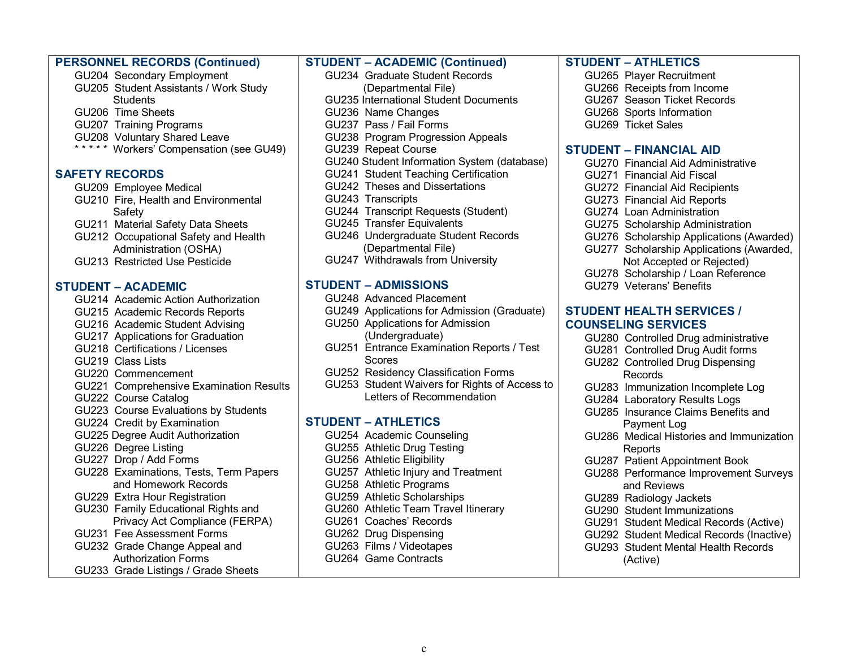|                           | <b>PERSONNEL RECORDS (Continued)</b>    | <b>STUDENT - ACADEMIC (Continued)</b>         | <b>STUDENT - ATHLETICS</b>               |
|---------------------------|-----------------------------------------|-----------------------------------------------|------------------------------------------|
|                           | GU204 Secondary Employment              | GU234 Graduate Student Records                | GU265 Player Recruitment                 |
|                           | GU205 Student Assistants / Work Study   | (Departmental File)                           | GU266 Receipts from Income               |
| <b>Students</b>           |                                         | <b>GU235 International Student Documents</b>  | GU267 Season Ticket Records              |
| GU206 Time Sheets         |                                         | GU236 Name Changes                            | GU268 Sports Information                 |
| GU207 Training Programs   |                                         | GU237 Pass / Fail Forms                       | GU269 Ticket Sales                       |
|                           | GU208 Voluntary Shared Leave            | GU238 Program Progression Appeals             |                                          |
|                           | ***** Workers' Compensation (see GU49)  | GU239 Repeat Course                           | <b>STUDENT - FINANCIAL AID</b>           |
|                           |                                         | GU240 Student Information System (database)   | GU270 Financial Aid Administrative       |
| <b>SAFETY RECORDS</b>     |                                         | GU241 Student Teaching Certification          | GU271 Financial Aid Fiscal               |
| GU209 Employee Medical    |                                         | GU242 Theses and Dissertations                | <b>GU272 Financial Aid Recipients</b>    |
|                           | GU210 Fire, Health and Environmental    | GU243 Transcripts                             | GU273 Financial Aid Reports              |
| Safety                    |                                         | GU244 Transcript Requests (Student)           | GU274 Loan Administration                |
|                           | GU211 Material Safety Data Sheets       | GU245 Transfer Equivalents                    | GU275 Scholarship Administration         |
|                           | GU212 Occupational Safety and Health    | GU246 Undergraduate Student Records           | GU276 Scholarship Applications (Awarded) |
|                           | Administration (OSHA)                   | (Departmental File)                           | GU277 Scholarship Applications (Awarded, |
|                           | GU213 Restricted Use Pesticide          | GU247 Withdrawals from University             | Not Accepted or Rejected)                |
|                           |                                         |                                               | GU278 Scholarship / Loan Reference       |
| <b>STUDENT - ACADEMIC</b> |                                         | <b>STUDENT - ADMISSIONS</b>                   | GU279 Veterans' Benefits                 |
|                           | GU214 Academic Action Authorization     | GU248 Advanced Placement                      |                                          |
|                           | GU215 Academic Records Reports          | GU249 Applications for Admission (Graduate)   | <b>STUDENT HEALTH SERVICES /</b>         |
|                           | GU216 Academic Student Advising         | GU250 Applications for Admission              | <b>COUNSELING SERVICES</b>               |
|                           | GU217 Applications for Graduation       | (Undergraduate)                               | GU280 Controlled Drug administrative     |
|                           | GU218 Certifications / Licenses         | GU251 Entrance Examination Reports / Test     | GU281 Controlled Drug Audit forms        |
| GU219 Class Lists         |                                         | <b>Scores</b>                                 | GU282 Controlled Drug Dispensing         |
| GU220 Commencement        |                                         | GU252 Residency Classification Forms          | Records                                  |
|                           | GU221 Comprehensive Examination Results | GU253 Student Waivers for Rights of Access to | GU283 Immunization Incomplete Log        |
| GU222 Course Catalog      |                                         | Letters of Recommendation                     | GU284 Laboratory Results Logs            |
|                           | GU223 Course Evaluations by Students    |                                               | GU285 Insurance Claims Benefits and      |
|                           | GU224 Credit by Examination             | <b>STUDENT - ATHLETICS</b>                    | Payment Log                              |
|                           | GU225 Degree Audit Authorization        | GU254 Academic Counseling                     | GU286 Medical Histories and Immunization |
| GU226 Degree Listing      |                                         | GU255 Athletic Drug Testing                   | Reports                                  |
| GU227 Drop / Add Forms    |                                         | GU256 Athletic Eligibility                    | GU287 Patient Appointment Book           |
|                           | GU228 Examinations, Tests, Term Papers  | GU257 Athletic Injury and Treatment           | GU288 Performance Improvement Surveys    |
|                           | and Homework Records                    | GU258 Athletic Programs                       | and Reviews                              |
|                           | GU229 Extra Hour Registration           | GU259 Athletic Scholarships                   | GU289 Radiology Jackets                  |
|                           | GU230 Family Educational Rights and     | GU260 Athletic Team Travel Itinerary          | GU290 Student Immunizations              |
|                           | Privacy Act Compliance (FERPA)          | GU261 Coaches' Records                        | GU291 Student Medical Records (Active)   |
|                           | GU231 Fee Assessment Forms              | GU262 Drug Dispensing                         | GU292 Student Medical Records (Inactive) |
|                           | GU232 Grade Change Appeal and           | GU263 Films / Videotapes                      | GU293 Student Mental Health Records      |
|                           | <b>Authorization Forms</b>              | GU264 Game Contracts                          | (Active)                                 |
|                           | GU233 Grade Listings / Grade Sheets     |                                               |                                          |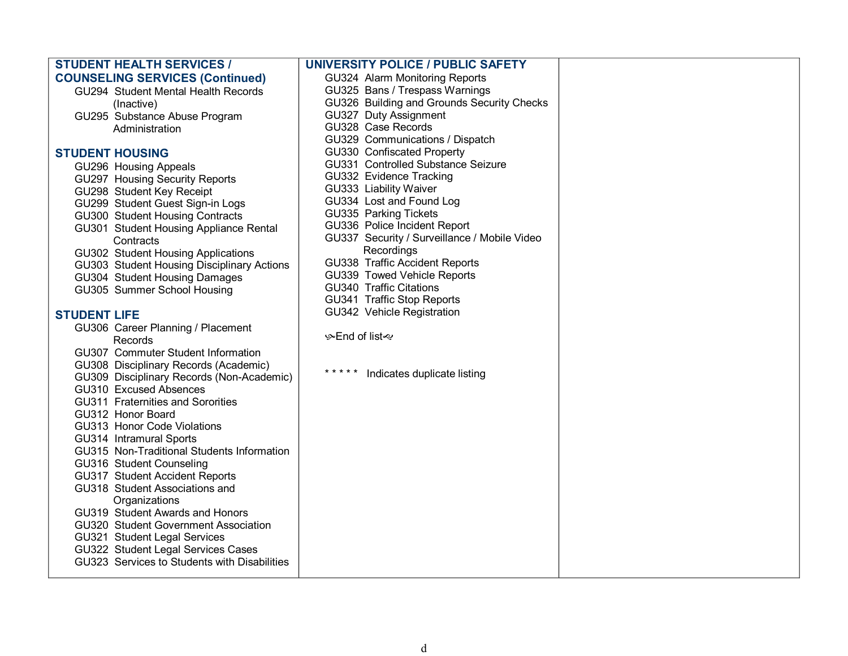| <b>STUDENT HEALTH SERVICES /</b>                                    | <b>UNIVERSITY POLICE / PUBLIC SAFETY</b>                      |  |
|---------------------------------------------------------------------|---------------------------------------------------------------|--|
| <b>COUNSELING SERVICES (Continued)</b>                              | GU324 Alarm Monitoring Reports                                |  |
| GU294 Student Mental Health Records                                 | GU325 Bans / Trespass Warnings                                |  |
| (Inactive)                                                          | GU326 Building and Grounds Security Checks                    |  |
| GU295 Substance Abuse Program                                       | GU327 Duty Assignment                                         |  |
| Administration                                                      | GU328 Case Records                                            |  |
|                                                                     | GU329 Communications / Dispatch                               |  |
| <b>STUDENT HOUSING</b>                                              | GU330 Confiscated Property                                    |  |
| GU296 Housing Appeals                                               | GU331 Controlled Substance Seizure                            |  |
| GU297 Housing Security Reports                                      | GU332 Evidence Tracking                                       |  |
| GU298 Student Key Receipt                                           | GU333 Liability Waiver                                        |  |
| GU299 Student Guest Sign-in Logs                                    | GU334 Lost and Found Log                                      |  |
| GU300 Student Housing Contracts                                     | GU335 Parking Tickets                                         |  |
| GU301 Student Housing Appliance Rental                              | GU336 Police Incident Report                                  |  |
| Contracts                                                           | GU337 Security / Surveillance / Mobile Video                  |  |
| GU302 Student Housing Applications                                  | Recordings                                                    |  |
| GU303 Student Housing Disciplinary Actions                          | GU338 Traffic Accident Reports                                |  |
| GU304 Student Housing Damages                                       | GU339 Towed Vehicle Reports<br><b>GU340 Traffic Citations</b> |  |
| GU305 Summer School Housing                                         | GU341 Traffic Stop Reports                                    |  |
|                                                                     | GU342 Vehicle Registration                                    |  |
| <b>STUDENT LIFE</b>                                                 |                                                               |  |
| GU306 Career Planning / Placement                                   | ≫End of list ~                                                |  |
| Records                                                             |                                                               |  |
| GU307 Commuter Student Information                                  |                                                               |  |
| GU308 Disciplinary Records (Academic)                               | * * * * *<br>Indicates duplicate listing                      |  |
| GU309 Disciplinary Records (Non-Academic)<br>GU310 Excused Absences |                                                               |  |
|                                                                     |                                                               |  |
| GU311 Fraternities and Sororities<br>GU312 Honor Board              |                                                               |  |
| GU313 Honor Code Violations                                         |                                                               |  |
| GU314 Intramural Sports                                             |                                                               |  |
| GU315 Non-Traditional Students Information                          |                                                               |  |
| GU316 Student Counseling                                            |                                                               |  |
| GU317 Student Accident Reports                                      |                                                               |  |
| GU318 Student Associations and                                      |                                                               |  |
| Organizations                                                       |                                                               |  |
| GU319 Student Awards and Honors                                     |                                                               |  |
| GU320 Student Government Association                                |                                                               |  |
| GU321 Student Legal Services                                        |                                                               |  |
| GU322 Student Legal Services Cases                                  |                                                               |  |
| GU323 Services to Students with Disabilities                        |                                                               |  |
|                                                                     |                                                               |  |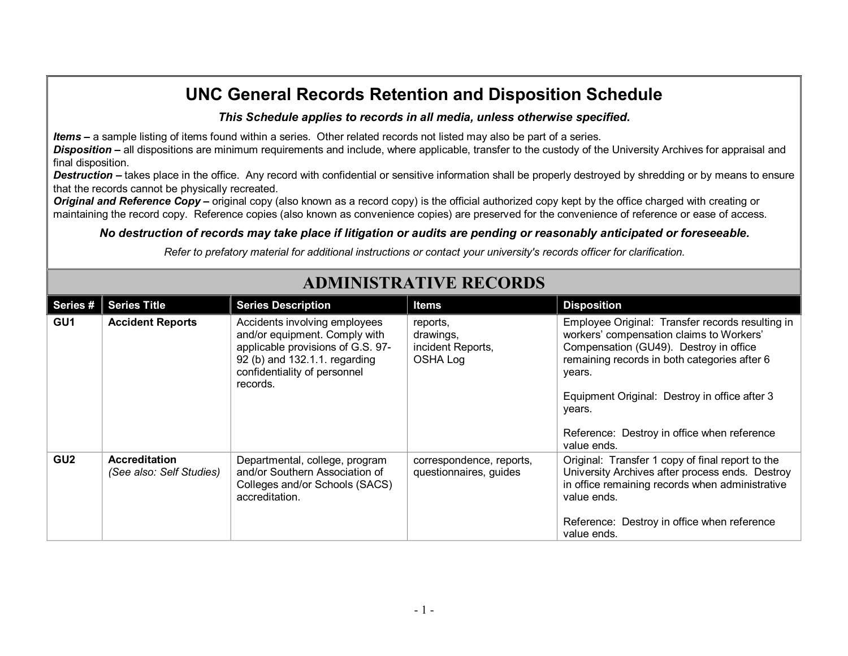### *This Schedule applies to records in all media, unless otherwise specified***.**

*Items* **–** a sample listing of items found within a series. Other related records not listed may also be part of a series.

*Disposition* **–** all dispositions are minimum requirements and include, where applicable, transfer to the custody of the University Archives for appraisal and final disposition.

**Destruction** – takes place in the office. Any record with confidential or sensitive information shall be properly destroyed by shredding or by means to ensure that the records cannot be physically recreated.

**Original and Reference Copy** – original copy (also known as a record copy) is the official authorized copy kept by the office charged with creating or maintaining the record copy. Reference copies (also known as convenience copies) are preserved for the convenience of reference or ease of access.

### *No destruction of records may take place if litigation or audits are pending or reasonably anticipated or foreseeable.*

*Refer to prefatory material for additional instructions or contact your university's records officer for clarification.*

| Series#         | <b>Series Title</b>                              | <b>Series Description</b>                                                                                                                                                        | <b>Items</b>                                                  | <b>Disposition</b>                                                                                                                                                                                                                                                                                                        |
|-----------------|--------------------------------------------------|----------------------------------------------------------------------------------------------------------------------------------------------------------------------------------|---------------------------------------------------------------|---------------------------------------------------------------------------------------------------------------------------------------------------------------------------------------------------------------------------------------------------------------------------------------------------------------------------|
| GU <sub>1</sub> | <b>Accident Reports</b>                          | Accidents involving employees<br>and/or equipment. Comply with<br>applicable provisions of G.S. 97-<br>92 (b) and 132.1.1. regarding<br>confidentiality of personnel<br>records. | reports,<br>drawings,<br>incident Reports,<br><b>OSHA Log</b> | Employee Original: Transfer records resulting in<br>workers' compensation claims to Workers'<br>Compensation (GU49). Destroy in office<br>remaining records in both categories after 6<br>years.<br>Equipment Original: Destroy in office after 3<br>years.<br>Reference: Destroy in office when reference<br>value ends. |
| GU <sub>2</sub> | <b>Accreditation</b><br>(See also: Self Studies) | Departmental, college, program<br>and/or Southern Association of<br>Colleges and/or Schools (SACS)<br>accreditation.                                                             | correspondence, reports,<br>questionnaires, guides            | Original: Transfer 1 copy of final report to the<br>University Archives after process ends. Destroy<br>in office remaining records when administrative<br>value ends.<br>Reference: Destroy in office when reference<br>value ends.                                                                                       |

# **ADMINISTRATIVE RECORDS**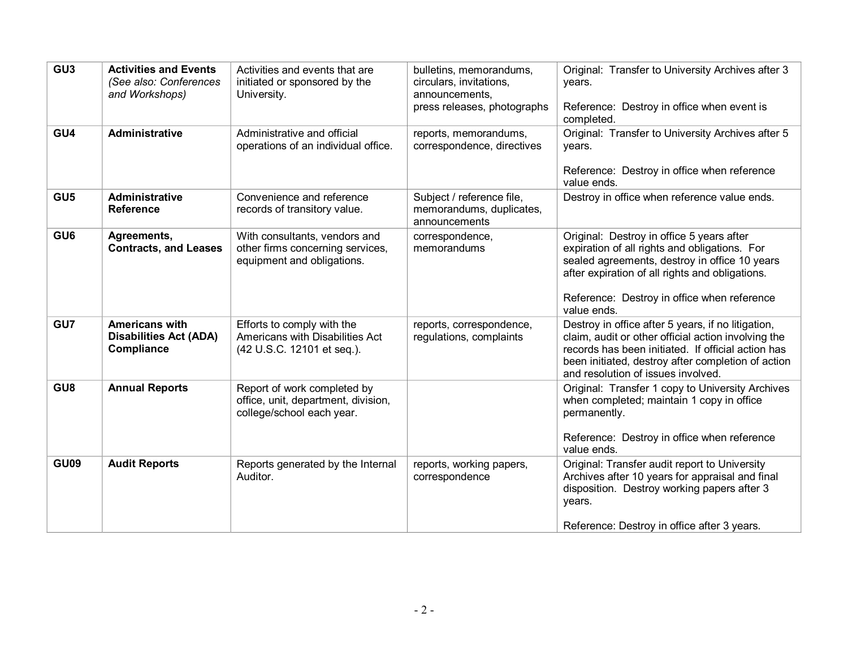| GU <sub>3</sub> | <b>Activities and Events</b><br>(See also: Conferences<br>and Workshops) | Activities and events that are<br>initiated or sponsored by the<br>University.                  | bulletins, memorandums,<br>circulars, invitations,<br>announcements,<br>press releases, photographs | Original: Transfer to University Archives after 3<br>years.<br>Reference: Destroy in office when event is<br>completed.                                                                                                                                      |
|-----------------|--------------------------------------------------------------------------|-------------------------------------------------------------------------------------------------|-----------------------------------------------------------------------------------------------------|--------------------------------------------------------------------------------------------------------------------------------------------------------------------------------------------------------------------------------------------------------------|
| GU4             | <b>Administrative</b>                                                    | Administrative and official<br>operations of an individual office.                              | reports, memorandums,<br>correspondence, directives                                                 | Original: Transfer to University Archives after 5<br>years.<br>Reference: Destroy in office when reference<br>value ends.                                                                                                                                    |
| GU <sub>5</sub> | Administrative<br><b>Reference</b>                                       | Convenience and reference<br>records of transitory value.                                       | Subject / reference file,<br>memorandums, duplicates,<br>announcements                              | Destroy in office when reference value ends.                                                                                                                                                                                                                 |
| GU <sub>6</sub> | Agreements,<br><b>Contracts, and Leases</b>                              | With consultants, vendors and<br>other firms concerning services,<br>equipment and obligations. | correspondence,<br>memorandums                                                                      | Original: Destroy in office 5 years after<br>expiration of all rights and obligations. For<br>sealed agreements, destroy in office 10 years<br>after expiration of all rights and obligations.<br>Reference: Destroy in office when reference<br>value ends. |
| GU7             | <b>Americans with</b><br><b>Disabilities Act (ADA)</b><br>Compliance     | Efforts to comply with the<br>Americans with Disabilities Act<br>(42 U.S.C. 12101 et seq.).     | reports, correspondence,<br>regulations, complaints                                                 | Destroy in office after 5 years, if no litigation,<br>claim, audit or other official action involving the<br>records has been initiated. If official action has<br>been initiated, destroy after completion of action<br>and resolution of issues involved.  |
| GU <sub>8</sub> | <b>Annual Reports</b>                                                    | Report of work completed by<br>office, unit, department, division,<br>college/school each year. |                                                                                                     | Original: Transfer 1 copy to University Archives<br>when completed; maintain 1 copy in office<br>permanently.<br>Reference: Destroy in office when reference<br>value ends.                                                                                  |
| <b>GU09</b>     | <b>Audit Reports</b>                                                     | Reports generated by the Internal<br>Auditor.                                                   | reports, working papers,<br>correspondence                                                          | Original: Transfer audit report to University<br>Archives after 10 years for appraisal and final<br>disposition. Destroy working papers after 3<br>years.<br>Reference: Destroy in office after 3 years.                                                     |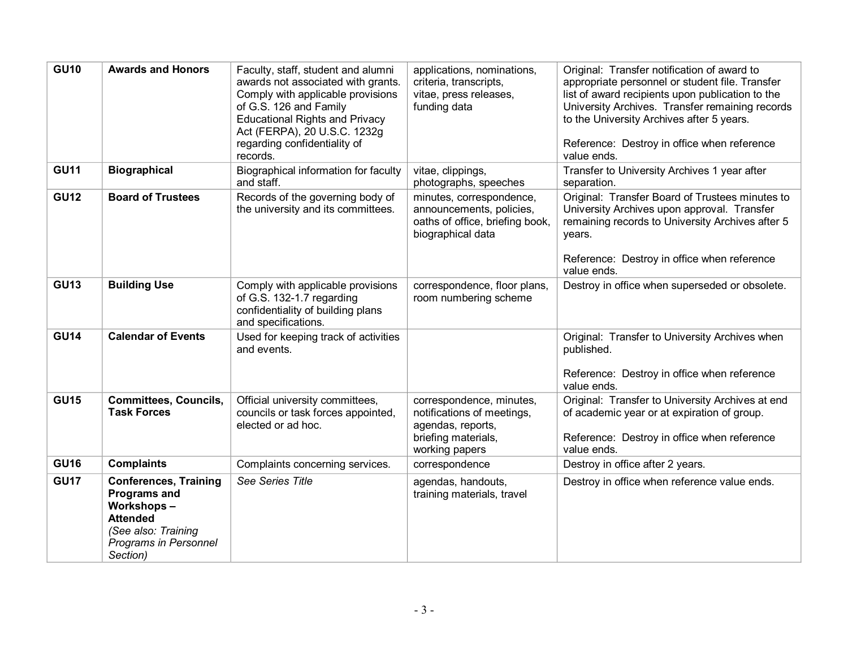| <b>GU10</b> | <b>Awards and Honors</b>                                                                                                                         | Faculty, staff, student and alumni<br>awards not associated with grants.<br>Comply with applicable provisions<br>of G.S. 126 and Family<br><b>Educational Rights and Privacy</b><br>Act (FERPA), 20 U.S.C. 1232g<br>regarding confidentiality of<br>records. | applications, nominations,<br>criteria, transcripts,<br>vitae, press releases,<br>funding data                       | Original: Transfer notification of award to<br>appropriate personnel or student file. Transfer<br>list of award recipients upon publication to the<br>University Archives. Transfer remaining records<br>to the University Archives after 5 years.<br>Reference: Destroy in office when reference<br>value ends. |
|-------------|--------------------------------------------------------------------------------------------------------------------------------------------------|--------------------------------------------------------------------------------------------------------------------------------------------------------------------------------------------------------------------------------------------------------------|----------------------------------------------------------------------------------------------------------------------|------------------------------------------------------------------------------------------------------------------------------------------------------------------------------------------------------------------------------------------------------------------------------------------------------------------|
| <b>GU11</b> | <b>Biographical</b>                                                                                                                              | Biographical information for faculty<br>and staff.                                                                                                                                                                                                           | vitae, clippings,<br>photographs, speeches                                                                           | Transfer to University Archives 1 year after<br>separation.                                                                                                                                                                                                                                                      |
| <b>GU12</b> | <b>Board of Trustees</b>                                                                                                                         | Records of the governing body of<br>the university and its committees.                                                                                                                                                                                       | minutes, correspondence,<br>announcements, policies,<br>oaths of office, briefing book,<br>biographical data         | Original: Transfer Board of Trustees minutes to<br>University Archives upon approval. Transfer<br>remaining records to University Archives after 5<br>years.<br>Reference: Destroy in office when reference<br>value ends.                                                                                       |
| <b>GU13</b> | <b>Building Use</b>                                                                                                                              | Comply with applicable provisions<br>of G.S. 132-1.7 regarding<br>confidentiality of building plans<br>and specifications.                                                                                                                                   | correspondence, floor plans,<br>room numbering scheme                                                                | Destroy in office when superseded or obsolete.                                                                                                                                                                                                                                                                   |
| <b>GU14</b> | <b>Calendar of Events</b>                                                                                                                        | Used for keeping track of activities<br>and events.                                                                                                                                                                                                          |                                                                                                                      | Original: Transfer to University Archives when<br>published.<br>Reference: Destroy in office when reference<br>value ends.                                                                                                                                                                                       |
| <b>GU15</b> | <b>Committees, Councils,</b><br><b>Task Forces</b>                                                                                               | Official university committees,<br>councils or task forces appointed,<br>elected or ad hoc.                                                                                                                                                                  | correspondence, minutes,<br>notifications of meetings,<br>agendas, reports,<br>briefing materials,<br>working papers | Original: Transfer to University Archives at end<br>of academic year or at expiration of group.<br>Reference: Destroy in office when reference<br>value ends.                                                                                                                                                    |
| <b>GU16</b> | <b>Complaints</b>                                                                                                                                | Complaints concerning services.                                                                                                                                                                                                                              | correspondence                                                                                                       | Destroy in office after 2 years.                                                                                                                                                                                                                                                                                 |
| <b>GU17</b> | <b>Conferences, Training</b><br><b>Programs and</b><br>Workshops-<br><b>Attended</b><br>(See also: Training<br>Programs in Personnel<br>Section) | See Series Title                                                                                                                                                                                                                                             | agendas, handouts,<br>training materials, travel                                                                     | Destroy in office when reference value ends.                                                                                                                                                                                                                                                                     |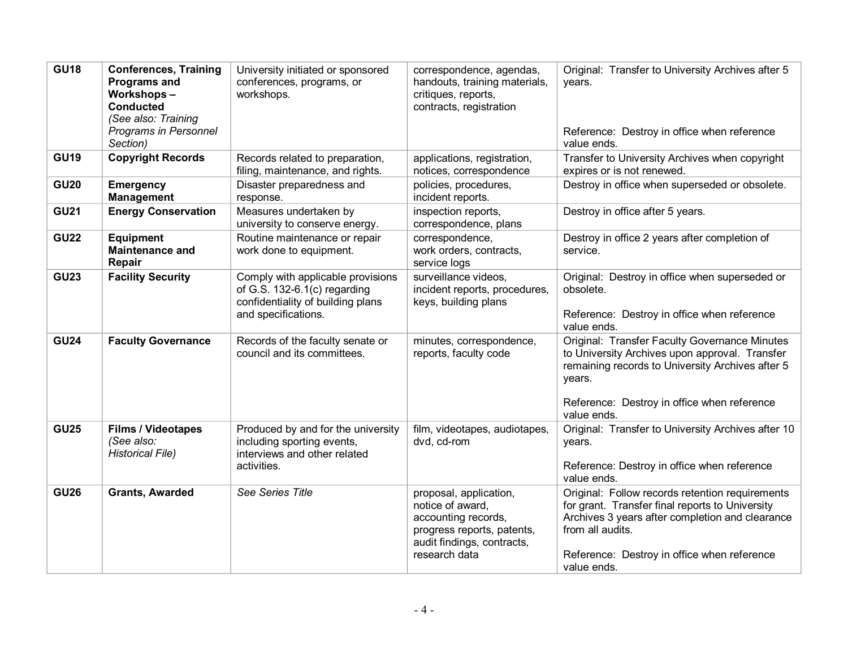| <b>GU18</b> | <b>Conferences, Training</b><br><b>Programs and</b><br><b>Workshops-</b><br><b>Conducted</b><br>(See also: Training<br>Programs in Personnel<br>Section) | University initiated or sponsored<br>conferences, programs, or<br>workshops.                                                    | correspondence, agendas,<br>handouts, training materials,<br>critiques, reports,<br>contracts, registration                                    | Original: Transfer to University Archives after 5<br>years.<br>Reference: Destroy in office when reference<br>value ends.                                                                                                               |
|-------------|----------------------------------------------------------------------------------------------------------------------------------------------------------|---------------------------------------------------------------------------------------------------------------------------------|------------------------------------------------------------------------------------------------------------------------------------------------|-----------------------------------------------------------------------------------------------------------------------------------------------------------------------------------------------------------------------------------------|
| <b>GU19</b> | <b>Copyright Records</b>                                                                                                                                 | Records related to preparation,<br>filing, maintenance, and rights.                                                             | applications, registration,<br>notices, correspondence                                                                                         | Transfer to University Archives when copyright<br>expires or is not renewed.                                                                                                                                                            |
| <b>GU20</b> | <b>Emergency</b><br><b>Management</b>                                                                                                                    | Disaster preparedness and<br>response.                                                                                          | policies, procedures,<br>incident reports.                                                                                                     | Destroy in office when superseded or obsolete.                                                                                                                                                                                          |
| <b>GU21</b> | <b>Energy Conservation</b>                                                                                                                               | Measures undertaken by<br>university to conserve energy.                                                                        | inspection reports,<br>correspondence, plans                                                                                                   | Destroy in office after 5 years.                                                                                                                                                                                                        |
| <b>GU22</b> | <b>Equipment</b><br><b>Maintenance and</b><br>Repair                                                                                                     | Routine maintenance or repair<br>work done to equipment.                                                                        | correspondence,<br>work orders, contracts,<br>service logs                                                                                     | Destroy in office 2 years after completion of<br>service.                                                                                                                                                                               |
| <b>GU23</b> | <b>Facility Security</b>                                                                                                                                 | Comply with applicable provisions<br>of G.S. $132-6.1(c)$ regarding<br>confidentiality of building plans<br>and specifications. | surveillance videos.<br>incident reports, procedures,<br>keys, building plans                                                                  | Original: Destroy in office when superseded or<br>obsolete.<br>Reference: Destroy in office when reference<br>value ends.                                                                                                               |
| <b>GU24</b> | <b>Faculty Governance</b>                                                                                                                                | Records of the faculty senate or<br>council and its committees.                                                                 | minutes, correspondence,<br>reports, faculty code                                                                                              | Original: Transfer Faculty Governance Minutes<br>to University Archives upon approval. Transfer<br>remaining records to University Archives after 5<br>years.<br>Reference: Destroy in office when reference<br>value ends.             |
| <b>GU25</b> | <b>Films / Videotapes</b><br>(See also:<br><b>Historical File)</b>                                                                                       | Produced by and for the university<br>including sporting events,<br>interviews and other related<br>activities.                 | film, videotapes, audiotapes,<br>dvd, cd-rom                                                                                                   | Original: Transfer to University Archives after 10<br>years.<br>Reference: Destroy in office when reference<br>value ends.                                                                                                              |
| <b>GU26</b> | <b>Grants, Awarded</b>                                                                                                                                   | See Series Title                                                                                                                | proposal, application,<br>notice of award,<br>accounting records,<br>progress reports, patents,<br>audit findings, contracts,<br>research data | Original: Follow records retention requirements<br>for grant. Transfer final reports to University<br>Archives 3 years after completion and clearance<br>from all audits.<br>Reference: Destroy in office when reference<br>value ends. |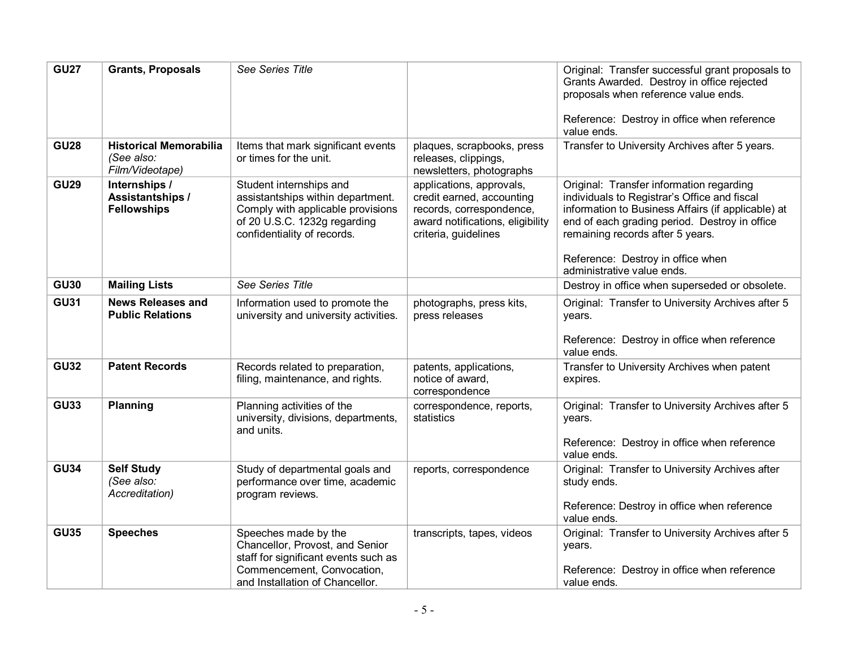| <b>GU27</b> | <b>Grants, Proposals</b>                                       | See Series Title                                                                                                                                                 |                                                                                                                                               | Original: Transfer successful grant proposals to<br>Grants Awarded. Destroy in office rejected<br>proposals when reference value ends.<br>Reference: Destroy in office when reference<br>value ends.                                                                                                   |
|-------------|----------------------------------------------------------------|------------------------------------------------------------------------------------------------------------------------------------------------------------------|-----------------------------------------------------------------------------------------------------------------------------------------------|--------------------------------------------------------------------------------------------------------------------------------------------------------------------------------------------------------------------------------------------------------------------------------------------------------|
| <b>GU28</b> | <b>Historical Memorabilia</b><br>(See also:<br>Film/Videotape) | Items that mark significant events<br>or times for the unit.                                                                                                     | plaques, scrapbooks, press<br>releases, clippings,<br>newsletters, photographs                                                                | Transfer to University Archives after 5 years.                                                                                                                                                                                                                                                         |
| <b>GU29</b> | Internships /<br>Assistantships /<br><b>Fellowships</b>        | Student internships and<br>assistantships within department.<br>Comply with applicable provisions<br>of 20 U.S.C. 1232g regarding<br>confidentiality of records. | applications, approvals,<br>credit earned, accounting<br>records, correspondence,<br>award notifications, eligibility<br>criteria, guidelines | Original: Transfer information regarding<br>individuals to Registrar's Office and fiscal<br>information to Business Affairs (if applicable) at<br>end of each grading period. Destroy in office<br>remaining records after 5 years.<br>Reference: Destroy in office when<br>administrative value ends. |
| <b>GU30</b> | <b>Mailing Lists</b>                                           | See Series Title                                                                                                                                                 |                                                                                                                                               | Destroy in office when superseded or obsolete.                                                                                                                                                                                                                                                         |
| <b>GU31</b> | <b>News Releases and</b><br><b>Public Relations</b>            | Information used to promote the<br>university and university activities.                                                                                         | photographs, press kits,<br>press releases                                                                                                    | Original: Transfer to University Archives after 5<br>years.<br>Reference: Destroy in office when reference                                                                                                                                                                                             |
| <b>GU32</b> | <b>Patent Records</b>                                          | Records related to preparation,<br>filing, maintenance, and rights.                                                                                              | patents, applications,<br>notice of award,<br>correspondence                                                                                  | value ends.<br>Transfer to University Archives when patent<br>expires.                                                                                                                                                                                                                                 |
| <b>GU33</b> | Planning                                                       | Planning activities of the<br>university, divisions, departments,<br>and units.                                                                                  | correspondence, reports,<br>statistics                                                                                                        | Original: Transfer to University Archives after 5<br>years.<br>Reference: Destroy in office when reference<br>value ends.                                                                                                                                                                              |
| <b>GU34</b> | <b>Self Study</b><br>(See also:<br>Accreditation)              | Study of departmental goals and<br>performance over time, academic<br>program reviews.                                                                           | reports, correspondence                                                                                                                       | Original: Transfer to University Archives after<br>study ends.<br>Reference: Destroy in office when reference<br>value ends.                                                                                                                                                                           |
| <b>GU35</b> | <b>Speeches</b>                                                | Speeches made by the<br>Chancellor, Provost, and Senior<br>staff for significant events such as<br>Commencement, Convocation,<br>and Installation of Chancellor. | transcripts, tapes, videos                                                                                                                    | Original: Transfer to University Archives after 5<br>years.<br>Reference: Destroy in office when reference<br>value ends.                                                                                                                                                                              |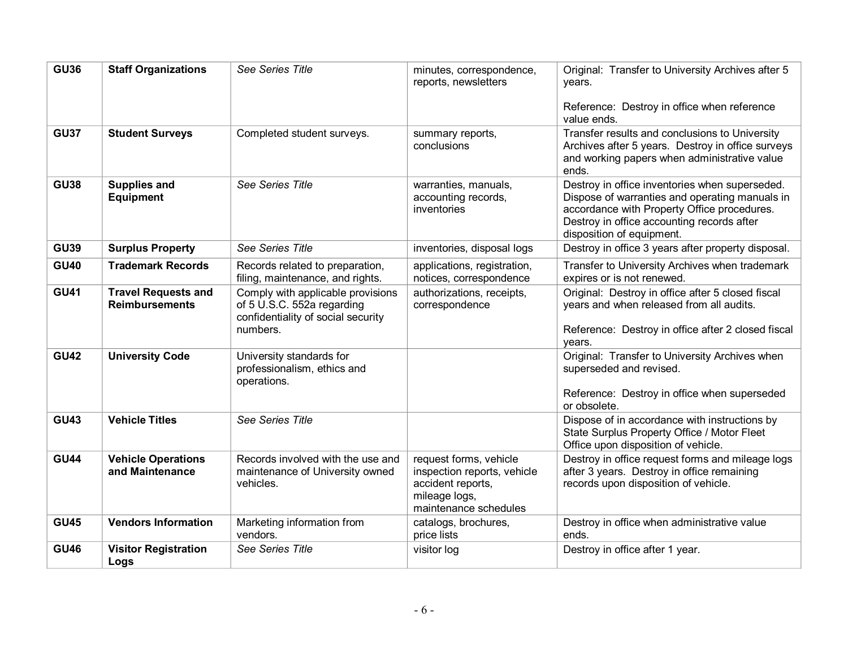| <b>GU36</b> | <b>Staff Organizations</b>                          | See Series Title                                                                                                  | minutes, correspondence,<br>reports, newsletters                                                                     | Original: Transfer to University Archives after 5<br>vears.                                                                                                                                                                |
|-------------|-----------------------------------------------------|-------------------------------------------------------------------------------------------------------------------|----------------------------------------------------------------------------------------------------------------------|----------------------------------------------------------------------------------------------------------------------------------------------------------------------------------------------------------------------------|
|             |                                                     |                                                                                                                   |                                                                                                                      | Reference: Destroy in office when reference<br>value ends.                                                                                                                                                                 |
| <b>GU37</b> | <b>Student Surveys</b>                              | Completed student surveys.                                                                                        | summary reports,<br>conclusions                                                                                      | Transfer results and conclusions to University<br>Archives after 5 years. Destroy in office surveys<br>and working papers when administrative value<br>ends.                                                               |
| <b>GU38</b> | <b>Supplies and</b><br><b>Equipment</b>             | See Series Title                                                                                                  | warranties, manuals,<br>accounting records,<br>inventories                                                           | Destroy in office inventories when superseded.<br>Dispose of warranties and operating manuals in<br>accordance with Property Office procedures.<br>Destroy in office accounting records after<br>disposition of equipment. |
| <b>GU39</b> | <b>Surplus Property</b>                             | See Series Title                                                                                                  | inventories, disposal logs                                                                                           | Destroy in office 3 years after property disposal.                                                                                                                                                                         |
| <b>GU40</b> | <b>Trademark Records</b>                            | Records related to preparation,<br>filing, maintenance, and rights.                                               | applications, registration,<br>notices, correspondence                                                               | Transfer to University Archives when trademark<br>expires or is not renewed.                                                                                                                                               |
| <b>GU41</b> | <b>Travel Requests and</b><br><b>Reimbursements</b> | Comply with applicable provisions<br>of 5 U.S.C. 552a regarding<br>confidentiality of social security<br>numbers. | authorizations, receipts,<br>correspondence                                                                          | Original: Destroy in office after 5 closed fiscal<br>years and when released from all audits.<br>Reference: Destroy in office after 2 closed fiscal<br>years.                                                              |
| <b>GU42</b> | <b>University Code</b>                              | University standards for<br>professionalism, ethics and<br>operations.                                            |                                                                                                                      | Original: Transfer to University Archives when<br>superseded and revised.<br>Reference: Destroy in office when superseded<br>or obsolete.                                                                                  |
| <b>GU43</b> | <b>Vehicle Titles</b>                               | See Series Title                                                                                                  |                                                                                                                      | Dispose of in accordance with instructions by<br>State Surplus Property Office / Motor Fleet<br>Office upon disposition of vehicle.                                                                                        |
| <b>GU44</b> | <b>Vehicle Operations</b><br>and Maintenance        | Records involved with the use and<br>maintenance of University owned<br>vehicles.                                 | request forms, vehicle<br>inspection reports, vehicle<br>accident reports,<br>mileage logs,<br>maintenance schedules | Destroy in office request forms and mileage logs<br>after 3 years. Destroy in office remaining<br>records upon disposition of vehicle.                                                                                     |
| <b>GU45</b> | <b>Vendors Information</b>                          | Marketing information from<br>vendors.                                                                            | catalogs, brochures,<br>price lists                                                                                  | Destroy in office when administrative value<br>ends.                                                                                                                                                                       |
| <b>GU46</b> | <b>Visitor Registration</b><br>Logs                 | See Series Title                                                                                                  | visitor log                                                                                                          | Destroy in office after 1 year.                                                                                                                                                                                            |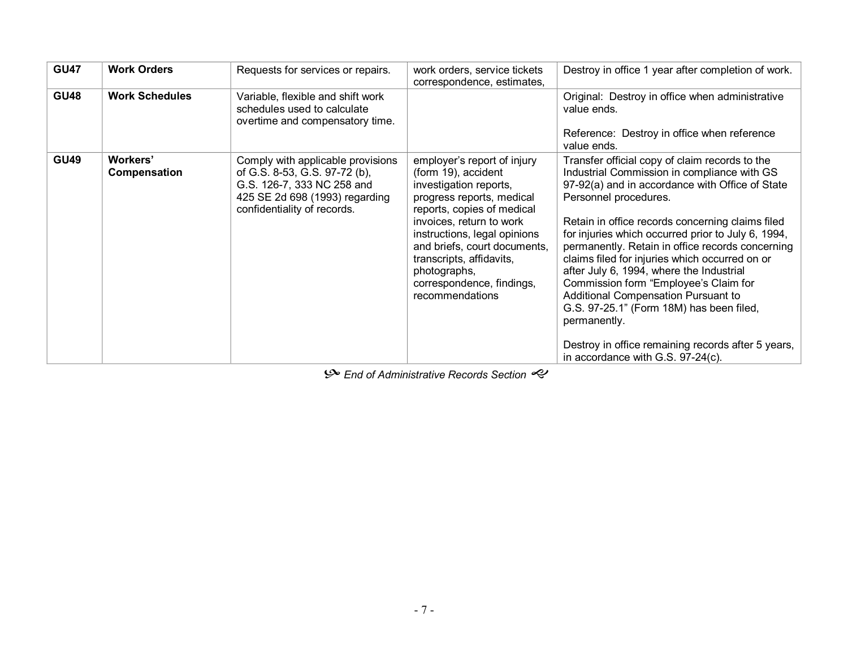| <b>GU47</b> | <b>Work Orders</b>       | Requests for services or repairs.                                                                                                                                 | work orders, service tickets<br>correspondence, estimates,                                                                                                                                                                                                                                                                      | Destroy in office 1 year after completion of work.                                                                                                                                                                                                                                                                                                                                                                                                                                                                                                                                                                                                                                  |
|-------------|--------------------------|-------------------------------------------------------------------------------------------------------------------------------------------------------------------|---------------------------------------------------------------------------------------------------------------------------------------------------------------------------------------------------------------------------------------------------------------------------------------------------------------------------------|-------------------------------------------------------------------------------------------------------------------------------------------------------------------------------------------------------------------------------------------------------------------------------------------------------------------------------------------------------------------------------------------------------------------------------------------------------------------------------------------------------------------------------------------------------------------------------------------------------------------------------------------------------------------------------------|
| <b>GU48</b> | <b>Work Schedules</b>    | Variable, flexible and shift work<br>schedules used to calculate<br>overtime and compensatory time.                                                               |                                                                                                                                                                                                                                                                                                                                 | Original: Destroy in office when administrative<br>value ends.<br>Reference: Destroy in office when reference<br>value ends.                                                                                                                                                                                                                                                                                                                                                                                                                                                                                                                                                        |
| <b>GU49</b> | Workers'<br>Compensation | Comply with applicable provisions<br>of G.S. 8-53, G.S. 97-72 (b),<br>G.S. 126-7, 333 NC 258 and<br>425 SE 2d 698 (1993) regarding<br>confidentiality of records. | employer's report of injury<br>(form 19), accident<br>investigation reports,<br>progress reports, medical<br>reports, copies of medical<br>invoices, return to work<br>instructions, legal opinions<br>and briefs, court documents,<br>transcripts, affidavits,<br>photographs,<br>correspondence, findings,<br>recommendations | Transfer official copy of claim records to the<br>Industrial Commission in compliance with GS<br>97-92(a) and in accordance with Office of State<br>Personnel procedures.<br>Retain in office records concerning claims filed<br>for injuries which occurred prior to July 6, 1994,<br>permanently. Retain in office records concerning<br>claims filed for injuries which occurred on or<br>after July 6, 1994, where the Industrial<br>Commission form "Employee's Claim for<br><b>Additional Compensation Pursuant to</b><br>G.S. 97-25.1" (Form 18M) has been filed,<br>permanently.<br>Destroy in office remaining records after 5 years,<br>in accordance with G.S. 97-24(c). |

 $\mathcal{P}$  End of Administrative Records Section  $\ll$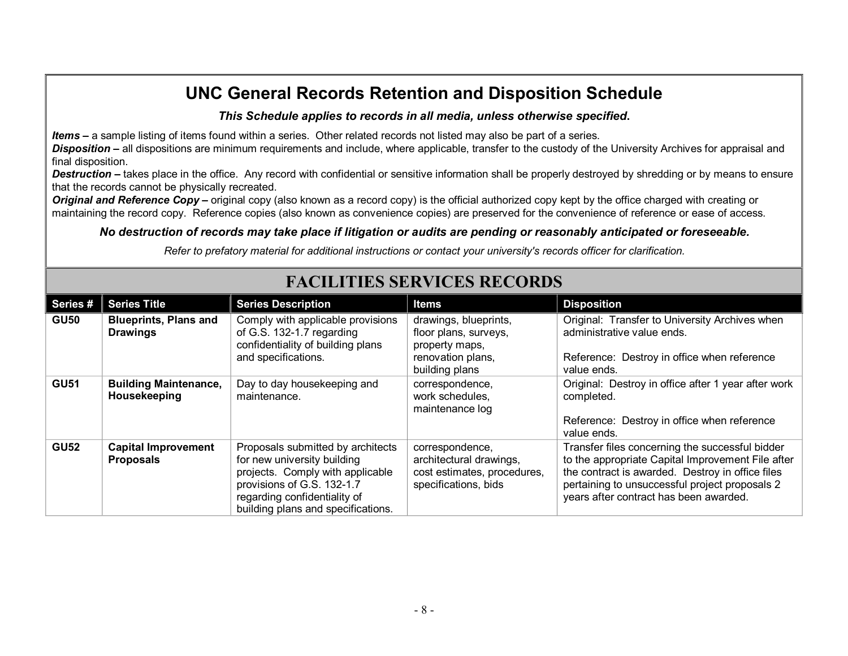### *This Schedule applies to records in all media, unless otherwise specified***.**

*Items* **–** a sample listing of items found within a series. Other related records not listed may also be part of a series.

**Disposition** – all dispositions are minimum requirements and include, where applicable, transfer to the custody of the University Archives for appraisal and final disposition.

**Destruction** – takes place in the office. Any record with confidential or sensitive information shall be properly destroyed by shredding or by means to ensure that the records cannot be physically recreated.

*Original and Reference Copy* – original copy (also known as a record copy) is the official authorized copy kept by the office charged with creating or maintaining the record copy. Reference copies (also known as convenience copies) are preserved for the convenience of reference or ease of access.

### *No destruction of records may take place if litigation or audits are pending or reasonably anticipated or foreseeable.*

*Refer to prefatory material for additional instructions or contact your university's records officer for clarification.*

| Series #    | <b>Series Title</b>                             | <b>Series Description</b>                                                                                                                                                                                | <b>Items</b>                                                                                            | <b>Disposition</b>                                                                                                                                                                                                                                   |  |  |  |
|-------------|-------------------------------------------------|----------------------------------------------------------------------------------------------------------------------------------------------------------------------------------------------------------|---------------------------------------------------------------------------------------------------------|------------------------------------------------------------------------------------------------------------------------------------------------------------------------------------------------------------------------------------------------------|--|--|--|
| <b>GU50</b> | <b>Blueprints, Plans and</b><br><b>Drawings</b> | Comply with applicable provisions<br>of G.S. 132-1.7 regarding<br>confidentiality of building plans<br>and specifications.                                                                               | drawings, blueprints,<br>floor plans, surveys,<br>property maps,<br>renovation plans,<br>building plans | Original: Transfer to University Archives when<br>administrative value ends.<br>Reference: Destroy in office when reference<br>value ends.                                                                                                           |  |  |  |
| <b>GU51</b> | <b>Building Maintenance,</b><br>Housekeeping    | Day to day housekeeping and<br>maintenance.                                                                                                                                                              | correspondence,<br>work schedules.<br>maintenance log                                                   | Original: Destroy in office after 1 year after work<br>completed.<br>Reference: Destroy in office when reference<br>value ends.                                                                                                                      |  |  |  |
| <b>GU52</b> | <b>Capital Improvement</b><br><b>Proposals</b>  | Proposals submitted by architects<br>for new university building<br>projects. Comply with applicable<br>provisions of G.S. 132-1.7<br>regarding confidentiality of<br>building plans and specifications. | correspondence,<br>architectural drawings,<br>cost estimates, procedures,<br>specifications, bids       | Transfer files concerning the successful bidder<br>to the appropriate Capital Improvement File after<br>the contract is awarded. Destroy in office files<br>pertaining to unsuccessful project proposals 2<br>years after contract has been awarded. |  |  |  |

# **FACILITIES SERVICES RECORDS**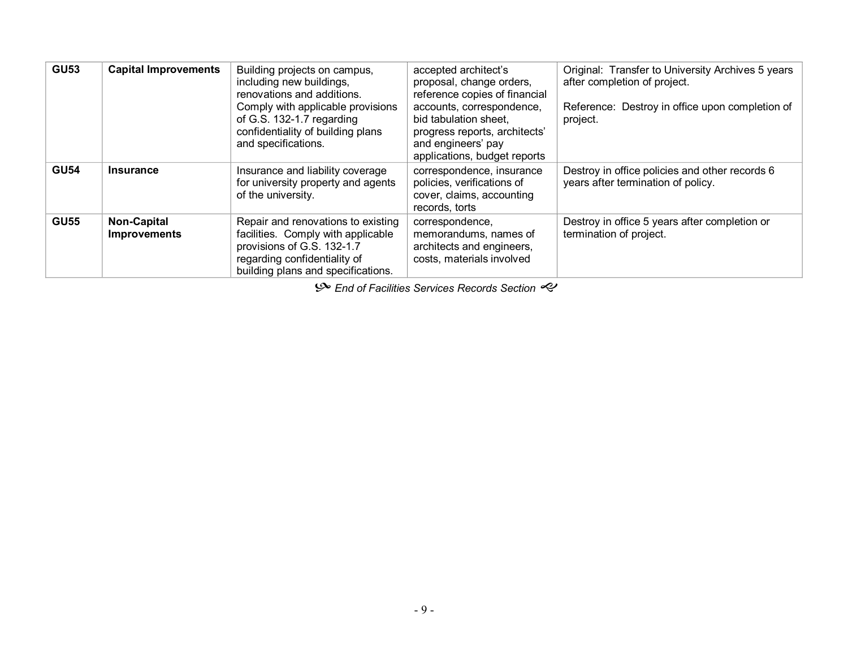| <b>GU53</b> | <b>Capital Improvements</b>               | Building projects on campus,<br>including new buildings,<br>renovations and additions.<br>Comply with applicable provisions<br>of G.S. 132-1.7 regarding<br>confidentiality of building plans<br>and specifications. | accepted architect's<br>proposal, change orders,<br>reference copies of financial<br>accounts, correspondence,<br>bid tabulation sheet.<br>progress reports, architects'<br>and engineers' pay<br>applications, budget reports | Original: Transfer to University Archives 5 years<br>after completion of project.<br>Reference: Destroy in office upon completion of<br>project. |
|-------------|-------------------------------------------|----------------------------------------------------------------------------------------------------------------------------------------------------------------------------------------------------------------------|--------------------------------------------------------------------------------------------------------------------------------------------------------------------------------------------------------------------------------|--------------------------------------------------------------------------------------------------------------------------------------------------|
| <b>GU54</b> | <b>Insurance</b>                          | Insurance and liability coverage<br>for university property and agents<br>of the university.                                                                                                                         | correspondence, insurance<br>policies, verifications of<br>cover, claims, accounting<br>records, torts                                                                                                                         | Destroy in office policies and other records 6<br>years after termination of policy.                                                             |
| <b>GU55</b> | <b>Non-Capital</b><br><b>Improvements</b> | Repair and renovations to existing<br>facilities. Comply with applicable<br>provisions of G.S. 132-1.7<br>regarding confidentiality of<br>building plans and specifications.                                         | correspondence,<br>memorandums, names of<br>architects and engineers,<br>costs, materials involved                                                                                                                             | Destroy in office 5 years after completion or<br>termination of project.                                                                         |

 $\mathcal{S}$  End of Facilities Services Records Section  $\mathcal{C}$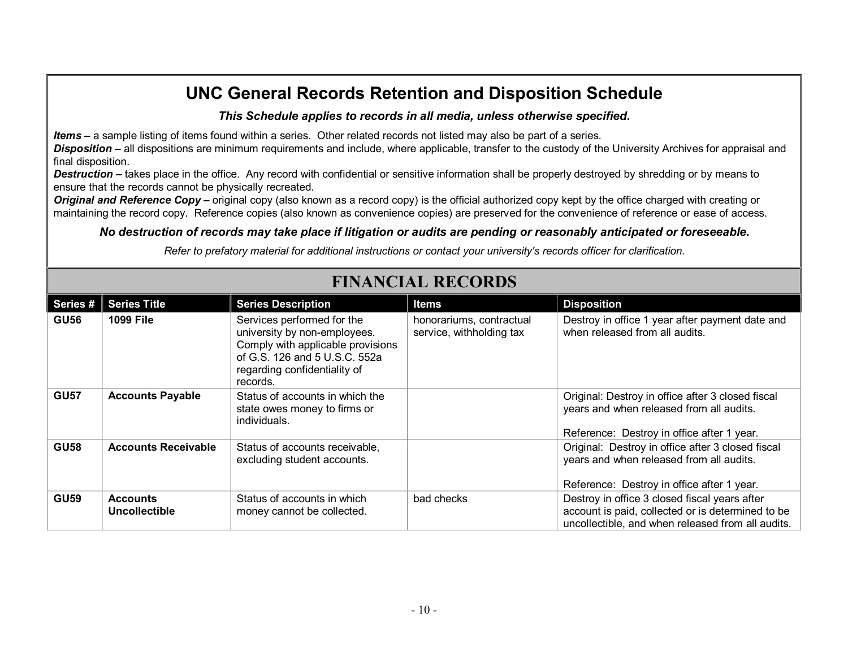### *This Schedule applies to records in all media, unless otherwise specified***.**

*Items* **–** a sample listing of items found within a series. Other related records not listed may also be part of a series.

*Disposition* **–** all dispositions are minimum requirements and include, where applicable, transfer to the custody of the University Archives for appraisal and final disposition.

**Destruction** – takes place in the office. Any record with confidential or sensitive information shall be properly destroyed by shredding or by means to ensure that the records cannot be physically recreated.

*Original and Reference Copy* – original copy (also known as a record copy) is the official authorized copy kept by the office charged with creating or maintaining the record copy. Reference copies (also known as convenience copies) are preserved for the convenience of reference or ease of access.

### *No destruction of records may take place if litigation or audits are pending or reasonably anticipated or foreseeable.*

*Refer to prefatory material for additional instructions or contact your university's records officer for clarification.*

| Series #    | <b>Series Title</b>              | <b>Series Description</b>                                                                                                                                                    | <b>Items</b>                                         | <b>Disposition</b>                                                                                                                                      |
|-------------|----------------------------------|------------------------------------------------------------------------------------------------------------------------------------------------------------------------------|------------------------------------------------------|---------------------------------------------------------------------------------------------------------------------------------------------------------|
| <b>GU56</b> | <b>1099 File</b>                 | Services performed for the<br>university by non-employees.<br>Comply with applicable provisions<br>of G.S. 126 and 5 U.S.C. 552a<br>regarding confidentiality of<br>records. | honorariums, contractual<br>service, withholding tax | Destroy in office 1 year after payment date and<br>when released from all audits.                                                                       |
| <b>GU57</b> | <b>Accounts Payable</b>          | Status of accounts in which the<br>state owes money to firms or<br>individuals.                                                                                              |                                                      | Original: Destroy in office after 3 closed fiscal<br>years and when released from all audits.<br>Reference: Destroy in office after 1 year.             |
| <b>GU58</b> | <b>Accounts Receivable</b>       | Status of accounts receivable,<br>excluding student accounts.                                                                                                                |                                                      | Original: Destroy in office after 3 closed fiscal<br>years and when released from all audits.<br>Reference: Destroy in office after 1 year.             |
| <b>GU59</b> | <b>Accounts</b><br>Uncollectible | Status of accounts in which<br>money cannot be collected.                                                                                                                    | bad checks                                           | Destroy in office 3 closed fiscal years after<br>account is paid, collected or is determined to be<br>uncollectible, and when released from all audits. |

# **FINANCIAL RECORDS**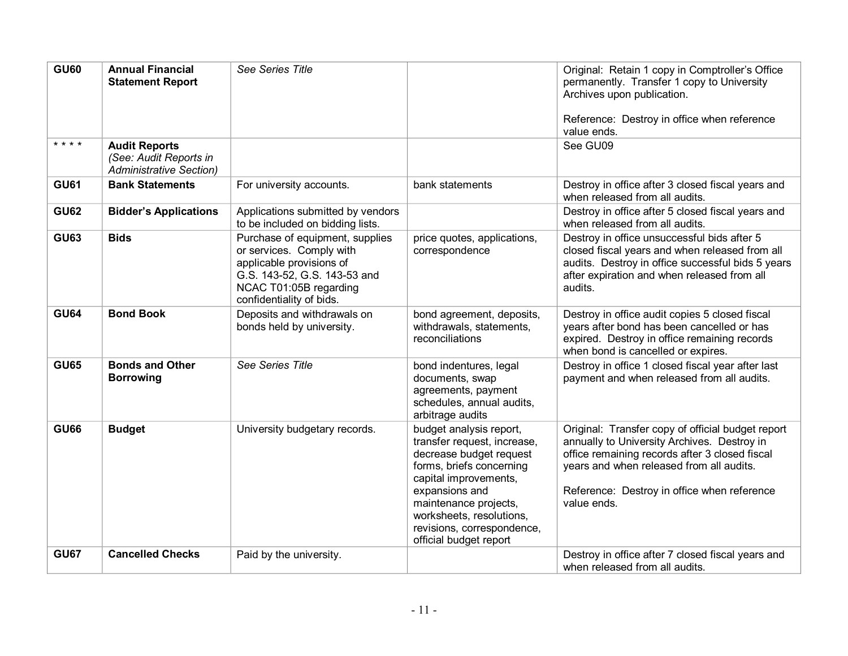| <b>GU60</b> | <b>Annual Financial</b>                                                          | See Series Title                                                                                                                                                              |                                                                                                                                                                                                                                                                       | Original: Retain 1 copy in Comptroller's Office                                                                                                                                                                                                              |
|-------------|----------------------------------------------------------------------------------|-------------------------------------------------------------------------------------------------------------------------------------------------------------------------------|-----------------------------------------------------------------------------------------------------------------------------------------------------------------------------------------------------------------------------------------------------------------------|--------------------------------------------------------------------------------------------------------------------------------------------------------------------------------------------------------------------------------------------------------------|
|             | <b>Statement Report</b>                                                          |                                                                                                                                                                               |                                                                                                                                                                                                                                                                       | permanently. Transfer 1 copy to University<br>Archives upon publication.                                                                                                                                                                                     |
|             |                                                                                  |                                                                                                                                                                               |                                                                                                                                                                                                                                                                       | Reference: Destroy in office when reference<br>value ends.                                                                                                                                                                                                   |
| * * * *     | <b>Audit Reports</b><br>(See: Audit Reports in<br><b>Administrative Section)</b> |                                                                                                                                                                               |                                                                                                                                                                                                                                                                       | See GU09                                                                                                                                                                                                                                                     |
| <b>GU61</b> | <b>Bank Statements</b>                                                           | For university accounts.                                                                                                                                                      | bank statements                                                                                                                                                                                                                                                       | Destroy in office after 3 closed fiscal years and<br>when released from all audits.                                                                                                                                                                          |
| <b>GU62</b> | <b>Bidder's Applications</b>                                                     | Applications submitted by vendors<br>to be included on bidding lists.                                                                                                         |                                                                                                                                                                                                                                                                       | Destroy in office after 5 closed fiscal years and<br>when released from all audits.                                                                                                                                                                          |
| <b>GU63</b> | <b>Bids</b>                                                                      | Purchase of equipment, supplies<br>or services. Comply with<br>applicable provisions of<br>G.S. 143-52, G.S. 143-53 and<br>NCAC T01:05B regarding<br>confidentiality of bids. | price quotes, applications,<br>correspondence                                                                                                                                                                                                                         | Destroy in office unsuccessful bids after 5<br>closed fiscal years and when released from all<br>audits. Destroy in office successful bids 5 years<br>after expiration and when released from all<br>audits.                                                 |
| <b>GU64</b> | <b>Bond Book</b>                                                                 | Deposits and withdrawals on<br>bonds held by university.                                                                                                                      | bond agreement, deposits,<br>withdrawals, statements,<br>reconciliations                                                                                                                                                                                              | Destroy in office audit copies 5 closed fiscal<br>years after bond has been cancelled or has<br>expired. Destroy in office remaining records<br>when bond is cancelled or expires.                                                                           |
| <b>GU65</b> | <b>Bonds and Other</b><br><b>Borrowing</b>                                       | See Series Title                                                                                                                                                              | bond indentures, legal<br>documents, swap<br>agreements, payment<br>schedules, annual audits,<br>arbitrage audits                                                                                                                                                     | Destroy in office 1 closed fiscal year after last<br>payment and when released from all audits.                                                                                                                                                              |
| <b>GU66</b> | <b>Budget</b>                                                                    | University budgetary records.                                                                                                                                                 | budget analysis report,<br>transfer request, increase,<br>decrease budget request<br>forms, briefs concerning<br>capital improvements,<br>expansions and<br>maintenance projects,<br>worksheets, resolutions,<br>revisions, correspondence,<br>official budget report | Original: Transfer copy of official budget report<br>annually to University Archives. Destroy in<br>office remaining records after 3 closed fiscal<br>years and when released from all audits.<br>Reference: Destroy in office when reference<br>value ends. |
| <b>GU67</b> | <b>Cancelled Checks</b>                                                          | Paid by the university.                                                                                                                                                       |                                                                                                                                                                                                                                                                       | Destroy in office after 7 closed fiscal years and<br>when released from all audits.                                                                                                                                                                          |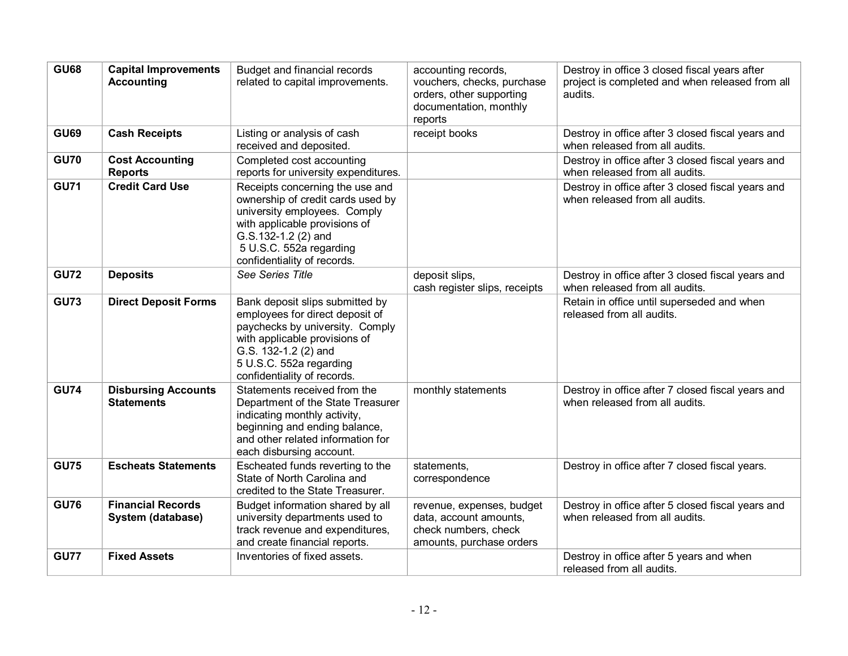| <b>GU68</b> | <b>Capital Improvements</b><br><b>Accounting</b> | Budget and financial records<br>related to capital improvements.                                                                                                                                                         | accounting records,<br>vouchers, checks, purchase<br>orders, other supporting<br>documentation, monthly<br>reports | Destroy in office 3 closed fiscal years after<br>project is completed and when released from all<br>audits. |
|-------------|--------------------------------------------------|--------------------------------------------------------------------------------------------------------------------------------------------------------------------------------------------------------------------------|--------------------------------------------------------------------------------------------------------------------|-------------------------------------------------------------------------------------------------------------|
| <b>GU69</b> | <b>Cash Receipts</b>                             | Listing or analysis of cash<br>received and deposited.                                                                                                                                                                   | receipt books                                                                                                      | Destroy in office after 3 closed fiscal years and<br>when released from all audits.                         |
| <b>GU70</b> | <b>Cost Accounting</b><br><b>Reports</b>         | Completed cost accounting<br>reports for university expenditures.                                                                                                                                                        |                                                                                                                    | Destroy in office after 3 closed fiscal years and<br>when released from all audits.                         |
| <b>GU71</b> | <b>Credit Card Use</b>                           | Receipts concerning the use and<br>ownership of credit cards used by<br>university employees. Comply<br>with applicable provisions of<br>G.S.132-1.2 (2) and<br>5 U.S.C. 552a regarding<br>confidentiality of records.   |                                                                                                                    | Destroy in office after 3 closed fiscal years and<br>when released from all audits.                         |
| <b>GU72</b> | <b>Deposits</b>                                  | See Series Title                                                                                                                                                                                                         | deposit slips,<br>cash register slips, receipts                                                                    | Destroy in office after 3 closed fiscal years and<br>when released from all audits.                         |
| <b>GU73</b> | <b>Direct Deposit Forms</b>                      | Bank deposit slips submitted by<br>employees for direct deposit of<br>paychecks by university. Comply<br>with applicable provisions of<br>G.S. 132-1.2 (2) and<br>5 U.S.C. 552a regarding<br>confidentiality of records. |                                                                                                                    | Retain in office until superseded and when<br>released from all audits.                                     |
| <b>GU74</b> | <b>Disbursing Accounts</b><br><b>Statements</b>  | Statements received from the<br>Department of the State Treasurer<br>indicating monthly activity,<br>beginning and ending balance,<br>and other related information for<br>each disbursing account.                      | monthly statements                                                                                                 | Destroy in office after 7 closed fiscal years and<br>when released from all audits.                         |
| <b>GU75</b> | <b>Escheats Statements</b>                       | Escheated funds reverting to the<br>State of North Carolina and<br>credited to the State Treasurer.                                                                                                                      | statements,<br>correspondence                                                                                      | Destroy in office after 7 closed fiscal years.                                                              |
| <b>GU76</b> | <b>Financial Records</b><br>System (database)    | Budget information shared by all<br>university departments used to<br>track revenue and expenditures,<br>and create financial reports.                                                                                   | revenue, expenses, budget<br>data, account amounts,<br>check numbers, check<br>amounts, purchase orders            | Destroy in office after 5 closed fiscal years and<br>when released from all audits.                         |
| <b>GU77</b> | <b>Fixed Assets</b>                              | Inventories of fixed assets.                                                                                                                                                                                             |                                                                                                                    | Destroy in office after 5 years and when<br>released from all audits.                                       |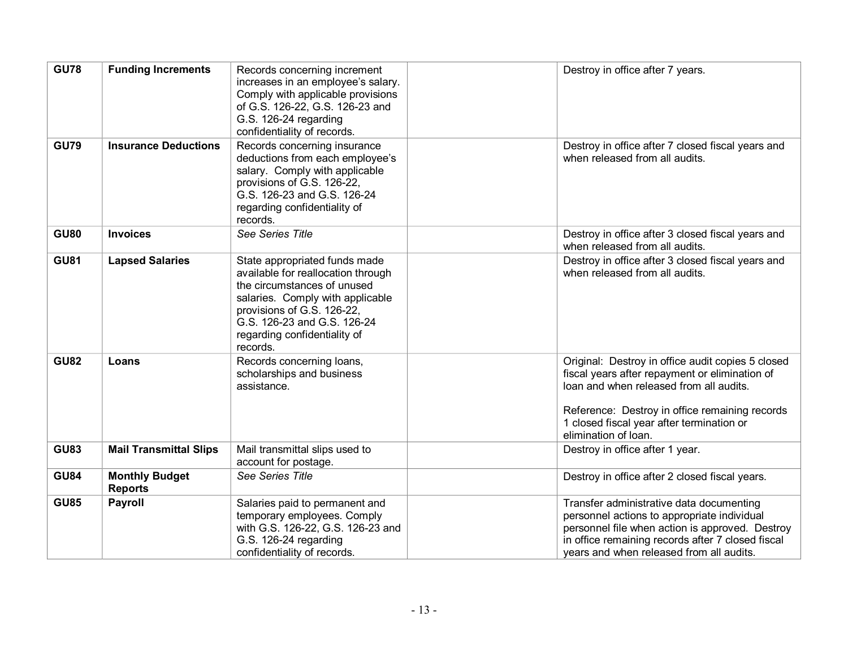| <b>GU78</b> | <b>Funding Increments</b>               | Records concerning increment<br>increases in an employee's salary.<br>Comply with applicable provisions<br>of G.S. 126-22, G.S. 126-23 and<br>G.S. 126-24 regarding<br>confidentiality of records.                                              | Destroy in office after 7 years.                                                                                                                                                                                                                                      |
|-------------|-----------------------------------------|-------------------------------------------------------------------------------------------------------------------------------------------------------------------------------------------------------------------------------------------------|-----------------------------------------------------------------------------------------------------------------------------------------------------------------------------------------------------------------------------------------------------------------------|
| <b>GU79</b> | <b>Insurance Deductions</b>             | Records concerning insurance<br>deductions from each employee's<br>salary. Comply with applicable<br>provisions of G.S. 126-22,<br>G.S. 126-23 and G.S. 126-24<br>regarding confidentiality of<br>records.                                      | Destroy in office after 7 closed fiscal years and<br>when released from all audits.                                                                                                                                                                                   |
| <b>GU80</b> | <b>Invoices</b>                         | See Series Title                                                                                                                                                                                                                                | Destroy in office after 3 closed fiscal years and<br>when released from all audits.                                                                                                                                                                                   |
| <b>GU81</b> | <b>Lapsed Salaries</b>                  | State appropriated funds made<br>available for reallocation through<br>the circumstances of unused<br>salaries. Comply with applicable<br>provisions of G.S. 126-22,<br>G.S. 126-23 and G.S. 126-24<br>regarding confidentiality of<br>records. | Destroy in office after 3 closed fiscal years and<br>when released from all audits.                                                                                                                                                                                   |
| <b>GU82</b> | Loans                                   | Records concerning loans,<br>scholarships and business<br>assistance.                                                                                                                                                                           | Original: Destroy in office audit copies 5 closed<br>fiscal years after repayment or elimination of<br>loan and when released from all audits.<br>Reference: Destroy in office remaining records<br>1 closed fiscal year after termination or<br>elimination of loan. |
| <b>GU83</b> | <b>Mail Transmittal Slips</b>           | Mail transmittal slips used to<br>account for postage.                                                                                                                                                                                          | Destroy in office after 1 year.                                                                                                                                                                                                                                       |
| <b>GU84</b> | <b>Monthly Budget</b><br><b>Reports</b> | See Series Title                                                                                                                                                                                                                                | Destroy in office after 2 closed fiscal years.                                                                                                                                                                                                                        |
| <b>GU85</b> | <b>Payroll</b>                          | Salaries paid to permanent and<br>temporary employees. Comply<br>with G.S. 126-22, G.S. 126-23 and<br>G.S. 126-24 regarding<br>confidentiality of records.                                                                                      | Transfer administrative data documenting<br>personnel actions to appropriate individual<br>personnel file when action is approved. Destroy<br>in office remaining records after 7 closed fiscal<br>years and when released from all audits.                           |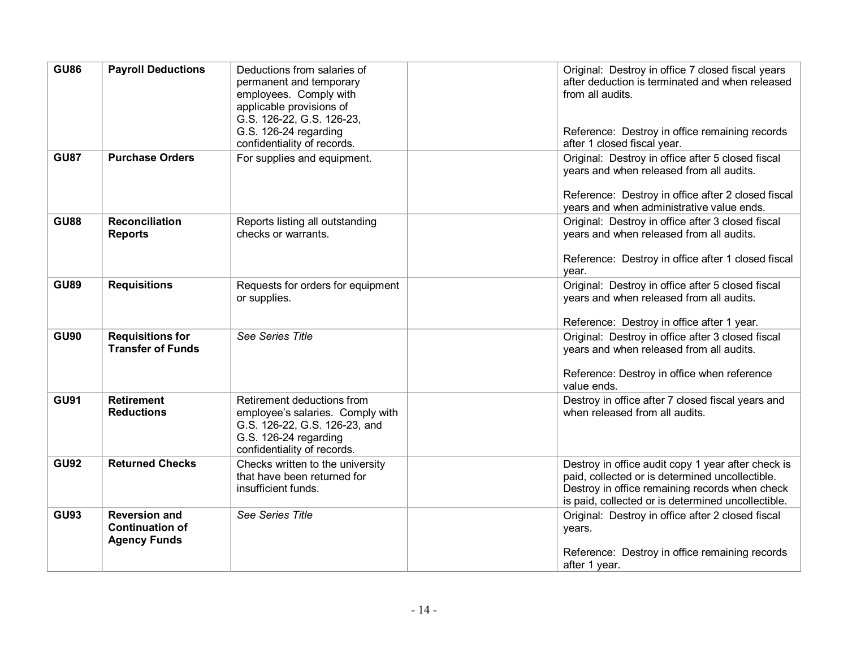| <b>GU86</b> | <b>Payroll Deductions</b>                                             | Deductions from salaries of<br>permanent and temporary<br>employees. Comply with<br>applicable provisions of<br>G.S. 126-22, G.S. 126-23,<br>G.S. 126-24 regarding<br>confidentiality of records. | Original: Destroy in office 7 closed fiscal years<br>after deduction is terminated and when released<br>from all audits.<br>Reference: Destroy in office remaining records<br>after 1 closed fiscal year.     |
|-------------|-----------------------------------------------------------------------|---------------------------------------------------------------------------------------------------------------------------------------------------------------------------------------------------|---------------------------------------------------------------------------------------------------------------------------------------------------------------------------------------------------------------|
| <b>GU87</b> | <b>Purchase Orders</b>                                                | For supplies and equipment.                                                                                                                                                                       | Original: Destroy in office after 5 closed fiscal<br>years and when released from all audits.<br>Reference: Destroy in office after 2 closed fiscal<br>years and when administrative value ends.              |
| <b>GU88</b> | <b>Reconciliation</b><br><b>Reports</b>                               | Reports listing all outstanding<br>checks or warrants.                                                                                                                                            | Original: Destroy in office after 3 closed fiscal<br>years and when released from all audits.<br>Reference: Destroy in office after 1 closed fiscal<br>year.                                                  |
| <b>GU89</b> | <b>Requisitions</b>                                                   | Requests for orders for equipment<br>or supplies.                                                                                                                                                 | Original: Destroy in office after 5 closed fiscal<br>years and when released from all audits.<br>Reference: Destroy in office after 1 year.                                                                   |
| <b>GU90</b> | <b>Requisitions for</b><br><b>Transfer of Funds</b>                   | See Series Title                                                                                                                                                                                  | Original: Destroy in office after 3 closed fiscal<br>years and when released from all audits.<br>Reference: Destroy in office when reference<br>value ends.                                                   |
| <b>GU91</b> | <b>Retirement</b><br><b>Reductions</b>                                | Retirement deductions from<br>employee's salaries. Comply with<br>G.S. 126-22, G.S. 126-23, and<br>G.S. 126-24 regarding<br>confidentiality of records.                                           | Destroy in office after 7 closed fiscal years and<br>when released from all audits.                                                                                                                           |
| <b>GU92</b> | <b>Returned Checks</b>                                                | Checks written to the university<br>that have been returned for<br>insufficient funds.                                                                                                            | Destroy in office audit copy 1 year after check is<br>paid, collected or is determined uncollectible.<br>Destroy in office remaining records when check<br>is paid, collected or is determined uncollectible. |
| <b>GU93</b> | <b>Reversion and</b><br><b>Continuation of</b><br><b>Agency Funds</b> | See Series Title                                                                                                                                                                                  | Original: Destroy in office after 2 closed fiscal<br>years.<br>Reference: Destroy in office remaining records<br>after 1 year.                                                                                |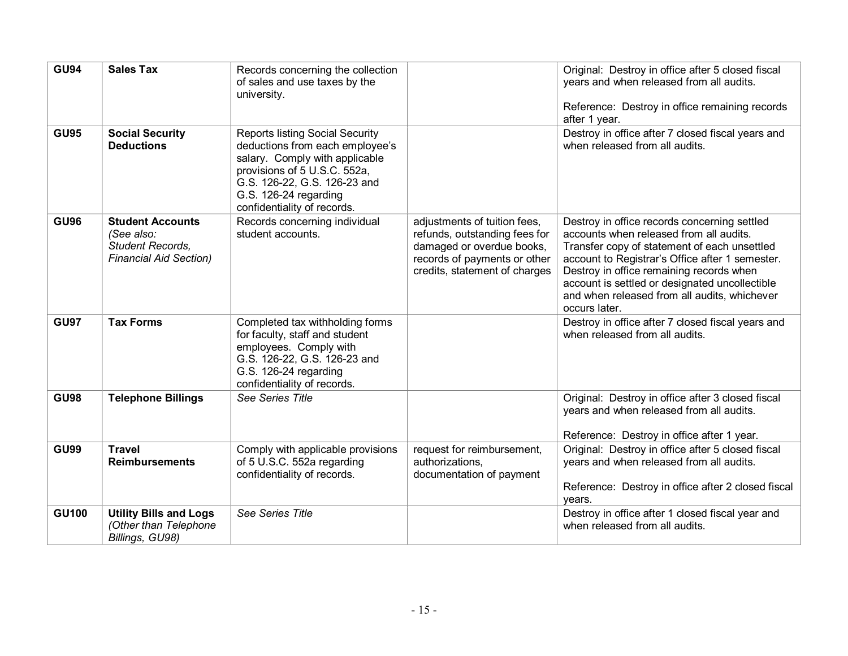| <b>GU94</b>  | <b>Sales Tax</b>                                                                           | Records concerning the collection<br>of sales and use taxes by the<br>university.                                                                                                                                                   |                                                                                                                                                             | Original: Destroy in office after 5 closed fiscal<br>years and when released from all audits.<br>Reference: Destroy in office remaining records<br>after 1 year.                                                                                                                                                                                          |
|--------------|--------------------------------------------------------------------------------------------|-------------------------------------------------------------------------------------------------------------------------------------------------------------------------------------------------------------------------------------|-------------------------------------------------------------------------------------------------------------------------------------------------------------|-----------------------------------------------------------------------------------------------------------------------------------------------------------------------------------------------------------------------------------------------------------------------------------------------------------------------------------------------------------|
| <b>GU95</b>  | <b>Social Security</b><br><b>Deductions</b>                                                | <b>Reports listing Social Security</b><br>deductions from each employee's<br>salary. Comply with applicable<br>provisions of 5 U.S.C. 552a,<br>G.S. 126-22, G.S. 126-23 and<br>G.S. 126-24 regarding<br>confidentiality of records. |                                                                                                                                                             | Destroy in office after 7 closed fiscal years and<br>when released from all audits.                                                                                                                                                                                                                                                                       |
| <b>GU96</b>  | <b>Student Accounts</b><br>(See also:<br>Student Records,<br><b>Financial Aid Section)</b> | Records concerning individual<br>student accounts.                                                                                                                                                                                  | adjustments of tuition fees,<br>refunds, outstanding fees for<br>damaged or overdue books,<br>records of payments or other<br>credits, statement of charges | Destroy in office records concerning settled<br>accounts when released from all audits.<br>Transfer copy of statement of each unsettled<br>account to Registrar's Office after 1 semester.<br>Destroy in office remaining records when<br>account is settled or designated uncollectible<br>and when released from all audits, whichever<br>occurs later. |
| <b>GU97</b>  | <b>Tax Forms</b>                                                                           | Completed tax withholding forms<br>for faculty, staff and student<br>employees. Comply with<br>G.S. 126-22, G.S. 126-23 and<br>G.S. 126-24 regarding<br>confidentiality of records.                                                 |                                                                                                                                                             | Destroy in office after 7 closed fiscal years and<br>when released from all audits.                                                                                                                                                                                                                                                                       |
| <b>GU98</b>  | <b>Telephone Billings</b>                                                                  | See Series Title                                                                                                                                                                                                                    |                                                                                                                                                             | Original: Destroy in office after 3 closed fiscal<br>years and when released from all audits.<br>Reference: Destroy in office after 1 year.                                                                                                                                                                                                               |
| <b>GU99</b>  | <b>Travel</b><br><b>Reimbursements</b>                                                     | Comply with applicable provisions<br>of 5 U.S.C. 552a regarding<br>confidentiality of records.                                                                                                                                      | request for reimbursement,<br>authorizations.<br>documentation of payment                                                                                   | Original: Destroy in office after 5 closed fiscal<br>years and when released from all audits.<br>Reference: Destroy in office after 2 closed fiscal<br>years.                                                                                                                                                                                             |
| <b>GU100</b> | <b>Utility Bills and Logs</b><br>(Other than Telephone<br>Billings, GU98)                  | See Series Title                                                                                                                                                                                                                    |                                                                                                                                                             | Destroy in office after 1 closed fiscal year and<br>when released from all audits.                                                                                                                                                                                                                                                                        |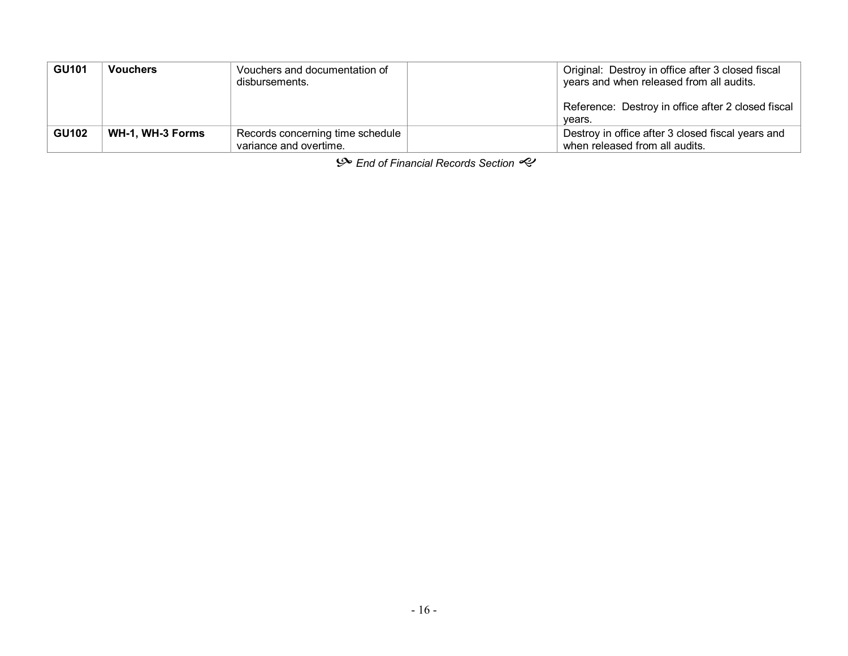| <b>GU101</b> | <b>Vouchers</b>  | Vouchers and documentation of<br>disbursements.            | Original: Destroy in office after 3 closed fiscal<br>years and when released from all audits. |
|--------------|------------------|------------------------------------------------------------|-----------------------------------------------------------------------------------------------|
|              |                  |                                                            | Reference: Destroy in office after 2 closed fiscal<br>vears.                                  |
| <b>GU102</b> | WH-1, WH-3 Forms | Records concerning time schedule<br>variance and overtime. | Destroy in office after 3 closed fiscal years and<br>when released from all audits.           |

 $\mathcal{S}$  End of Financial Records Section  $\mathcal{S}$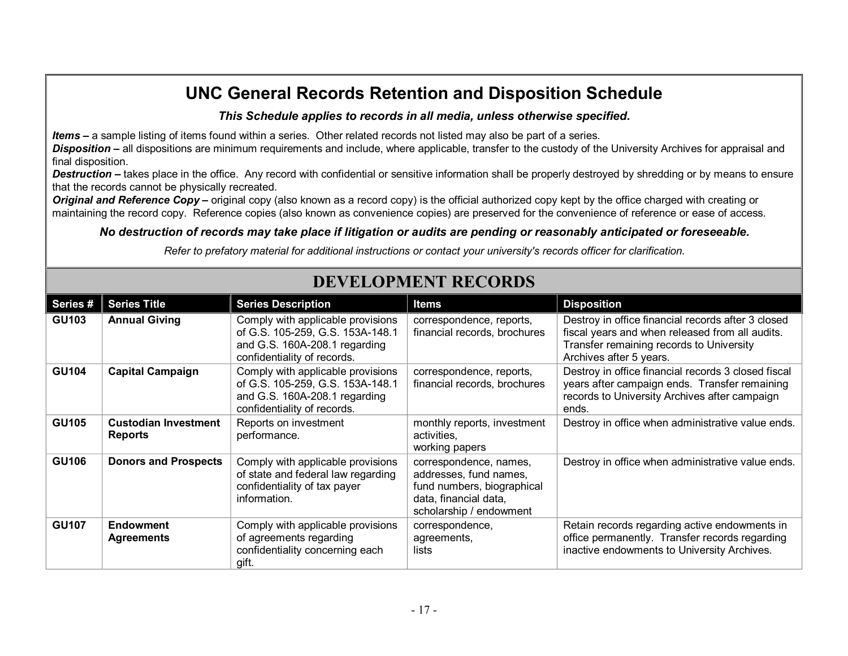### *This Schedule applies to records in all media, unless otherwise specified***.**

*Items* **–** a sample listing of items found within a series. Other related records not listed may also be part of a series.

*Disposition* **–** all dispositions are minimum requirements and include, where applicable, transfer to the custody of the University Archives for appraisal and final disposition.

**Destruction** – takes place in the office. Any record with confidential or sensitive information shall be properly destroyed by shredding or by means to ensure that the records cannot be physically recreated.

*Original and Reference Copy* – original copy (also known as a record copy) is the official authorized copy kept by the office charged with creating or maintaining the record copy. Reference copies (also known as convenience copies) are preserved for the convenience of reference or ease of access.

### *No destruction of records may take place if litigation or audits are pending or reasonably anticipated or foreseeable.*

*Refer to prefatory material for additional instructions or contact your university's records officer for clarification.*

| Series#      | <b>Series Title</b>                           | <b>Series Description</b>                                                                                                             | <b>Items</b>                                                                                                                       | <b>Disposition</b>                                                                                                                                                           |
|--------------|-----------------------------------------------|---------------------------------------------------------------------------------------------------------------------------------------|------------------------------------------------------------------------------------------------------------------------------------|------------------------------------------------------------------------------------------------------------------------------------------------------------------------------|
| <b>GU103</b> | <b>Annual Giving</b>                          | Comply with applicable provisions<br>of G.S. 105-259, G.S. 153A-148.1<br>and G.S. 160A-208.1 regarding<br>confidentiality of records. | correspondence, reports,<br>financial records, brochures                                                                           | Destroy in office financial records after 3 closed<br>fiscal years and when released from all audits.<br>Transfer remaining records to University<br>Archives after 5 years. |
| <b>GU104</b> | <b>Capital Campaign</b>                       | Comply with applicable provisions<br>of G.S. 105-259, G.S. 153A-148.1<br>and G.S. 160A-208.1 regarding<br>confidentiality of records. | correspondence, reports,<br>financial records, brochures                                                                           | Destroy in office financial records 3 closed fiscal<br>years after campaign ends. Transfer remaining<br>records to University Archives after campaign<br>ends.               |
| <b>GU105</b> | <b>Custodian Investment</b><br><b>Reports</b> | Reports on investment<br>performance.                                                                                                 | monthly reports, investment<br>activities,<br>working papers                                                                       | Destroy in office when administrative value ends.                                                                                                                            |
| <b>GU106</b> | <b>Donors and Prospects</b>                   | Comply with applicable provisions<br>of state and federal law regarding<br>confidentiality of tax payer<br>information.               | correspondence, names,<br>addresses, fund names,<br>fund numbers, biographical<br>data, financial data,<br>scholarship / endowment | Destroy in office when administrative value ends.                                                                                                                            |
| <b>GU107</b> | <b>Endowment</b><br><b>Agreements</b>         | Comply with applicable provisions<br>of agreements regarding<br>confidentiality concerning each<br>gift.                              | correspondence,<br>agreements,<br>lists                                                                                            | Retain records regarding active endowments in<br>office permanently. Transfer records regarding<br>inactive endowments to University Archives.                               |

# **DEVELOPMENT RECORDS**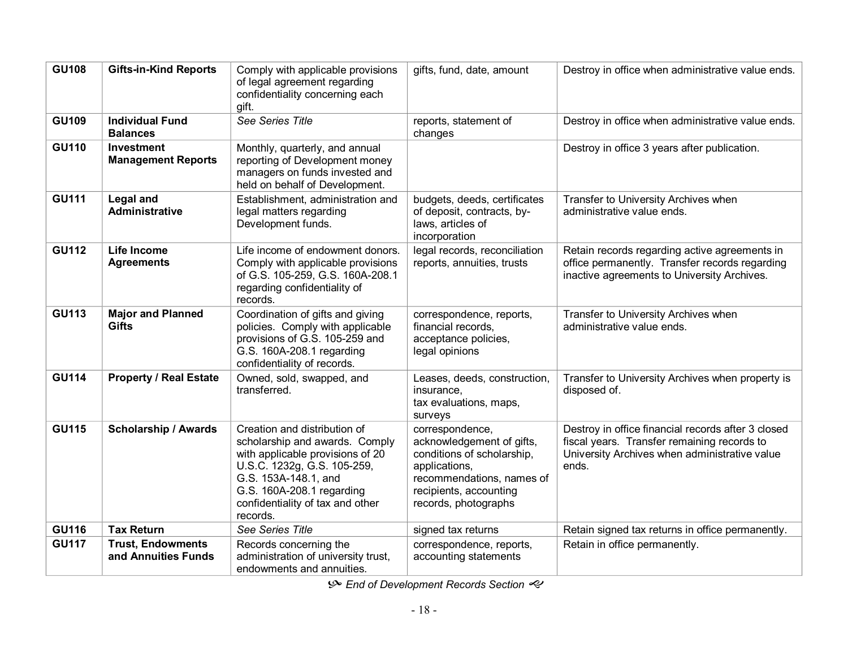| <b>GU108</b> | <b>Gifts-in-Kind Reports</b>                    | Comply with applicable provisions<br>of legal agreement regarding<br>confidentiality concerning each<br>gift.                                                                                                                          | gifts, fund, date, amount                                                                                                                                                  | Destroy in office when administrative value ends.                                                                                                           |
|--------------|-------------------------------------------------|----------------------------------------------------------------------------------------------------------------------------------------------------------------------------------------------------------------------------------------|----------------------------------------------------------------------------------------------------------------------------------------------------------------------------|-------------------------------------------------------------------------------------------------------------------------------------------------------------|
| <b>GU109</b> | <b>Individual Fund</b><br><b>Balances</b>       | See Series Title                                                                                                                                                                                                                       | reports, statement of<br>changes                                                                                                                                           | Destroy in office when administrative value ends.                                                                                                           |
| <b>GU110</b> | <b>Investment</b><br><b>Management Reports</b>  | Monthly, quarterly, and annual<br>reporting of Development money<br>managers on funds invested and<br>held on behalf of Development.                                                                                                   |                                                                                                                                                                            | Destroy in office 3 years after publication.                                                                                                                |
| <b>GU111</b> | <b>Legal and</b><br><b>Administrative</b>       | Establishment, administration and<br>legal matters regarding<br>Development funds.                                                                                                                                                     | budgets, deeds, certificates<br>of deposit, contracts, by-<br>laws, articles of<br>incorporation                                                                           | Transfer to University Archives when<br>administrative value ends.                                                                                          |
| <b>GU112</b> | <b>Life Income</b><br><b>Agreements</b>         | Life income of endowment donors.<br>Comply with applicable provisions<br>of G.S. 105-259, G.S. 160A-208.1<br>regarding confidentiality of<br>records.                                                                                  | legal records, reconciliation<br>reports, annuities, trusts                                                                                                                | Retain records regarding active agreements in<br>office permanently. Transfer records regarding<br>inactive agreements to University Archives.              |
| <b>GU113</b> | <b>Major and Planned</b><br><b>Gifts</b>        | Coordination of gifts and giving<br>policies. Comply with applicable<br>provisions of G.S. 105-259 and<br>G.S. 160A-208.1 regarding<br>confidentiality of records.                                                                     | correspondence, reports,<br>financial records,<br>acceptance policies,<br>legal opinions                                                                                   | Transfer to University Archives when<br>administrative value ends.                                                                                          |
| <b>GU114</b> | <b>Property / Real Estate</b>                   | Owned, sold, swapped, and<br>transferred.                                                                                                                                                                                              | Leases, deeds, construction,<br>insurance,<br>tax evaluations, maps,<br>surveys                                                                                            | Transfer to University Archives when property is<br>disposed of.                                                                                            |
| <b>GU115</b> | <b>Scholarship / Awards</b>                     | Creation and distribution of<br>scholarship and awards. Comply<br>with applicable provisions of 20<br>U.S.C. 1232g, G.S. 105-259,<br>G.S. 153A-148.1, and<br>G.S. 160A-208.1 regarding<br>confidentiality of tax and other<br>records. | correspondence,<br>acknowledgement of gifts,<br>conditions of scholarship,<br>applications,<br>recommendations, names of<br>recipients, accounting<br>records, photographs | Destroy in office financial records after 3 closed<br>fiscal years. Transfer remaining records to<br>University Archives when administrative value<br>ends. |
| <b>GU116</b> | <b>Tax Return</b>                               | See Series Title                                                                                                                                                                                                                       | signed tax returns                                                                                                                                                         | Retain signed tax returns in office permanently.                                                                                                            |
| <b>GU117</b> | <b>Trust, Endowments</b><br>and Annuities Funds | Records concerning the<br>administration of university trust,<br>endowments and annuities.                                                                                                                                             | correspondence, reports,<br>accounting statements                                                                                                                          | Retain in office permanently.                                                                                                                               |

 $\mathcal{P}$  End of Development Records Section  $\mathcal{P}$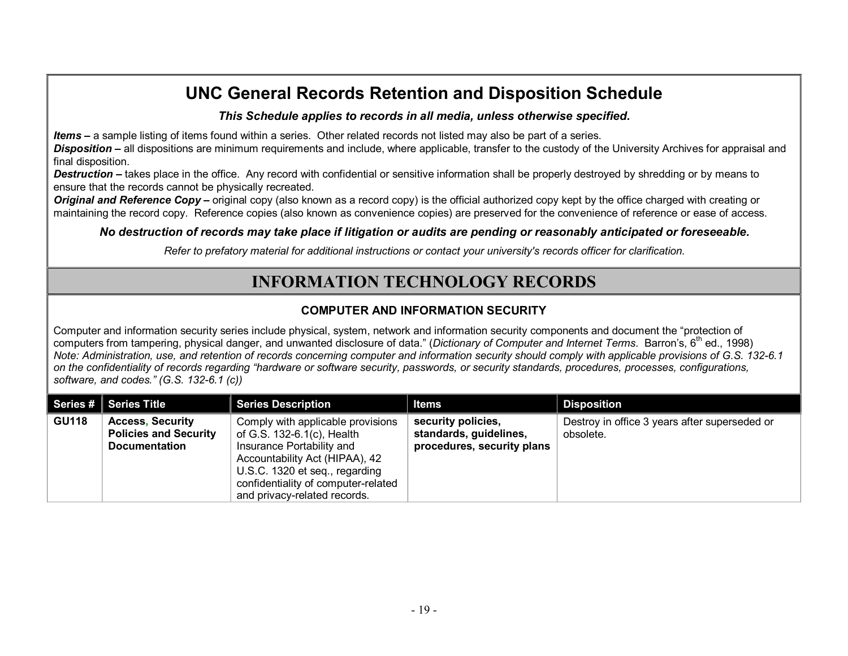*This Schedule applies to records in all media, unless otherwise specified***.**

*Items* **–** a sample listing of items found within a series. Other related records not listed may also be part of a series.

*Disposition* **–** all dispositions are minimum requirements and include, where applicable, transfer to the custody of the University Archives for appraisal and final disposition.

*Destruction* **–** takes place in the office. Any record with confidential or sensitive information shall be properly destroyed by shredding or by means to ensure that the records cannot be physically recreated.

*Original and Reference Copy* – original copy (also known as a record copy) is the official authorized copy kept by the office charged with creating or maintaining the record copy. Reference copies (also known as convenience copies) are preserved for the convenience of reference or ease of access.

*No destruction of records may take place if litigation or audits are pending or reasonably anticipated or foreseeable.*

*Refer to prefatory material for additional instructions or contact your university's records officer for clarification.*

## **INFORMATION TECHNOLOGY RECORDS**

### **COMPUTER AND INFORMATION SECURITY**

Computer and information security series include physical, system, network and information security components and document the "protection of computers from tampering, physical danger, and unwanted disclosure of data." (*Dictionary of Computer and Internet Terms*. Barron's, 6 th ed., 1998) Note: Administration, use, and retention of records concerning computer and information security should comply with applicable provisions of G.S. 132-6.1 on the confidentiality of records regarding "hardware or software security, passwords, or security standards, procedures, processes, configurations, *software, and codes." (G.S. 1326.1 (c))*

|              | Series # Series Title                                                           | <b>Series Description</b>                                                                                                                                                                                                               | <b>Items</b>                                                               | <b>Disposition</b>                                         |
|--------------|---------------------------------------------------------------------------------|-----------------------------------------------------------------------------------------------------------------------------------------------------------------------------------------------------------------------------------------|----------------------------------------------------------------------------|------------------------------------------------------------|
| <b>GU118</b> | <b>Access, Security</b><br><b>Policies and Security</b><br><b>Documentation</b> | Comply with applicable provisions<br>of G.S. 132-6.1(c), Health<br>Insurance Portability and<br>Accountability Act (HIPAA), 42<br>U.S.C. 1320 et seq., regarding<br>confidentiality of computer-related<br>and privacy-related records. | security policies,<br>standards, guidelines,<br>procedures, security plans | Destroy in office 3 years after superseded or<br>obsolete. |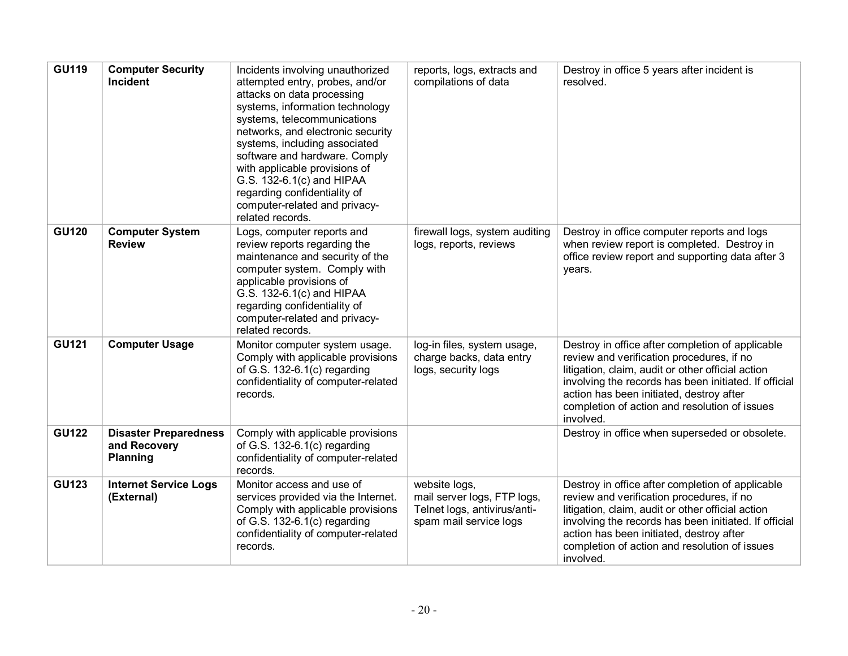| <b>GU119</b> | <b>Computer Security</b><br>Incident                            | Incidents involving unauthorized<br>attempted entry, probes, and/or<br>attacks on data processing<br>systems, information technology<br>systems, telecommunications<br>networks, and electronic security<br>systems, including associated<br>software and hardware. Comply<br>with applicable provisions of<br>G.S. 132-6.1(c) and HIPAA<br>regarding confidentiality of<br>computer-related and privacy-<br>related records. | reports, logs, extracts and<br>compilations of data                                                    | Destroy in office 5 years after incident is<br>resolved.                                                                                                                                                                                                                                                              |
|--------------|-----------------------------------------------------------------|-------------------------------------------------------------------------------------------------------------------------------------------------------------------------------------------------------------------------------------------------------------------------------------------------------------------------------------------------------------------------------------------------------------------------------|--------------------------------------------------------------------------------------------------------|-----------------------------------------------------------------------------------------------------------------------------------------------------------------------------------------------------------------------------------------------------------------------------------------------------------------------|
| <b>GU120</b> | <b>Computer System</b><br><b>Review</b>                         | Logs, computer reports and<br>review reports regarding the<br>maintenance and security of the<br>computer system. Comply with<br>applicable provisions of<br>G.S. 132-6.1(c) and HIPAA<br>regarding confidentiality of<br>computer-related and privacy-<br>related records.                                                                                                                                                   | firewall logs, system auditing<br>logs, reports, reviews                                               | Destroy in office computer reports and logs<br>when review report is completed. Destroy in<br>office review report and supporting data after 3<br>years.                                                                                                                                                              |
| <b>GU121</b> | <b>Computer Usage</b>                                           | Monitor computer system usage.<br>Comply with applicable provisions<br>of G.S. $132-6.1(c)$ regarding<br>confidentiality of computer-related<br>records.                                                                                                                                                                                                                                                                      | log-in files, system usage,<br>charge backs, data entry<br>logs, security logs                         | Destroy in office after completion of applicable<br>review and verification procedures, if no<br>litigation, claim, audit or other official action<br>involving the records has been initiated. If official<br>action has been initiated, destroy after<br>completion of action and resolution of issues<br>involved. |
| <b>GU122</b> | <b>Disaster Preparedness</b><br>and Recovery<br><b>Planning</b> | Comply with applicable provisions<br>of G.S. $132-6.1(c)$ regarding<br>confidentiality of computer-related<br>records.                                                                                                                                                                                                                                                                                                        |                                                                                                        | Destroy in office when superseded or obsolete.                                                                                                                                                                                                                                                                        |
| <b>GU123</b> | <b>Internet Service Logs</b><br>(External)                      | Monitor access and use of<br>services provided via the Internet.<br>Comply with applicable provisions<br>of G.S. $132-6.1(c)$ regarding<br>confidentiality of computer-related<br>records.                                                                                                                                                                                                                                    | website logs,<br>mail server logs, FTP logs,<br>Telnet logs, antivirus/anti-<br>spam mail service logs | Destroy in office after completion of applicable<br>review and verification procedures, if no<br>litigation, claim, audit or other official action<br>involving the records has been initiated. If official<br>action has been initiated, destroy after<br>completion of action and resolution of issues<br>involved. |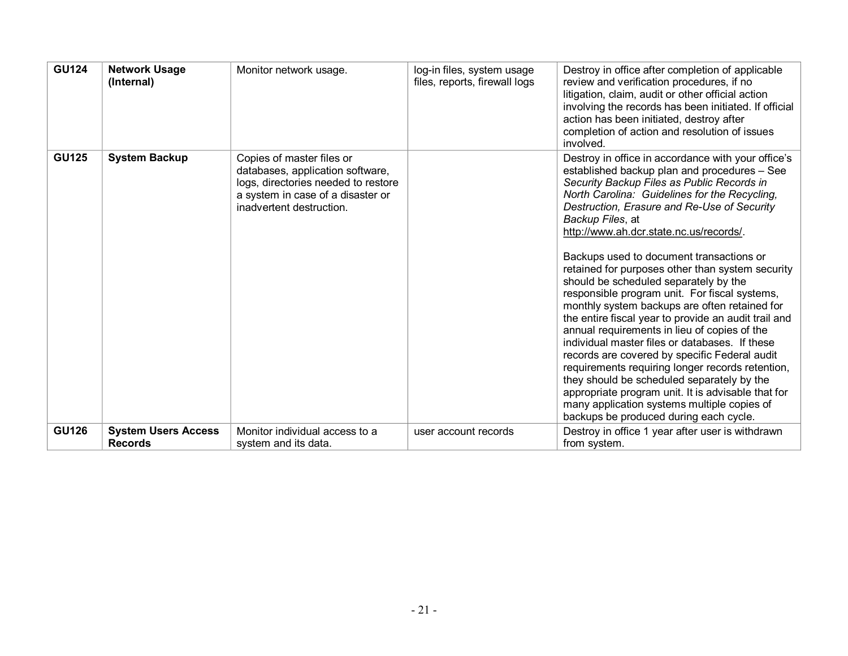| <b>GU124</b> | <b>Network Usage</b><br>(Internal)           | Monitor network usage.                                                                                                                                                | log-in files, system usage<br>files, reports, firewall logs | Destroy in office after completion of applicable<br>review and verification procedures, if no<br>litigation, claim, audit or other official action<br>involving the records has been initiated. If official<br>action has been initiated, destroy after<br>completion of action and resolution of issues<br>involved.                                                                                                                                                                                                                                                                                                                                                                                                                                                                                                                                                                                                                                                                                                  |
|--------------|----------------------------------------------|-----------------------------------------------------------------------------------------------------------------------------------------------------------------------|-------------------------------------------------------------|------------------------------------------------------------------------------------------------------------------------------------------------------------------------------------------------------------------------------------------------------------------------------------------------------------------------------------------------------------------------------------------------------------------------------------------------------------------------------------------------------------------------------------------------------------------------------------------------------------------------------------------------------------------------------------------------------------------------------------------------------------------------------------------------------------------------------------------------------------------------------------------------------------------------------------------------------------------------------------------------------------------------|
| <b>GU125</b> | <b>System Backup</b>                         | Copies of master files or<br>databases, application software,<br>logs, directories needed to restore<br>a system in case of a disaster or<br>inadvertent destruction. |                                                             | Destroy in office in accordance with your office's<br>established backup plan and procedures - See<br>Security Backup Files as Public Records in<br>North Carolina: Guidelines for the Recycling,<br>Destruction, Erasure and Re-Use of Security<br>Backup Files, at<br>http://www.ah.dcr.state.nc.us/records/.<br>Backups used to document transactions or<br>retained for purposes other than system security<br>should be scheduled separately by the<br>responsible program unit. For fiscal systems,<br>monthly system backups are often retained for<br>the entire fiscal year to provide an audit trail and<br>annual requirements in lieu of copies of the<br>individual master files or databases. If these<br>records are covered by specific Federal audit<br>requirements requiring longer records retention,<br>they should be scheduled separately by the<br>appropriate program unit. It is advisable that for<br>many application systems multiple copies of<br>backups be produced during each cycle. |
| <b>GU126</b> | <b>System Users Access</b><br><b>Records</b> | Monitor individual access to a<br>system and its data.                                                                                                                | user account records                                        | Destroy in office 1 year after user is withdrawn<br>from system.                                                                                                                                                                                                                                                                                                                                                                                                                                                                                                                                                                                                                                                                                                                                                                                                                                                                                                                                                       |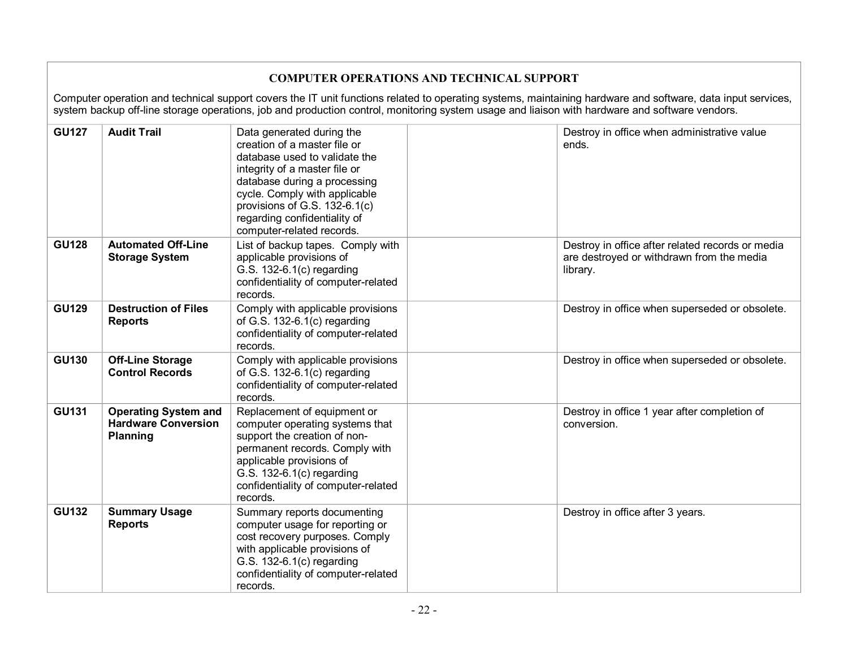| <b>COMPUTER OPERATIONS AND TECHNICAL SUPPORT</b>                                                                                                                                                                                                                                                              |                                                                       |                                                                                                                                                                                                                                                                                            |  |                                                                                                           |  |  |  |
|---------------------------------------------------------------------------------------------------------------------------------------------------------------------------------------------------------------------------------------------------------------------------------------------------------------|-----------------------------------------------------------------------|--------------------------------------------------------------------------------------------------------------------------------------------------------------------------------------------------------------------------------------------------------------------------------------------|--|-----------------------------------------------------------------------------------------------------------|--|--|--|
| Computer operation and technical support covers the IT unit functions related to operating systems, maintaining hardware and software, data input services,<br>system backup off-line storage operations, job and production control, monitoring system usage and liaison with hardware and software vendors. |                                                                       |                                                                                                                                                                                                                                                                                            |  |                                                                                                           |  |  |  |
| <b>GU127</b>                                                                                                                                                                                                                                                                                                  | <b>Audit Trail</b>                                                    | Data generated during the<br>creation of a master file or<br>database used to validate the<br>integrity of a master file or<br>database during a processing<br>cycle. Comply with applicable<br>provisions of G.S. 132-6.1(c)<br>regarding confidentiality of<br>computer-related records. |  | Destroy in office when administrative value<br>ends.                                                      |  |  |  |
| <b>GU128</b>                                                                                                                                                                                                                                                                                                  | <b>Automated Off-Line</b><br><b>Storage System</b>                    | List of backup tapes. Comply with<br>applicable provisions of<br>G.S. 132-6.1(c) regarding<br>confidentiality of computer-related<br>records.                                                                                                                                              |  | Destroy in office after related records or media<br>are destroyed or withdrawn from the media<br>library. |  |  |  |
| <b>GU129</b>                                                                                                                                                                                                                                                                                                  | <b>Destruction of Files</b><br><b>Reports</b>                         | Comply with applicable provisions<br>of G.S. 132-6.1(c) regarding<br>confidentiality of computer-related<br>records.                                                                                                                                                                       |  | Destroy in office when superseded or obsolete.                                                            |  |  |  |
| <b>GU130</b>                                                                                                                                                                                                                                                                                                  | <b>Off-Line Storage</b><br><b>Control Records</b>                     | Comply with applicable provisions<br>of G.S. $132-6.1(c)$ regarding<br>confidentiality of computer-related<br>records.                                                                                                                                                                     |  | Destroy in office when superseded or obsolete.                                                            |  |  |  |
| <b>GU131</b>                                                                                                                                                                                                                                                                                                  | <b>Operating System and</b><br><b>Hardware Conversion</b><br>Planning | Replacement of equipment or<br>computer operating systems that<br>support the creation of non-<br>permanent records. Comply with<br>applicable provisions of<br>G.S. 132-6.1(c) regarding<br>confidentiality of computer-related<br>records.                                               |  | Destroy in office 1 year after completion of<br>conversion.                                               |  |  |  |
| <b>GU132</b>                                                                                                                                                                                                                                                                                                  | <b>Summary Usage</b><br><b>Reports</b>                                | Summary reports documenting<br>computer usage for reporting or<br>cost recovery purposes. Comply<br>with applicable provisions of<br>G.S. 132-6.1(c) regarding<br>confidentiality of computer-related<br>records.                                                                          |  | Destroy in office after 3 years.                                                                          |  |  |  |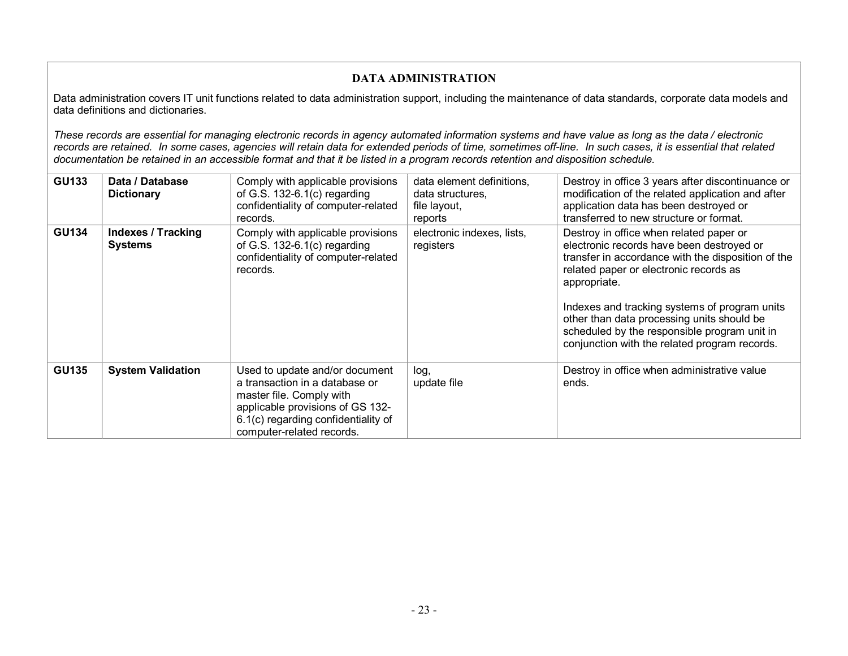### **DATA ADMINISTRATION**

Data administration covers IT unit functions related to data administration support, including the maintenance of data standards, corporate data models and data definitions and dictionaries.

These records are essential for managing electronic records in agency automated information systems and have value as long as the data / electronic records are retained. In some cases, agencies will retain data for extended periods of time, sometimes off-line. In such cases, it is essential that related documentation be retained in an accessible format and that it be listed in a program records retention and disposition schedule.

| <b>GU133</b> | Data / Database<br><b>Dictionary</b>        | Comply with applicable provisions<br>of G.S. $132-6.1(c)$ regarding<br>confidentiality of computer-related<br>records.                                                                               | data element definitions,<br>data structures,<br>file layout,<br>reports | Destroy in office 3 years after discontinuance or<br>modification of the related application and after<br>application data has been destroyed or<br>transferred to new structure or format.                                                                                                                                                                                                          |
|--------------|---------------------------------------------|------------------------------------------------------------------------------------------------------------------------------------------------------------------------------------------------------|--------------------------------------------------------------------------|------------------------------------------------------------------------------------------------------------------------------------------------------------------------------------------------------------------------------------------------------------------------------------------------------------------------------------------------------------------------------------------------------|
| <b>GU134</b> | <b>Indexes / Tracking</b><br><b>Systems</b> | Comply with applicable provisions<br>of G.S. $132-6.1(c)$ regarding<br>confidentiality of computer-related<br>records.                                                                               | electronic indexes, lists,<br>registers                                  | Destroy in office when related paper or<br>electronic records have been destroyed or<br>transfer in accordance with the disposition of the<br>related paper or electronic records as<br>appropriate.<br>Indexes and tracking systems of program units<br>other than data processing units should be<br>scheduled by the responsible program unit in<br>conjunction with the related program records. |
| <b>GU135</b> | <b>System Validation</b>                    | Used to update and/or document<br>a transaction in a database or<br>master file. Comply with<br>applicable provisions of GS 132-<br>6.1(c) regarding confidentiality of<br>computer-related records. | log,<br>update file                                                      | Destroy in office when administrative value<br>ends.                                                                                                                                                                                                                                                                                                                                                 |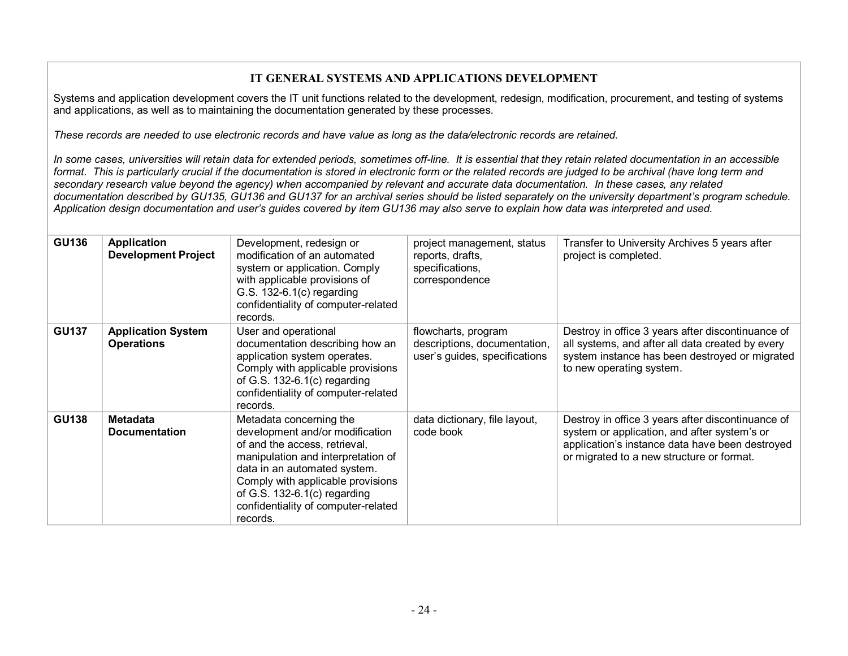#### **IT GENERAL SYSTEMS AND APPLICATIONS DEVELOPMENT**

Systems and application development covers the IT unit functions related to the development, redesign, modification, procurement, and testing of systems and applications, as well as to maintaining the documentation generated by these processes.

*These records are needed to use electronic records and have value as long as the data/electronic records are retained.*

In some cases, universities will retain data for extended periods, sometimes off-line. It is essential that they retain related documentation in an accessible format. This is particularly crucial if the documentation is stored in electronic form or the related records are judged to be archival (have long term and secondary research value beyond the agency) when accompanied by relevant and accurate data documentation. In these cases, any related documentation described by GU135, GU136 and GU137 for an archival series should be listed separately on the university department's program schedule. Application design documentation and user's guides covered by item GU136 may also serve to explain how data was interpreted and used.

| <b>GU136</b> | Application<br><b>Development Project</b>      | Development, redesign or<br>modification of an automated<br>system or application. Comply<br>with applicable provisions of<br>G.S. 132-6.1(c) regarding                                                                                                                                     | project management, status<br>reports, drafts,<br>specifications,<br>correspondence  | Transfer to University Archives 5 years after<br>project is completed.                                                                                                                            |
|--------------|------------------------------------------------|---------------------------------------------------------------------------------------------------------------------------------------------------------------------------------------------------------------------------------------------------------------------------------------------|--------------------------------------------------------------------------------------|---------------------------------------------------------------------------------------------------------------------------------------------------------------------------------------------------|
|              |                                                | confidentiality of computer-related<br>records.                                                                                                                                                                                                                                             |                                                                                      |                                                                                                                                                                                                   |
| <b>GU137</b> | <b>Application System</b><br><b>Operations</b> | User and operational<br>documentation describing how an<br>application system operates.<br>Comply with applicable provisions<br>of G.S. $132-6.1(c)$ regarding<br>confidentiality of computer-related<br>records.                                                                           | flowcharts, program<br>descriptions, documentation,<br>user's guides, specifications | Destroy in office 3 years after discontinuance of<br>all systems, and after all data created by every<br>system instance has been destroyed or migrated<br>to new operating system.               |
| <b>GU138</b> | <b>Metadata</b><br><b>Documentation</b>        | Metadata concerning the<br>development and/or modification<br>of and the access, retrieval,<br>manipulation and interpretation of<br>data in an automated system.<br>Comply with applicable provisions<br>of G.S. $132-6.1(c)$ regarding<br>confidentiality of computer-related<br>records. | data dictionary, file layout,<br>code book                                           | Destroy in office 3 years after discontinuance of<br>system or application, and after system's or<br>application's instance data have been destroyed<br>or migrated to a new structure or format. |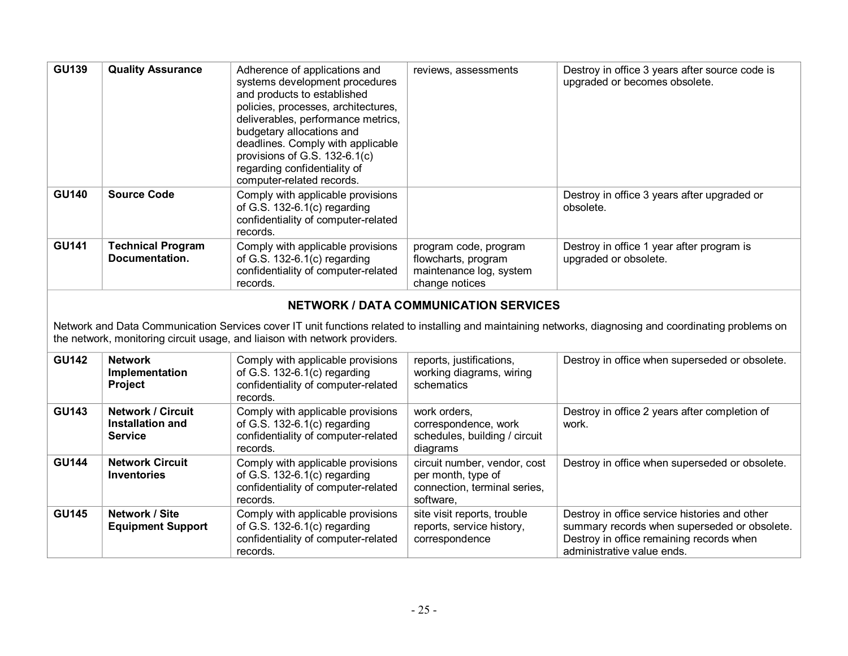| <b>GU139</b> | <b>Quality Assurance</b>                                              | Adherence of applications and<br>systems development procedures<br>and products to established<br>policies, processes, architectures,<br>deliverables, performance metrics,<br>budgetary allocations and<br>deadlines. Comply with applicable<br>provisions of G.S. 132-6.1(c)<br>regarding confidentiality of<br>computer-related records. | reviews, assessments                                                                            | Destroy in office 3 years after source code is<br>upgraded or becomes obsolete.                                                                                         |
|--------------|-----------------------------------------------------------------------|---------------------------------------------------------------------------------------------------------------------------------------------------------------------------------------------------------------------------------------------------------------------------------------------------------------------------------------------|-------------------------------------------------------------------------------------------------|-------------------------------------------------------------------------------------------------------------------------------------------------------------------------|
| <b>GU140</b> | <b>Source Code</b>                                                    | Comply with applicable provisions<br>of G.S. $132-6.1(c)$ regarding<br>confidentiality of computer-related<br>records.                                                                                                                                                                                                                      |                                                                                                 | Destroy in office 3 years after upgraded or<br>obsolete.                                                                                                                |
| <b>GU141</b> | <b>Technical Program</b><br>Documentation.                            | Comply with applicable provisions<br>of G.S. $132-6.1(c)$ regarding<br>confidentiality of computer-related<br>records.                                                                                                                                                                                                                      | program code, program<br>flowcharts, program<br>maintenance log, system<br>change notices       | Destroy in office 1 year after program is<br>upgraded or obsolete.                                                                                                      |
|              |                                                                       | the network, monitoring circuit usage, and liaison with network providers.                                                                                                                                                                                                                                                                  | <b>NETWORK / DATA COMMUNICATION SERVICES</b>                                                    | Network and Data Communication Services cover IT unit functions related to installing and maintaining networks, diagnosing and coordinating problems on                 |
| <b>GU142</b> | <b>Network</b><br>Implementation<br><b>Project</b>                    | Comply with applicable provisions<br>of G.S. 132-6.1(c) regarding<br>confidentiality of computer-related<br>records.                                                                                                                                                                                                                        | reports, justifications,<br>working diagrams, wiring<br>schematics                              | Destroy in office when superseded or obsolete.                                                                                                                          |
| <b>GU143</b> | <b>Network / Circuit</b><br><b>Installation and</b><br><b>Service</b> | Comply with applicable provisions<br>of G.S. 132-6.1(c) regarding<br>confidentiality of computer-related<br>records.                                                                                                                                                                                                                        | work orders,<br>correspondence, work<br>schedules, building / circuit<br>diagrams               | Destroy in office 2 years after completion of<br>work.                                                                                                                  |
| <b>GU144</b> | <b>Network Circuit</b><br><b>Inventories</b>                          | Comply with applicable provisions<br>of G.S. 132-6.1(c) regarding<br>confidentiality of computer-related<br>records.                                                                                                                                                                                                                        | circuit number, vendor, cost<br>per month, type of<br>connection, terminal series,<br>software. | Destroy in office when superseded or obsolete.                                                                                                                          |
| <b>GU145</b> | Network / Site<br><b>Equipment Support</b>                            | Comply with applicable provisions<br>of G.S. 132-6.1(c) regarding<br>confidentiality of computer-related<br>records.                                                                                                                                                                                                                        | site visit reports, trouble<br>reports, service history,<br>correspondence                      | Destroy in office service histories and other<br>summary records when superseded or obsolete.<br>Destroy in office remaining records when<br>administrative value ends. |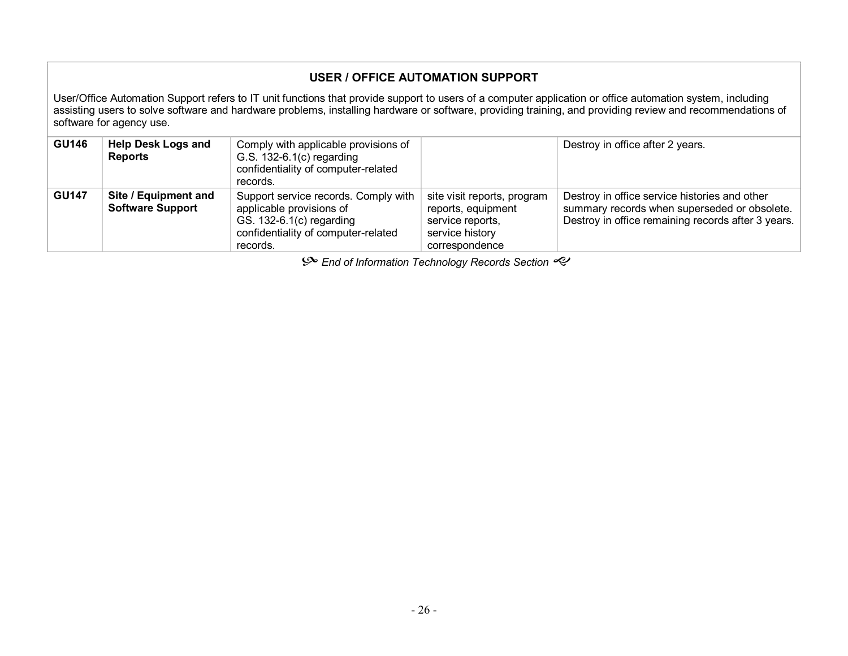### **USER / OFFICE AUTOMATION SUPPORT**

User/Office Automation Support refers to IT unit functions that provide support to users of a computer application or office automation system, including assisting users to solve software and hardware problems, installing hardware or software, providing training, and providing review and recommendations of software for agency use.

| <b>GU146</b> | <b>Help Desk Logs and</b><br><b>Reports</b>     | Comply with applicable provisions of<br>G.S. $132-6.1(c)$ regarding<br>confidentiality of computer-related<br>records.                          |                                                                                                            | Destroy in office after 2 years.                                                                                                                    |
|--------------|-------------------------------------------------|-------------------------------------------------------------------------------------------------------------------------------------------------|------------------------------------------------------------------------------------------------------------|-----------------------------------------------------------------------------------------------------------------------------------------------------|
| <b>GU147</b> | Site / Equipment and<br><b>Software Support</b> | Support service records. Comply with<br>applicable provisions of<br>GS. 132-6.1(c) regarding<br>confidentiality of computer-related<br>records. | site visit reports, program<br>reports, equipment<br>service reports,<br>service history<br>correspondence | Destroy in office service histories and other<br>summary records when superseded or obsolete.<br>Destroy in office remaining records after 3 years. |

 $\mathcal{P}$  End of Information Technology Records Section  $\mathcal{P}$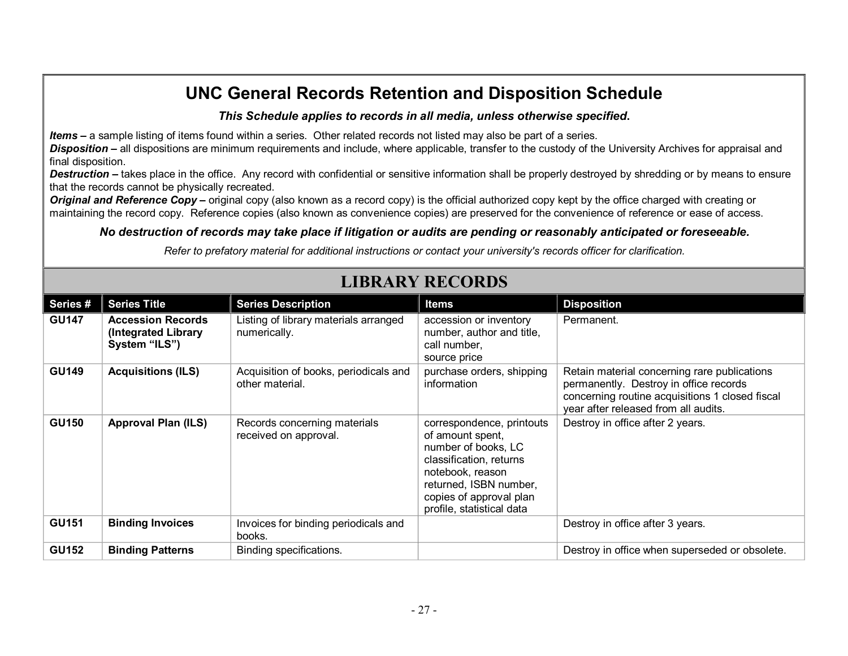*This Schedule applies to records in all media, unless otherwise specified***.**

*Items* **–** a sample listing of items found within a series. Other related records not listed may also be part of a series.

**Disposition** – all dispositions are minimum requirements and include, where applicable, transfer to the custody of the University Archives for appraisal and final disposition.

**Destruction** – takes place in the office. Any record with confidential or sensitive information shall be properly destroyed by shredding or by means to ensure that the records cannot be physically recreated.

*Original and Reference Copy* – original copy (also known as a record copy) is the official authorized copy kept by the office charged with creating or maintaining the record copy. Reference copies (also known as convenience copies) are preserved for the convenience of reference or ease of access.

### *No destruction of records may take place if litigation or audits are pending or reasonably anticipated or foreseeable.*

*Refer to prefatory material for additional instructions or contact your university's records officer for clarification.*

| Series #     | <b>Series Title</b>                                              | <b>Series Description</b>                                | <b>Items</b>                                                                                                                                                                                          | <b>Disposition</b>                                                                                                                                                                |
|--------------|------------------------------------------------------------------|----------------------------------------------------------|-------------------------------------------------------------------------------------------------------------------------------------------------------------------------------------------------------|-----------------------------------------------------------------------------------------------------------------------------------------------------------------------------------|
| <b>GU147</b> | <b>Accession Records</b><br>(Integrated Library<br>System "ILS") | Listing of library materials arranged<br>numerically.    | accession or inventory<br>number, author and title,<br>call number,<br>source price                                                                                                                   | Permanent.                                                                                                                                                                        |
| <b>GU149</b> | <b>Acquisitions (ILS)</b>                                        | Acquisition of books, periodicals and<br>other material. | purchase orders, shipping<br>information                                                                                                                                                              | Retain material concerning rare publications<br>permanently. Destroy in office records<br>concerning routine acquisitions 1 closed fiscal<br>year after released from all audits. |
| <b>GU150</b> | <b>Approval Plan (ILS)</b>                                       | Records concerning materials<br>received on approval.    | correspondence, printouts<br>of amount spent,<br>number of books, LC<br>classification, returns<br>notebook, reason<br>returned, ISBN number,<br>copies of approval plan<br>profile, statistical data | Destroy in office after 2 years.                                                                                                                                                  |
| <b>GU151</b> | <b>Binding Invoices</b>                                          | Invoices for binding periodicals and<br>books.           |                                                                                                                                                                                                       | Destroy in office after 3 years.                                                                                                                                                  |
| <b>GU152</b> | <b>Binding Patterns</b>                                          | Binding specifications.                                  |                                                                                                                                                                                                       | Destroy in office when superseded or obsolete.                                                                                                                                    |

### **LIBRARY RECORDS**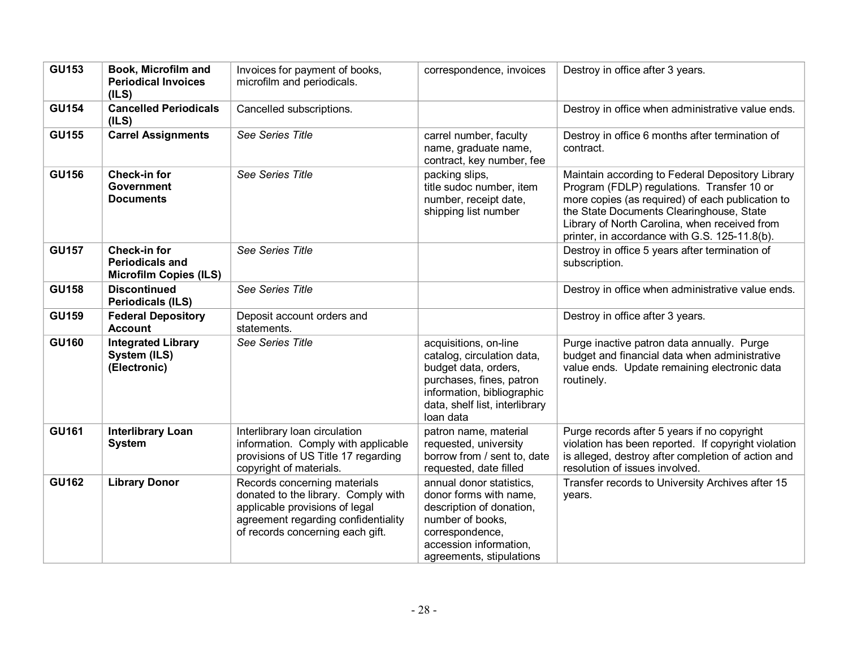| <b>GU153</b> | Book, Microfilm and<br><b>Periodical Invoices</b><br>(ILS)                     | Invoices for payment of books,<br>microfilm and periodicals.                                                                                                                     | correspondence, invoices                                                                                                                                                             | Destroy in office after 3 years.                                                                                                                                                                                                                                                                 |
|--------------|--------------------------------------------------------------------------------|----------------------------------------------------------------------------------------------------------------------------------------------------------------------------------|--------------------------------------------------------------------------------------------------------------------------------------------------------------------------------------|--------------------------------------------------------------------------------------------------------------------------------------------------------------------------------------------------------------------------------------------------------------------------------------------------|
| <b>GU154</b> | <b>Cancelled Periodicals</b><br>(ILS)                                          | Cancelled subscriptions.                                                                                                                                                         |                                                                                                                                                                                      | Destroy in office when administrative value ends.                                                                                                                                                                                                                                                |
| <b>GU155</b> | <b>Carrel Assignments</b>                                                      | See Series Title                                                                                                                                                                 | carrel number, faculty<br>name, graduate name,<br>contract, key number, fee                                                                                                          | Destroy in office 6 months after termination of<br>contract.                                                                                                                                                                                                                                     |
| <b>GU156</b> | <b>Check-in for</b><br><b>Government</b><br><b>Documents</b>                   | See Series Title                                                                                                                                                                 | packing slips,<br>title sudoc number, item<br>number, receipt date,<br>shipping list number                                                                                          | Maintain according to Federal Depository Library<br>Program (FDLP) regulations. Transfer 10 or<br>more copies (as required) of each publication to<br>the State Documents Clearinghouse, State<br>Library of North Carolina, when received from<br>printer, in accordance with G.S. 125-11.8(b). |
| <b>GU157</b> | <b>Check-in for</b><br><b>Periodicals and</b><br><b>Microfilm Copies (ILS)</b> | See Series Title                                                                                                                                                                 |                                                                                                                                                                                      | Destroy in office 5 years after termination of<br>subscription.                                                                                                                                                                                                                                  |
| <b>GU158</b> | <b>Discontinued</b><br><b>Periodicals (ILS)</b>                                | See Series Title                                                                                                                                                                 |                                                                                                                                                                                      | Destroy in office when administrative value ends.                                                                                                                                                                                                                                                |
| <b>GU159</b> | <b>Federal Depository</b><br><b>Account</b>                                    | Deposit account orders and<br>statements.                                                                                                                                        |                                                                                                                                                                                      | Destroy in office after 3 years.                                                                                                                                                                                                                                                                 |
| <b>GU160</b> | <b>Integrated Library</b><br>System (ILS)<br>(Electronic)                      | See Series Title                                                                                                                                                                 | acquisitions, on-line<br>catalog, circulation data,<br>budget data, orders,<br>purchases, fines, patron<br>information, bibliographic<br>data, shelf list, interlibrary<br>loan data | Purge inactive patron data annually. Purge<br>budget and financial data when administrative<br>value ends. Update remaining electronic data<br>routinely.                                                                                                                                        |
| <b>GU161</b> | <b>Interlibrary Loan</b><br><b>System</b>                                      | Interlibrary loan circulation<br>information. Comply with applicable<br>provisions of US Title 17 regarding<br>copyright of materials.                                           | patron name, material<br>requested, university<br>borrow from / sent to, date<br>requested, date filled                                                                              | Purge records after 5 years if no copyright<br>violation has been reported. If copyright violation<br>is alleged, destroy after completion of action and<br>resolution of issues involved.                                                                                                       |
| <b>GU162</b> | <b>Library Donor</b>                                                           | Records concerning materials<br>donated to the library. Comply with<br>applicable provisions of legal<br>agreement regarding confidentiality<br>of records concerning each gift. | annual donor statistics.<br>donor forms with name,<br>description of donation,<br>number of books,<br>correspondence,<br>accession information,<br>agreements, stipulations          | Transfer records to University Archives after 15<br>years.                                                                                                                                                                                                                                       |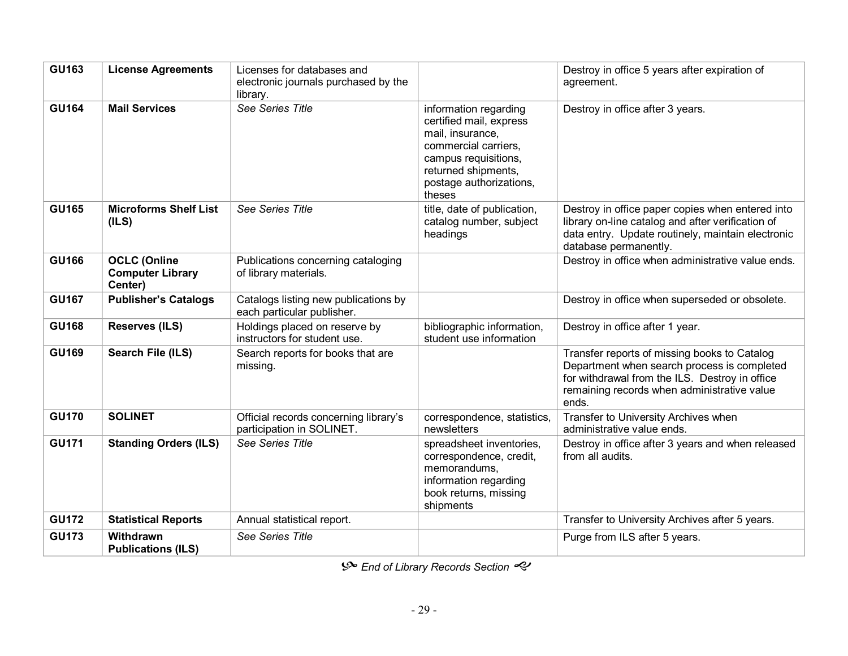| <b>GU163</b> | <b>License Agreements</b>                                 | Licenses for databases and<br>electronic journals purchased by the<br>library. |                                                                                                                                                                                  | Destroy in office 5 years after expiration of<br>agreement.                                                                                                                                           |
|--------------|-----------------------------------------------------------|--------------------------------------------------------------------------------|----------------------------------------------------------------------------------------------------------------------------------------------------------------------------------|-------------------------------------------------------------------------------------------------------------------------------------------------------------------------------------------------------|
| <b>GU164</b> | <b>Mail Services</b>                                      | See Series Title                                                               | information regarding<br>certified mail, express<br>mail, insurance,<br>commercial carriers.<br>campus requisitions,<br>returned shipments,<br>postage authorizations,<br>theses | Destroy in office after 3 years.                                                                                                                                                                      |
| <b>GU165</b> | <b>Microforms Shelf List</b><br>(ILS)                     | See Series Title                                                               | title, date of publication,<br>catalog number, subject<br>headings                                                                                                               | Destroy in office paper copies when entered into<br>library on-line catalog and after verification of<br>data entry. Update routinely, maintain electronic<br>database permanently.                   |
| <b>GU166</b> | <b>OCLC (Online</b><br><b>Computer Library</b><br>Center) | Publications concerning cataloging<br>of library materials.                    |                                                                                                                                                                                  | Destroy in office when administrative value ends.                                                                                                                                                     |
| <b>GU167</b> | <b>Publisher's Catalogs</b>                               | Catalogs listing new publications by<br>each particular publisher.             |                                                                                                                                                                                  | Destroy in office when superseded or obsolete.                                                                                                                                                        |
| <b>GU168</b> | <b>Reserves (ILS)</b>                                     | Holdings placed on reserve by<br>instructors for student use.                  | bibliographic information,<br>student use information                                                                                                                            | Destroy in office after 1 year.                                                                                                                                                                       |
| <b>GU169</b> | Search File (ILS)                                         | Search reports for books that are<br>missing.                                  |                                                                                                                                                                                  | Transfer reports of missing books to Catalog<br>Department when search process is completed<br>for withdrawal from the ILS. Destroy in office<br>remaining records when administrative value<br>ends. |
| <b>GU170</b> | <b>SOLINET</b>                                            | Official records concerning library's<br>participation in SOLINET.             | correspondence, statistics,<br>newsletters                                                                                                                                       | Transfer to University Archives when<br>administrative value ends.                                                                                                                                    |
| <b>GU171</b> | <b>Standing Orders (ILS)</b>                              | See Series Title                                                               | spreadsheet inventories,<br>correspondence, credit,<br>memorandums,<br>information regarding<br>book returns, missing<br>shipments                                               | Destroy in office after 3 years and when released<br>from all audits.                                                                                                                                 |
| <b>GU172</b> | <b>Statistical Reports</b>                                | Annual statistical report.                                                     |                                                                                                                                                                                  | Transfer to University Archives after 5 years.                                                                                                                                                        |
| <b>GU173</b> | Withdrawn<br><b>Publications (ILS)</b>                    | See Series Title                                                               |                                                                                                                                                                                  | Purge from ILS after 5 years.                                                                                                                                                                         |

 $\mathcal{S}$  End of Library Records Section  $\ll$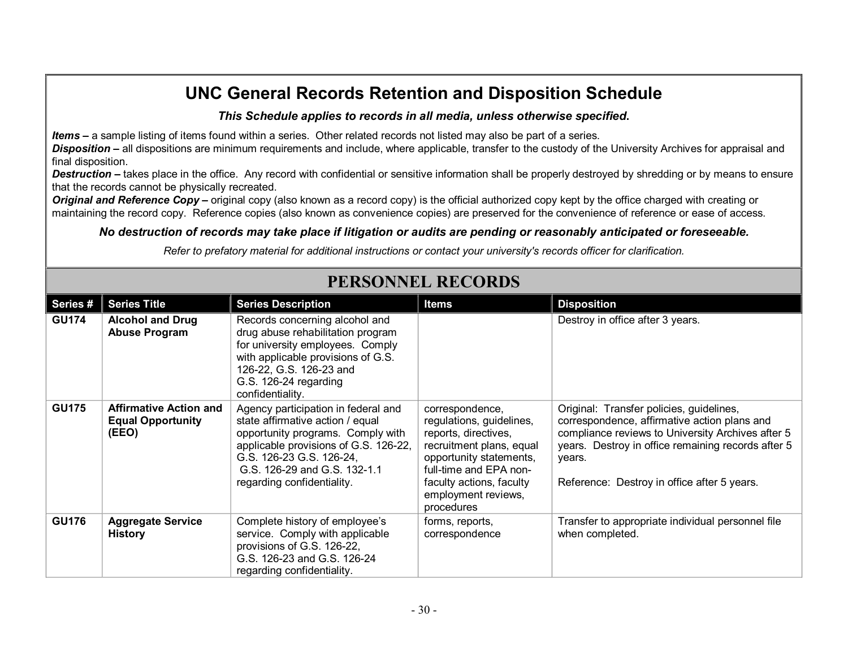#### *This Schedule applies to records in all media, unless otherwise specified***.**

*Items* **–** a sample listing of items found within a series. Other related records not listed may also be part of a series.

**Disposition** – all dispositions are minimum requirements and include, where applicable, transfer to the custody of the University Archives for appraisal and final disposition.

**Destruction** – takes place in the office. Any record with confidential or sensitive information shall be properly destroyed by shredding or by means to ensure that the records cannot be physically recreated.

*Original and Reference Copy* – original copy (also known as a record copy) is the official authorized copy kept by the office charged with creating or maintaining the record copy. Reference copies (also known as convenience copies) are preserved for the convenience of reference or ease of access.

### *No destruction of records may take place if litigation or audits are pending or reasonably anticipated or foreseeable.*

*Refer to prefatory material for additional instructions or contact your university's records officer for clarification.*

| Series #     | <b>Series Title</b>                                                | <b>Series Description</b>                                                                                                                                                                                                                       | <b>Items</b>                                                                                                                                                                                                          | <b>Disposition</b>                                                                                                                                                                                                                                           |
|--------------|--------------------------------------------------------------------|-------------------------------------------------------------------------------------------------------------------------------------------------------------------------------------------------------------------------------------------------|-----------------------------------------------------------------------------------------------------------------------------------------------------------------------------------------------------------------------|--------------------------------------------------------------------------------------------------------------------------------------------------------------------------------------------------------------------------------------------------------------|
| <b>GU174</b> | <b>Alcohol and Drug</b><br><b>Abuse Program</b>                    | Records concerning alcohol and<br>drug abuse rehabilitation program<br>for university employees. Comply<br>with applicable provisions of G.S.<br>126-22, G.S. 126-23 and<br>G.S. 126-24 regarding<br>confidentiality.                           |                                                                                                                                                                                                                       | Destroy in office after 3 years.                                                                                                                                                                                                                             |
| <b>GU175</b> | <b>Affirmative Action and</b><br><b>Equal Opportunity</b><br>(EEO) | Agency participation in federal and<br>state affirmative action / equal<br>opportunity programs. Comply with<br>applicable provisions of G.S. 126-22,<br>G.S. 126-23 G.S. 126-24,<br>G.S. 126-29 and G.S. 132-1.1<br>regarding confidentiality. | correspondence,<br>regulations, guidelines,<br>reports, directives,<br>recruitment plans, equal<br>opportunity statements,<br>full-time and EPA non-<br>faculty actions, faculty<br>employment reviews,<br>procedures | Original: Transfer policies, guidelines,<br>correspondence, affirmative action plans and<br>compliance reviews to University Archives after 5<br>years. Destroy in office remaining records after 5<br>years.<br>Reference: Destroy in office after 5 years. |
| <b>GU176</b> | <b>Aggregate Service</b><br><b>History</b>                         | Complete history of employee's<br>service. Comply with applicable<br>provisions of G.S. 126-22,<br>G.S. 126-23 and G.S. 126-24<br>regarding confidentiality.                                                                                    | forms, reports,<br>correspondence                                                                                                                                                                                     | Transfer to appropriate individual personnel file<br>when completed.                                                                                                                                                                                         |

# **PERSONNEL RECORDS**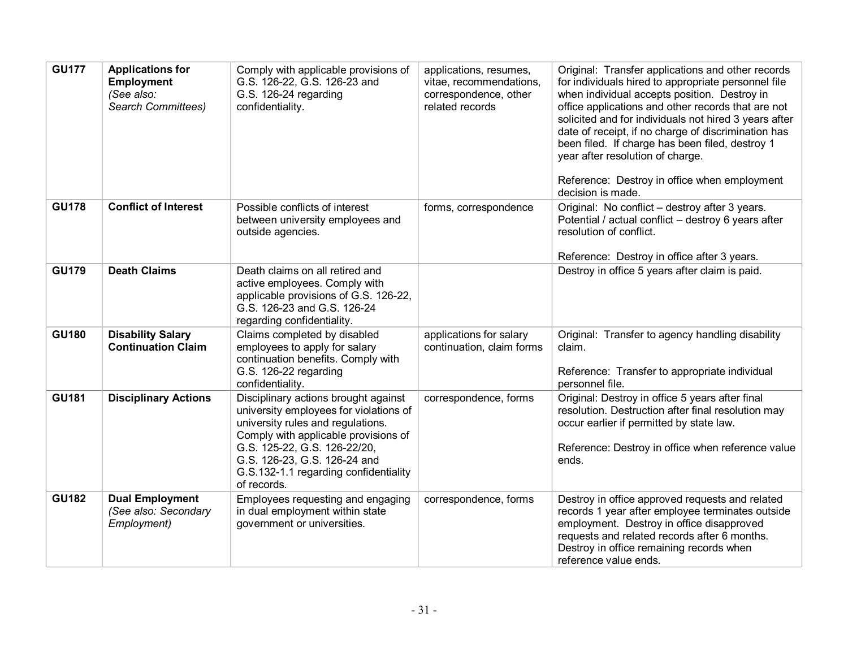| <b>GU177</b> | <b>Applications for</b><br><b>Employment</b><br>(See also:<br>Search Committees) | Comply with applicable provisions of<br>G.S. 126-22, G.S. 126-23 and<br>G.S. 126-24 regarding<br>confidentiality.                                                                                                                                                                   | applications, resumes,<br>vitae, recommendations,<br>correspondence, other<br>related records | Original: Transfer applications and other records<br>for individuals hired to appropriate personnel file<br>when individual accepts position. Destroy in<br>office applications and other records that are not<br>solicited and for individuals not hired 3 years after<br>date of receipt, if no charge of discrimination has<br>been filed. If charge has been filed, destroy 1<br>year after resolution of charge.<br>Reference: Destroy in office when employment<br>decision is made. |
|--------------|----------------------------------------------------------------------------------|-------------------------------------------------------------------------------------------------------------------------------------------------------------------------------------------------------------------------------------------------------------------------------------|-----------------------------------------------------------------------------------------------|--------------------------------------------------------------------------------------------------------------------------------------------------------------------------------------------------------------------------------------------------------------------------------------------------------------------------------------------------------------------------------------------------------------------------------------------------------------------------------------------|
| <b>GU178</b> | <b>Conflict of Interest</b>                                                      | Possible conflicts of interest<br>between university employees and<br>outside agencies.                                                                                                                                                                                             | forms, correspondence                                                                         | Original: No conflict - destroy after 3 years.<br>Potential / actual conflict - destroy 6 years after<br>resolution of conflict.<br>Reference: Destroy in office after 3 years.                                                                                                                                                                                                                                                                                                            |
| <b>GU179</b> | <b>Death Claims</b>                                                              | Death claims on all retired and<br>active employees. Comply with<br>applicable provisions of G.S. 126-22,<br>G.S. 126-23 and G.S. 126-24<br>regarding confidentiality.                                                                                                              |                                                                                               | Destroy in office 5 years after claim is paid.                                                                                                                                                                                                                                                                                                                                                                                                                                             |
| <b>GU180</b> | <b>Disability Salary</b><br><b>Continuation Claim</b>                            | Claims completed by disabled<br>employees to apply for salary<br>continuation benefits. Comply with<br>G.S. 126-22 regarding<br>confidentiality.                                                                                                                                    | applications for salary<br>continuation, claim forms                                          | Original: Transfer to agency handling disability<br>claim.<br>Reference: Transfer to appropriate individual<br>personnel file.                                                                                                                                                                                                                                                                                                                                                             |
| <b>GU181</b> | <b>Disciplinary Actions</b>                                                      | Disciplinary actions brought against<br>university employees for violations of<br>university rules and regulations.<br>Comply with applicable provisions of<br>G.S. 125-22, G.S. 126-22/20,<br>G.S. 126-23, G.S. 126-24 and<br>G.S.132-1.1 regarding confidentiality<br>of records. | correspondence, forms                                                                         | Original: Destroy in office 5 years after final<br>resolution. Destruction after final resolution may<br>occur earlier if permitted by state law.<br>Reference: Destroy in office when reference value<br>ends.                                                                                                                                                                                                                                                                            |
| <b>GU182</b> | <b>Dual Employment</b><br>(See also: Secondary<br>Employment)                    | Employees requesting and engaging<br>in dual employment within state<br>government or universities.                                                                                                                                                                                 | correspondence, forms                                                                         | Destroy in office approved requests and related<br>records 1 year after employee terminates outside<br>employment. Destroy in office disapproved<br>requests and related records after 6 months.<br>Destroy in office remaining records when<br>reference value ends.                                                                                                                                                                                                                      |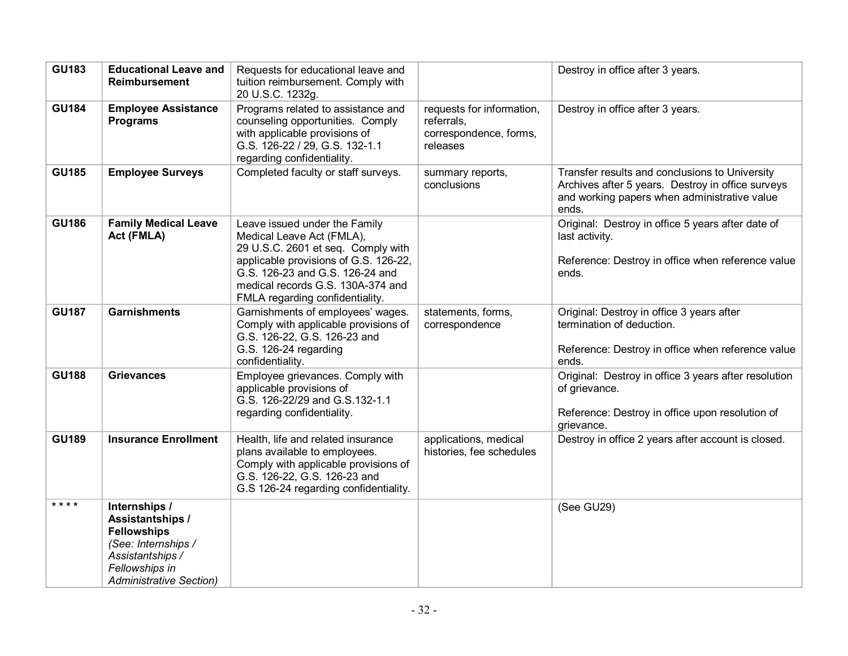| <b>GU183</b> | <b>Educational Leave and</b><br><b>Reimbursement</b>                                                                                                          | Requests for educational leave and<br>tuition reimbursement. Comply with<br>20 U.S.C. 1232g.                                                                                                                                                         |                                                                               | Destroy in office after 3 years.                                                                                                                             |
|--------------|---------------------------------------------------------------------------------------------------------------------------------------------------------------|------------------------------------------------------------------------------------------------------------------------------------------------------------------------------------------------------------------------------------------------------|-------------------------------------------------------------------------------|--------------------------------------------------------------------------------------------------------------------------------------------------------------|
| <b>GU184</b> | <b>Employee Assistance</b><br><b>Programs</b>                                                                                                                 | Programs related to assistance and<br>counseling opportunities. Comply<br>with applicable provisions of<br>G.S. 126-22 / 29, G.S. 132-1.1<br>regarding confidentiality.                                                                              | requests for information,<br>referrals.<br>correspondence, forms,<br>releases | Destroy in office after 3 years.                                                                                                                             |
| <b>GU185</b> | <b>Employee Surveys</b>                                                                                                                                       | Completed faculty or staff surveys.                                                                                                                                                                                                                  | summary reports,<br>conclusions                                               | Transfer results and conclusions to University<br>Archives after 5 years. Destroy in office surveys<br>and working papers when administrative value<br>ends. |
| <b>GU186</b> | <b>Family Medical Leave</b><br>Act (FMLA)                                                                                                                     | Leave issued under the Family<br>Medical Leave Act (FMLA),<br>29 U.S.C. 2601 et seq. Comply with<br>applicable provisions of G.S. 126-22,<br>G.S. 126-23 and G.S. 126-24 and<br>medical records G.S. 130A-374 and<br>FMLA regarding confidentiality. |                                                                               | Original: Destroy in office 5 years after date of<br>last activity.<br>Reference: Destroy in office when reference value<br>ends.                            |
| <b>GU187</b> | <b>Garnishments</b>                                                                                                                                           | Garnishments of employees' wages.<br>Comply with applicable provisions of<br>G.S. 126-22, G.S. 126-23 and<br>G.S. 126-24 regarding<br>confidentiality.                                                                                               | statements, forms,<br>correspondence                                          | Original: Destroy in office 3 years after<br>termination of deduction.<br>Reference: Destroy in office when reference value<br>ends.                         |
| <b>GU188</b> | <b>Grievances</b>                                                                                                                                             | Employee grievances. Comply with<br>applicable provisions of<br>G.S. 126-22/29 and G.S. 132-1.1<br>regarding confidentiality.                                                                                                                        |                                                                               | Original: Destroy in office 3 years after resolution<br>of grievance.<br>Reference: Destroy in office upon resolution of<br>grievance.                       |
| <b>GU189</b> | <b>Insurance Enrollment</b>                                                                                                                                   | Health, life and related insurance<br>plans available to employees.<br>Comply with applicable provisions of<br>G.S. 126-22, G.S. 126-23 and<br>G.S 126-24 regarding confidentiality.                                                                 | applications, medical<br>histories, fee schedules                             | Destroy in office 2 years after account is closed.                                                                                                           |
| ****         | Internships /<br><b>Assistantships /</b><br><b>Fellowships</b><br>(See: Internships /<br>Assistantships /<br>Fellowships in<br><b>Administrative Section)</b> |                                                                                                                                                                                                                                                      |                                                                               | (See GU29)                                                                                                                                                   |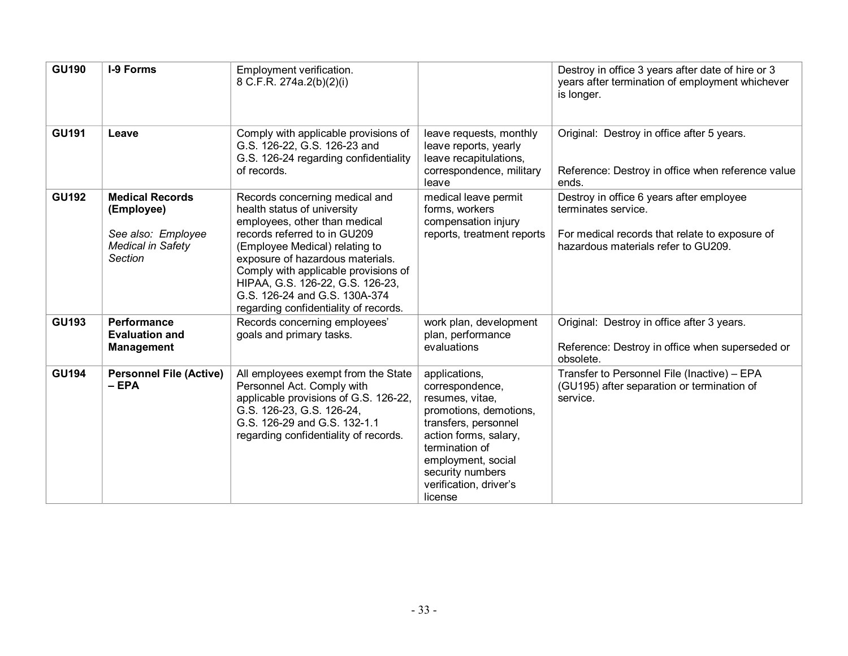| <b>GU190</b> | <b>I-9 Forms</b>                                                                                  | Employment verification.<br>8 C.F.R. 274a.2(b)(2)(i)                                                                                                                                                                                                                                                                                                       |                                                                                                                                                                                                                                 | Destroy in office 3 years after date of hire or 3<br>years after termination of employment whichever<br>is longer.                                       |
|--------------|---------------------------------------------------------------------------------------------------|------------------------------------------------------------------------------------------------------------------------------------------------------------------------------------------------------------------------------------------------------------------------------------------------------------------------------------------------------------|---------------------------------------------------------------------------------------------------------------------------------------------------------------------------------------------------------------------------------|----------------------------------------------------------------------------------------------------------------------------------------------------------|
| <b>GU191</b> | Leave                                                                                             | Comply with applicable provisions of<br>G.S. 126-22, G.S. 126-23 and<br>G.S. 126-24 regarding confidentiality<br>of records.                                                                                                                                                                                                                               | leave requests, monthly<br>leave reports, yearly<br>leave recapitulations,<br>correspondence, military<br>leave                                                                                                                 | Original: Destroy in office after 5 years.<br>Reference: Destroy in office when reference value<br>ends.                                                 |
| <b>GU192</b> | <b>Medical Records</b><br>(Employee)<br>See also: Employee<br><b>Medical in Safety</b><br>Section | Records concerning medical and<br>health status of university<br>employees, other than medical<br>records referred to in GU209<br>(Employee Medical) relating to<br>exposure of hazardous materials.<br>Comply with applicable provisions of<br>HIPAA, G.S. 126-22, G.S. 126-23,<br>G.S. 126-24 and G.S. 130A-374<br>regarding confidentiality of records. | medical leave permit<br>forms, workers<br>compensation injury<br>reports, treatment reports                                                                                                                                     | Destroy in office 6 years after employee<br>terminates service.<br>For medical records that relate to exposure of<br>hazardous materials refer to GU209. |
| <b>GU193</b> | Performance<br><b>Evaluation and</b><br><b>Management</b>                                         | Records concerning employees'<br>goals and primary tasks.                                                                                                                                                                                                                                                                                                  | work plan, development<br>plan, performance<br>evaluations                                                                                                                                                                      | Original: Destroy in office after 3 years.<br>Reference: Destroy in office when superseded or<br>obsolete.                                               |
| <b>GU194</b> | <b>Personnel File (Active)</b><br>$-EPA$                                                          | All employees exempt from the State<br>Personnel Act. Comply with<br>applicable provisions of G.S. 126-22,<br>G.S. 126-23, G.S. 126-24,<br>G.S. 126-29 and G.S. 132-1.1<br>regarding confidentiality of records.                                                                                                                                           | applications,<br>correspondence,<br>resumes, vitae,<br>promotions, demotions,<br>transfers, personnel<br>action forms, salary,<br>termination of<br>employment, social<br>security numbers<br>verification, driver's<br>license | Transfer to Personnel File (Inactive) - EPA<br>(GU195) after separation or termination of<br>service.                                                    |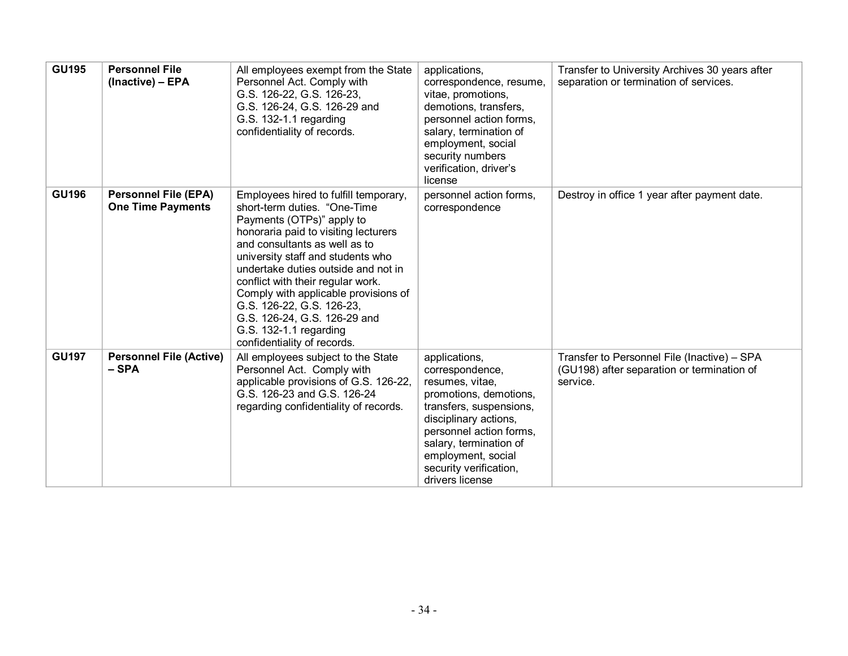| <b>GU195</b> | <b>Personnel File</b><br>(Inactive) - EPA               | All employees exempt from the State<br>Personnel Act. Comply with<br>G.S. 126-22, G.S. 126-23,<br>G.S. 126-24, G.S. 126-29 and<br>G.S. 132-1.1 regarding<br>confidentiality of records.                                                                                                                                                                                                                                                                     | applications,<br>correspondence, resume,<br>vitae, promotions,<br>demotions, transfers,<br>personnel action forms,<br>salary, termination of<br>employment, social<br>security numbers<br>verification, driver's<br>license                               | Transfer to University Archives 30 years after<br>separation or termination of services.              |
|--------------|---------------------------------------------------------|-------------------------------------------------------------------------------------------------------------------------------------------------------------------------------------------------------------------------------------------------------------------------------------------------------------------------------------------------------------------------------------------------------------------------------------------------------------|-----------------------------------------------------------------------------------------------------------------------------------------------------------------------------------------------------------------------------------------------------------|-------------------------------------------------------------------------------------------------------|
| <b>GU196</b> | <b>Personnel File (EPA)</b><br><b>One Time Payments</b> | Employees hired to fulfill temporary,<br>short-term duties. "One-Time"<br>Payments (OTPs)" apply to<br>honoraria paid to visiting lecturers<br>and consultants as well as to<br>university staff and students who<br>undertake duties outside and not in<br>conflict with their regular work.<br>Comply with applicable provisions of<br>G.S. 126-22, G.S. 126-23,<br>G.S. 126-24, G.S. 126-29 and<br>G.S. 132-1.1 regarding<br>confidentiality of records. | personnel action forms,<br>correspondence                                                                                                                                                                                                                 | Destroy in office 1 year after payment date.                                                          |
| <b>GU197</b> | <b>Personnel File (Active)</b><br>- SPA                 | All employees subject to the State<br>Personnel Act. Comply with<br>applicable provisions of G.S. 126-22,<br>G.S. 126-23 and G.S. 126-24<br>regarding confidentiality of records.                                                                                                                                                                                                                                                                           | applications,<br>correspondence,<br>resumes, vitae,<br>promotions, demotions,<br>transfers, suspensions,<br>disciplinary actions,<br>personnel action forms,<br>salary, termination of<br>employment, social<br>security verification,<br>drivers license | Transfer to Personnel File (Inactive) - SPA<br>(GU198) after separation or termination of<br>service. |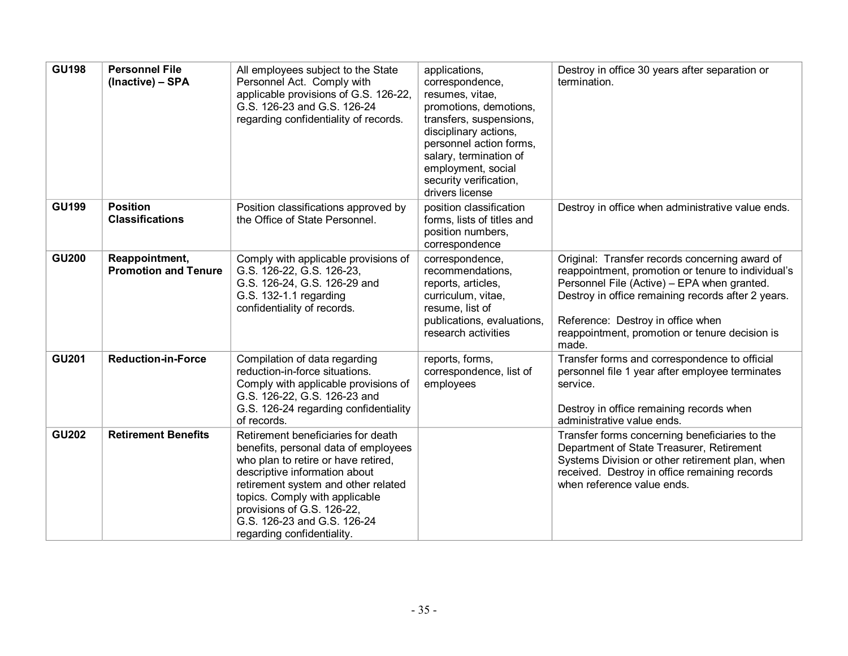| <b>GU198</b> | <b>Personnel File</b><br>(Inactive) - SPA     | All employees subject to the State<br>Personnel Act. Comply with<br>applicable provisions of G.S. 126-22,<br>G.S. 126-23 and G.S. 126-24<br>regarding confidentiality of records.                                                                                                                                      | applications,<br>correspondence,<br>resumes, vitae,<br>promotions, demotions,<br>transfers, suspensions,<br>disciplinary actions,<br>personnel action forms,<br>salary, termination of<br>employment, social<br>security verification,<br>drivers license | Destroy in office 30 years after separation or<br>termination.                                                                                                                                                                                                                                            |
|--------------|-----------------------------------------------|------------------------------------------------------------------------------------------------------------------------------------------------------------------------------------------------------------------------------------------------------------------------------------------------------------------------|-----------------------------------------------------------------------------------------------------------------------------------------------------------------------------------------------------------------------------------------------------------|-----------------------------------------------------------------------------------------------------------------------------------------------------------------------------------------------------------------------------------------------------------------------------------------------------------|
| <b>GU199</b> | <b>Position</b><br><b>Classifications</b>     | Position classifications approved by<br>the Office of State Personnel.                                                                                                                                                                                                                                                 | position classification<br>forms, lists of titles and<br>position numbers,<br>correspondence                                                                                                                                                              | Destroy in office when administrative value ends.                                                                                                                                                                                                                                                         |
| <b>GU200</b> | Reappointment,<br><b>Promotion and Tenure</b> | Comply with applicable provisions of<br>G.S. 126-22, G.S. 126-23,<br>G.S. 126-24, G.S. 126-29 and<br>G.S. 132-1.1 regarding<br>confidentiality of records.                                                                                                                                                             | correspondence,<br>recommendations,<br>reports, articles,<br>curriculum, vitae,<br>resume, list of<br>publications, evaluations,<br>research activities                                                                                                   | Original: Transfer records concerning award of<br>reappointment, promotion or tenure to individual's<br>Personnel File (Active) - EPA when granted.<br>Destroy in office remaining records after 2 years.<br>Reference: Destroy in office when<br>reappointment, promotion or tenure decision is<br>made. |
| <b>GU201</b> | <b>Reduction-in-Force</b>                     | Compilation of data regarding<br>reduction-in-force situations.<br>Comply with applicable provisions of<br>G.S. 126-22, G.S. 126-23 and<br>G.S. 126-24 regarding confidentiality<br>of records.                                                                                                                        | reports, forms,<br>correspondence, list of<br>employees                                                                                                                                                                                                   | Transfer forms and correspondence to official<br>personnel file 1 year after employee terminates<br>service.<br>Destroy in office remaining records when<br>administrative value ends.                                                                                                                    |
| <b>GU202</b> | <b>Retirement Benefits</b>                    | Retirement beneficiaries for death<br>benefits, personal data of employees<br>who plan to retire or have retired,<br>descriptive information about<br>retirement system and other related<br>topics. Comply with applicable<br>provisions of G.S. 126-22,<br>G.S. 126-23 and G.S. 126-24<br>regarding confidentiality. |                                                                                                                                                                                                                                                           | Transfer forms concerning beneficiaries to the<br>Department of State Treasurer, Retirement<br>Systems Division or other retirement plan, when<br>received. Destroy in office remaining records<br>when reference value ends.                                                                             |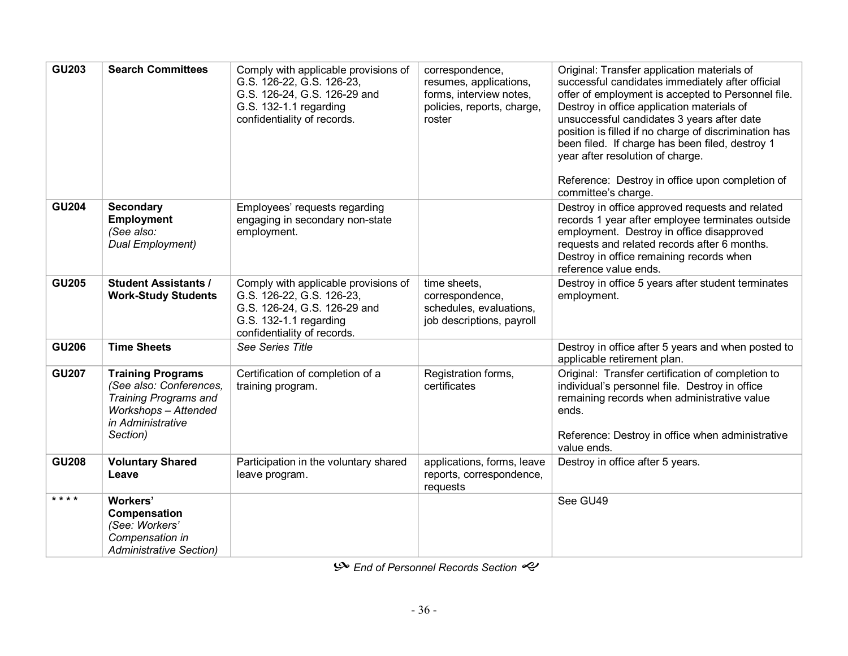| <b>GU203</b> | <b>Search Committees</b>                                                                                                                            | Comply with applicable provisions of<br>G.S. 126-22, G.S. 126-23,<br>G.S. 126-24, G.S. 126-29 and<br>G.S. 132-1.1 regarding<br>confidentiality of records. | correspondence,<br>resumes, applications,<br>forms, interview notes,<br>policies, reports, charge,<br>roster | Original: Transfer application materials of<br>successful candidates immediately after official<br>offer of employment is accepted to Personnel file.<br>Destroy in office application materials of<br>unsuccessful candidates 3 years after date<br>position is filled if no charge of discrimination has<br>been filed. If charge has been filed, destroy 1<br>year after resolution of charge.<br>Reference: Destroy in office upon completion of<br>committee's charge. |
|--------------|-----------------------------------------------------------------------------------------------------------------------------------------------------|------------------------------------------------------------------------------------------------------------------------------------------------------------|--------------------------------------------------------------------------------------------------------------|-----------------------------------------------------------------------------------------------------------------------------------------------------------------------------------------------------------------------------------------------------------------------------------------------------------------------------------------------------------------------------------------------------------------------------------------------------------------------------|
| <b>GU204</b> | <b>Secondary</b><br><b>Employment</b><br>(See also:<br><b>Dual Employment)</b>                                                                      | Employees' requests regarding<br>engaging in secondary non-state<br>employment.                                                                            |                                                                                                              | Destroy in office approved requests and related<br>records 1 year after employee terminates outside<br>employment. Destroy in office disapproved<br>requests and related records after 6 months.<br>Destroy in office remaining records when<br>reference value ends.                                                                                                                                                                                                       |
| <b>GU205</b> | <b>Student Assistants /</b><br><b>Work-Study Students</b>                                                                                           | Comply with applicable provisions of<br>G.S. 126-22, G.S. 126-23,<br>G.S. 126-24, G.S. 126-29 and<br>G.S. 132-1.1 regarding<br>confidentiality of records. | time sheets,<br>correspondence,<br>schedules, evaluations,<br>job descriptions, payroll                      | Destroy in office 5 years after student terminates<br>employment.                                                                                                                                                                                                                                                                                                                                                                                                           |
| <b>GU206</b> | <b>Time Sheets</b>                                                                                                                                  | See Series Title                                                                                                                                           |                                                                                                              | Destroy in office after 5 years and when posted to<br>applicable retirement plan.                                                                                                                                                                                                                                                                                                                                                                                           |
| <b>GU207</b> | <b>Training Programs</b><br>(See also: Conferences,<br><b>Training Programs and</b><br><b>Workshops</b> - Attended<br>in Administrative<br>Section) | Certification of completion of a<br>training program.                                                                                                      | Registration forms,<br>certificates                                                                          | Original: Transfer certification of completion to<br>individual's personnel file. Destroy in office<br>remaining records when administrative value<br>ends.<br>Reference: Destroy in office when administrative<br>value ends.                                                                                                                                                                                                                                              |
| <b>GU208</b> | <b>Voluntary Shared</b><br>Leave                                                                                                                    | Participation in the voluntary shared<br>leave program.                                                                                                    | applications, forms, leave<br>reports, correspondence,<br>requests                                           | Destroy in office after 5 years.                                                                                                                                                                                                                                                                                                                                                                                                                                            |
| * * * *      | Workers'<br>Compensation<br>(See: Workers'<br>Compensation in<br><b>Administrative Section)</b>                                                     |                                                                                                                                                            |                                                                                                              | See GU49                                                                                                                                                                                                                                                                                                                                                                                                                                                                    |

 $\mathcal{P}$  End of Personnel Records Section  $\mathcal{P}$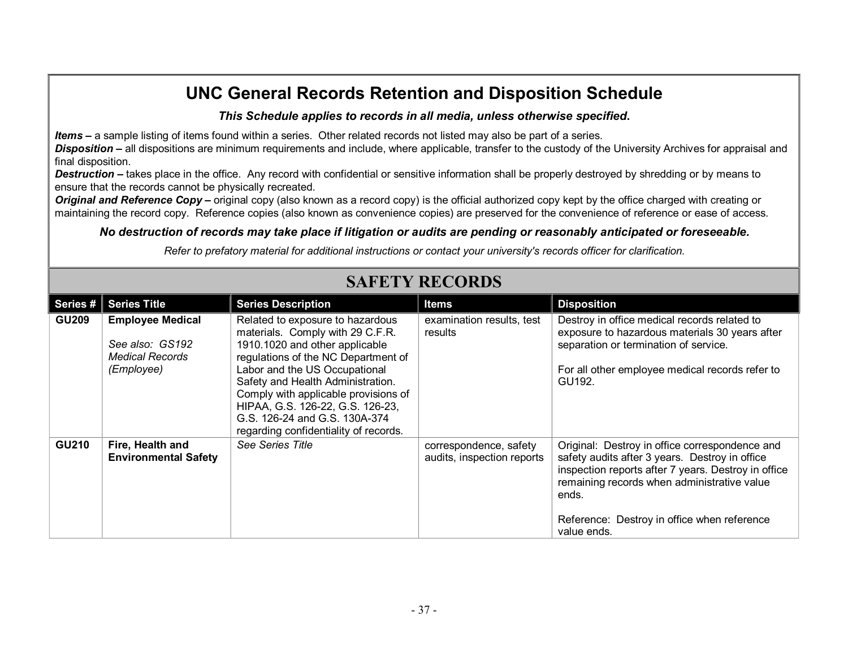#### *This Schedule applies to records in all media, unless otherwise specified***.**

*Items* **–** a sample listing of items found within a series. Other related records not listed may also be part of a series.

*Disposition* **–** all dispositions are minimum requirements and include, where applicable, transfer to the custody of the University Archives for appraisal and final disposition.

**Destruction** – takes place in the office. Any record with confidential or sensitive information shall be properly destroyed by shredding or by means to ensure that the records cannot be physically recreated.

*Original and Reference Copy* – original copy (also known as a record copy) is the official authorized copy kept by the office charged with creating or maintaining the record copy. Reference copies (also known as convenience copies) are preserved for the convenience of reference or ease of access.

#### *No destruction of records may take place if litigation or audits are pending or reasonably anticipated or foreseeable.*

*Refer to prefatory material for additional instructions or contact your university's records officer for clarification.*

|              | ям вти кремья                                                                      |                                                                                                                                                                                                                                                                                                                                                                           |                                                      |                                                                                                                                                                                                                                                                               |  |
|--------------|------------------------------------------------------------------------------------|---------------------------------------------------------------------------------------------------------------------------------------------------------------------------------------------------------------------------------------------------------------------------------------------------------------------------------------------------------------------------|------------------------------------------------------|-------------------------------------------------------------------------------------------------------------------------------------------------------------------------------------------------------------------------------------------------------------------------------|--|
| Series #     | <b>Series Title</b>                                                                | <b>Series Description</b>                                                                                                                                                                                                                                                                                                                                                 | <b>Items</b>                                         | <b>Disposition</b>                                                                                                                                                                                                                                                            |  |
| <b>GU209</b> | <b>Employee Medical</b><br>See also: GS192<br><b>Medical Records</b><br>(Employee) | Related to exposure to hazardous<br>materials. Comply with 29 C.F.R.<br>1910.1020 and other applicable<br>regulations of the NC Department of<br>Labor and the US Occupational<br>Safety and Health Administration.<br>Comply with applicable provisions of<br>HIPAA, G.S. 126-22, G.S. 126-23,<br>G.S. 126-24 and G.S. 130A-374<br>regarding confidentiality of records. | examination results, test<br>results                 | Destroy in office medical records related to<br>exposure to hazardous materials 30 years after<br>separation or termination of service.<br>For all other employee medical records refer to<br>GU192.                                                                          |  |
| <b>GU210</b> | Fire, Health and<br><b>Environmental Safety</b>                                    | See Series Title                                                                                                                                                                                                                                                                                                                                                          | correspondence, safety<br>audits, inspection reports | Original: Destroy in office correspondence and<br>safety audits after 3 years. Destroy in office<br>inspection reports after 7 years. Destroy in office<br>remaining records when administrative value<br>ends.<br>Reference: Destroy in office when reference<br>value ends. |  |

### **SAFETY RECORDS**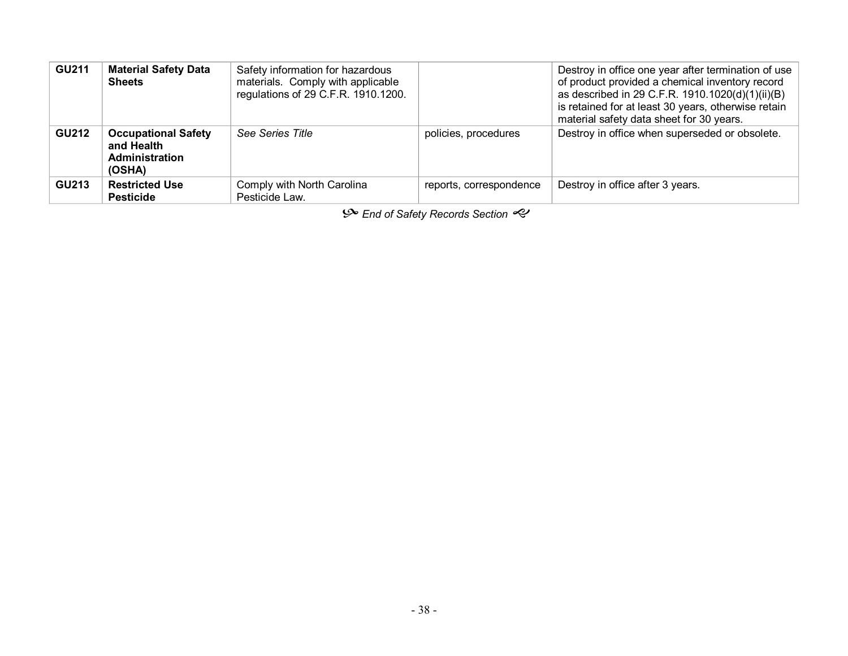| <b>GU211</b> | <b>Material Safety Data</b><br><b>Sheets</b>                                | Safety information for hazardous<br>materials. Comply with applicable<br>regulations of 29 C.F.R. 1910.1200. |                         | Destroy in office one year after termination of use<br>of product provided a chemical inventory record<br>as described in 29 C.F.R. 1910.1020(d)(1)(ii)(B)<br>is retained for at least 30 years, otherwise retain<br>material safety data sheet for 30 years. |
|--------------|-----------------------------------------------------------------------------|--------------------------------------------------------------------------------------------------------------|-------------------------|---------------------------------------------------------------------------------------------------------------------------------------------------------------------------------------------------------------------------------------------------------------|
| <b>GU212</b> | <b>Occupational Safety</b><br>and Health<br><b>Administration</b><br>(OSHA) | See Series Title                                                                                             | policies, procedures    | Destroy in office when superseded or obsolete.                                                                                                                                                                                                                |
| <b>GU213</b> | <b>Restricted Use</b><br><b>Pesticide</b>                                   | Comply with North Carolina<br>Pesticide Law.                                                                 | reports, correspondence | Destroy in office after 3 years.                                                                                                                                                                                                                              |

 $\mathcal{S}$  End of Safety Records Section  $\mathcal{S}$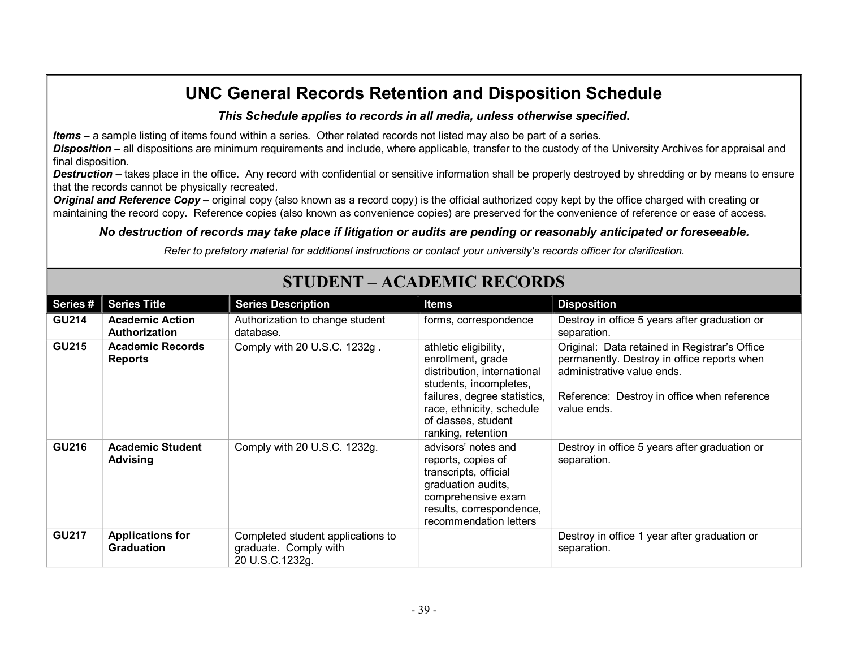#### *This Schedule applies to records in all media, unless otherwise specified***.**

*Items* **–** a sample listing of items found within a series. Other related records not listed may also be part of a series.

*Disposition* **–** all dispositions are minimum requirements and include, where applicable, transfer to the custody of the University Archives for appraisal and final disposition.

**Destruction** – takes place in the office. Any record with confidential or sensitive information shall be properly destroyed by shredding or by means to ensure that the records cannot be physically recreated.

*Original and Reference Copy* – original copy (also known as a record copy) is the official authorized copy kept by the office charged with creating or maintaining the record copy. Reference copies (also known as convenience copies) are preserved for the convenience of reference or ease of access.

#### *No destruction of records may take place if litigation or audits are pending or reasonably anticipated or foreseeable.*

*Refer to prefatory material for additional instructions or contact your university's records officer for clarification.*

| Series#      | <b>Series Title</b>                            | <b>Series Description</b>                                                     | <b>Items</b>                                                                                                                                                                                                  | <b>Disposition</b>                                                                                                                                                                       |
|--------------|------------------------------------------------|-------------------------------------------------------------------------------|---------------------------------------------------------------------------------------------------------------------------------------------------------------------------------------------------------------|------------------------------------------------------------------------------------------------------------------------------------------------------------------------------------------|
| <b>GU214</b> | <b>Academic Action</b><br><b>Authorization</b> | Authorization to change student<br>database.                                  | forms, correspondence                                                                                                                                                                                         | Destroy in office 5 years after graduation or<br>separation.                                                                                                                             |
| <b>GU215</b> | <b>Academic Records</b><br><b>Reports</b>      | Comply with 20 U.S.C. 1232g.                                                  | athletic eligibility,<br>enrollment, grade<br>distribution, international<br>students, incompletes,<br>failures, degree statistics,<br>race, ethnicity, schedule<br>of classes, student<br>ranking, retention | Original: Data retained in Registrar's Office<br>permanently. Destroy in office reports when<br>administrative value ends.<br>Reference: Destroy in office when reference<br>value ends. |
| <b>GU216</b> | <b>Academic Student</b><br><b>Advising</b>     | Comply with 20 U.S.C. 1232g.                                                  | advisors' notes and<br>reports, copies of<br>transcripts, official<br>graduation audits,<br>comprehensive exam<br>results, correspondence,<br>recommendation letters                                          | Destroy in office 5 years after graduation or<br>separation.                                                                                                                             |
| <b>GU217</b> | <b>Applications for</b><br><b>Graduation</b>   | Completed student applications to<br>graduate. Comply with<br>20 U.S.C.1232g. |                                                                                                                                                                                                               | Destroy in office 1 year after graduation or<br>separation.                                                                                                                              |

### **STUDENT – ACADEMIC RECORDS**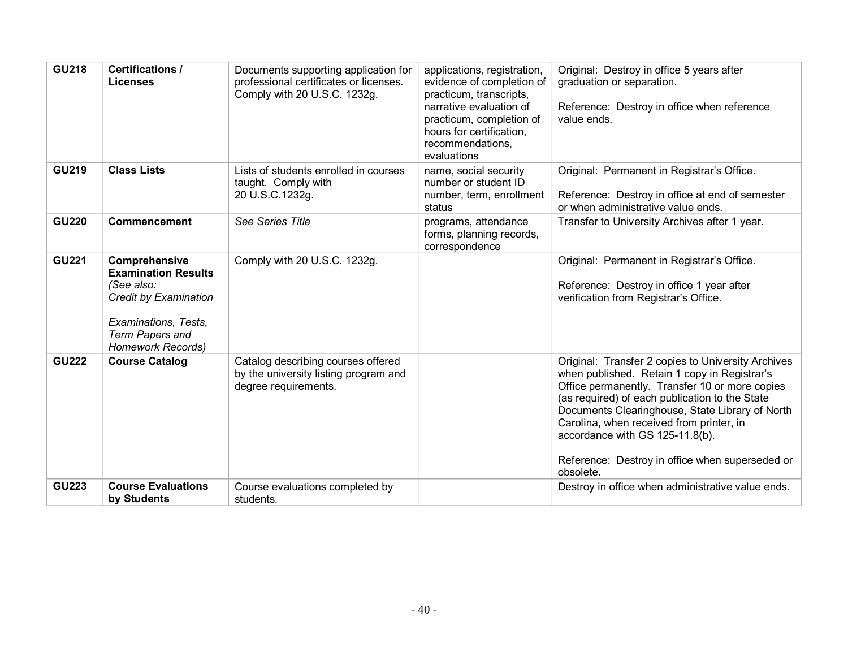| <b>GU218</b> | <b>Certifications /</b><br><b>Licenses</b>                                                                                                                       | Documents supporting application for<br>professional certificates or licenses.<br>Comply with 20 U.S.C. 1232g. | applications, registration,<br>evidence of completion of<br>practicum, transcripts,<br>narrative evaluation of<br>practicum, completion of<br>hours for certification.<br>recommendations,<br>evaluations | Original: Destroy in office 5 years after<br>graduation or separation.<br>Reference: Destroy in office when reference<br>value ends.                                                                                                                                                                                                                                                                     |
|--------------|------------------------------------------------------------------------------------------------------------------------------------------------------------------|----------------------------------------------------------------------------------------------------------------|-----------------------------------------------------------------------------------------------------------------------------------------------------------------------------------------------------------|----------------------------------------------------------------------------------------------------------------------------------------------------------------------------------------------------------------------------------------------------------------------------------------------------------------------------------------------------------------------------------------------------------|
| <b>GU219</b> | <b>Class Lists</b>                                                                                                                                               | Lists of students enrolled in courses<br>taught. Comply with<br>20 U.S.C.1232g.                                | name, social security<br>number or student ID<br>number, term, enrollment<br>status                                                                                                                       | Original: Permanent in Registrar's Office.<br>Reference: Destroy in office at end of semester<br>or when administrative value ends.                                                                                                                                                                                                                                                                      |
| <b>GU220</b> | <b>Commencement</b>                                                                                                                                              | See Series Title                                                                                               | programs, attendance<br>forms, planning records,<br>correspondence                                                                                                                                        | Transfer to University Archives after 1 year.                                                                                                                                                                                                                                                                                                                                                            |
| <b>GU221</b> | Comprehensive<br><b>Examination Results</b><br>(See also:<br>Credit by Examination<br>Examinations, Tests,<br><b>Term Papers and</b><br><b>Homework Records)</b> | Comply with 20 U.S.C. 1232g.                                                                                   |                                                                                                                                                                                                           | Original: Permanent in Registrar's Office.<br>Reference: Destroy in office 1 year after<br>verification from Registrar's Office.                                                                                                                                                                                                                                                                         |
| <b>GU222</b> | <b>Course Catalog</b>                                                                                                                                            | Catalog describing courses offered<br>by the university listing program and<br>degree requirements.            |                                                                                                                                                                                                           | Original: Transfer 2 copies to University Archives<br>when published. Retain 1 copy in Registrar's<br>Office permanently. Transfer 10 or more copies<br>(as required) of each publication to the State<br>Documents Clearinghouse, State Library of North<br>Carolina, when received from printer, in<br>accordance with GS 125-11.8(b).<br>Reference: Destroy in office when superseded or<br>obsolete. |
| <b>GU223</b> | <b>Course Evaluations</b><br>by Students                                                                                                                         | Course evaluations completed by<br>students.                                                                   |                                                                                                                                                                                                           | Destroy in office when administrative value ends.                                                                                                                                                                                                                                                                                                                                                        |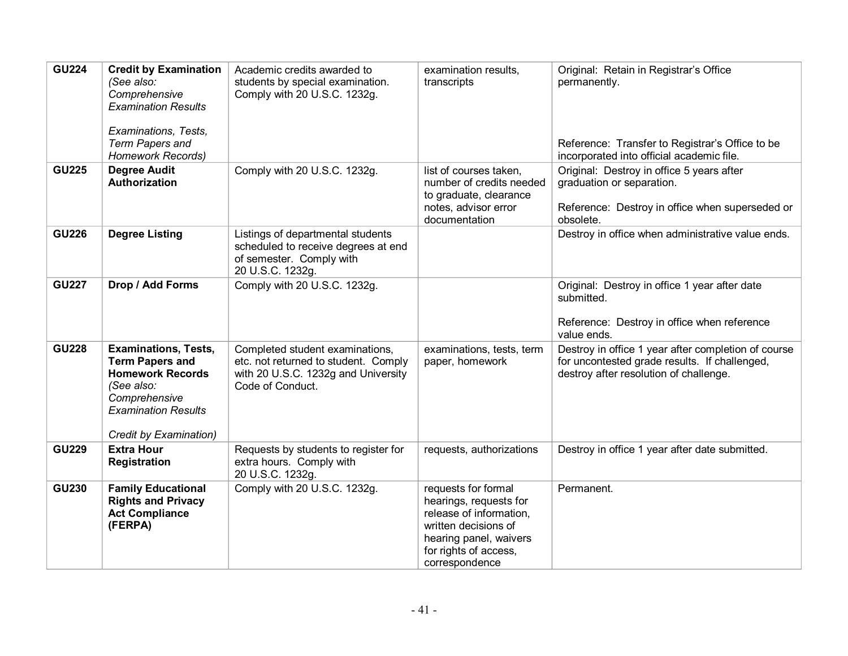| <b>GU224</b> | <b>Credit by Examination</b><br>(See also:<br>Comprehensive<br><b>Examination Results</b>                                                                               | Academic credits awarded to<br>students by special examination.<br>Comply with 20 U.S.C. 1232g.                                    | examination results,<br>transcripts                                                                                                                                   | Original: Retain in Registrar's Office<br>permanently.                                                                                         |
|--------------|-------------------------------------------------------------------------------------------------------------------------------------------------------------------------|------------------------------------------------------------------------------------------------------------------------------------|-----------------------------------------------------------------------------------------------------------------------------------------------------------------------|------------------------------------------------------------------------------------------------------------------------------------------------|
|              | Examinations, Tests,<br><b>Term Papers and</b><br><b>Homework Records)</b>                                                                                              |                                                                                                                                    |                                                                                                                                                                       | Reference: Transfer to Registrar's Office to be<br>incorporated into official academic file.                                                   |
| <b>GU225</b> | <b>Degree Audit</b><br>Authorization                                                                                                                                    | Comply with 20 U.S.C. 1232g.                                                                                                       | list of courses taken,<br>number of credits needed<br>to graduate, clearance<br>notes, advisor error<br>documentation                                                 | Original: Destroy in office 5 years after<br>graduation or separation.<br>Reference: Destroy in office when superseded or<br>obsolete.         |
| <b>GU226</b> | <b>Degree Listing</b>                                                                                                                                                   | Listings of departmental students<br>scheduled to receive degrees at end<br>of semester. Comply with<br>20 U.S.C. 1232g.           |                                                                                                                                                                       | Destroy in office when administrative value ends.                                                                                              |
| <b>GU227</b> | Drop / Add Forms                                                                                                                                                        | Comply with 20 U.S.C. 1232g.                                                                                                       |                                                                                                                                                                       | Original: Destroy in office 1 year after date<br>submitted.<br>Reference: Destroy in office when reference<br>value ends.                      |
| <b>GU228</b> | <b>Examinations, Tests,</b><br><b>Term Papers and</b><br><b>Homework Records</b><br>(See also:<br>Comprehensive<br><b>Examination Results</b><br>Credit by Examination) | Completed student examinations,<br>etc. not returned to student. Comply<br>with 20 U.S.C. 1232g and University<br>Code of Conduct. | examinations, tests, term<br>paper, homework                                                                                                                          | Destroy in office 1 year after completion of course<br>for uncontested grade results. If challenged,<br>destroy after resolution of challenge. |
| <b>GU229</b> | <b>Extra Hour</b><br>Registration                                                                                                                                       | Requests by students to register for<br>extra hours. Comply with<br>20 U.S.C. 1232g.                                               | requests, authorizations                                                                                                                                              | Destroy in office 1 year after date submitted.                                                                                                 |
| <b>GU230</b> | <b>Family Educational</b><br><b>Rights and Privacy</b><br><b>Act Compliance</b><br>(FERPA)                                                                              | Comply with 20 U.S.C. 1232g.                                                                                                       | requests for formal<br>hearings, requests for<br>release of information,<br>written decisions of<br>hearing panel, waivers<br>for rights of access,<br>correspondence | Permanent.                                                                                                                                     |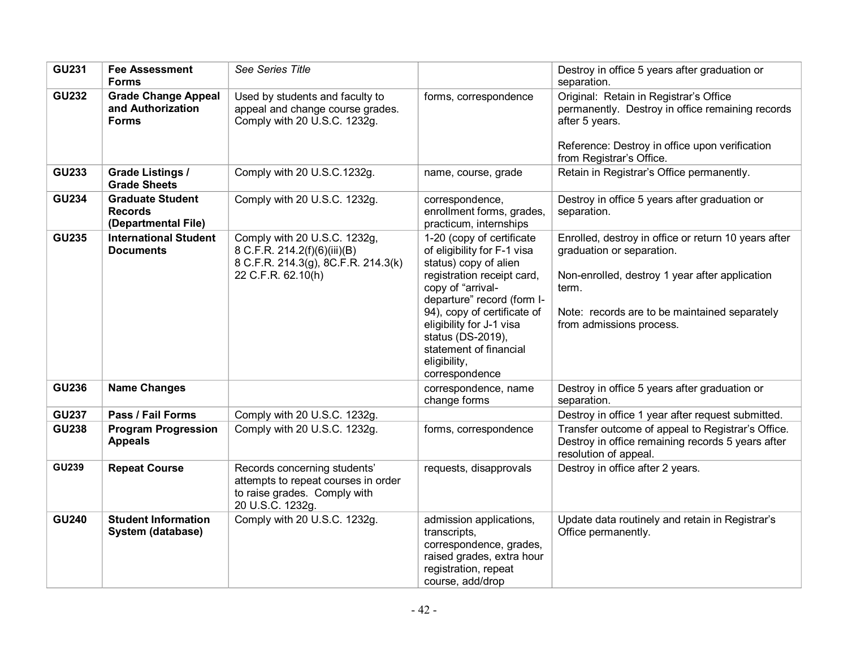| <b>GU231</b> | <b>Fee Assessment</b><br><b>Forms</b>                            | See Series Title                                                                                                          |                                                                                                                                                                                                                                                                                                                | Destroy in office 5 years after graduation or<br>separation.                                                                                                                                                              |
|--------------|------------------------------------------------------------------|---------------------------------------------------------------------------------------------------------------------------|----------------------------------------------------------------------------------------------------------------------------------------------------------------------------------------------------------------------------------------------------------------------------------------------------------------|---------------------------------------------------------------------------------------------------------------------------------------------------------------------------------------------------------------------------|
| <b>GU232</b> | <b>Grade Change Appeal</b><br>and Authorization<br><b>Forms</b>  | Used by students and faculty to<br>appeal and change course grades.<br>Comply with 20 U.S.C. 1232g.                       | forms, correspondence                                                                                                                                                                                                                                                                                          | Original: Retain in Registrar's Office<br>permanently. Destroy in office remaining records<br>after 5 years.<br>Reference: Destroy in office upon verification<br>from Registrar's Office.                                |
| <b>GU233</b> | <b>Grade Listings /</b><br><b>Grade Sheets</b>                   | Comply with 20 U.S.C.1232g.                                                                                               | name, course, grade                                                                                                                                                                                                                                                                                            | Retain in Registrar's Office permanently.                                                                                                                                                                                 |
| <b>GU234</b> | <b>Graduate Student</b><br><b>Records</b><br>(Departmental File) | Comply with 20 U.S.C. 1232g.                                                                                              | correspondence,<br>enrollment forms, grades,<br>practicum, internships                                                                                                                                                                                                                                         | Destroy in office 5 years after graduation or<br>separation.                                                                                                                                                              |
| <b>GU235</b> | <b>International Student</b><br><b>Documents</b>                 | Comply with 20 U.S.C. 1232g,<br>8 C.F.R. 214.2(f)(6)(iii)(B)<br>8 C.F.R. 214.3(g), 8C.F.R. 214.3(k)<br>22 C.F.R. 62.10(h) | 1-20 (copy of certificate<br>of eligibility for F-1 visa<br>status) copy of alien<br>registration receipt card,<br>copy of "arrival-<br>departure" record (form I-<br>94), copy of certificate of<br>eligibility for J-1 visa<br>status (DS-2019),<br>statement of financial<br>eligibility,<br>correspondence | Enrolled, destroy in office or return 10 years after<br>graduation or separation.<br>Non-enrolled, destroy 1 year after application<br>term.<br>Note: records are to be maintained separately<br>from admissions process. |
| <b>GU236</b> | <b>Name Changes</b>                                              |                                                                                                                           | correspondence, name<br>change forms                                                                                                                                                                                                                                                                           | Destroy in office 5 years after graduation or<br>separation.                                                                                                                                                              |
| <b>GU237</b> | Pass / Fail Forms                                                | Comply with 20 U.S.C. 1232g.                                                                                              |                                                                                                                                                                                                                                                                                                                | Destroy in office 1 year after request submitted.                                                                                                                                                                         |
| <b>GU238</b> | <b>Program Progression</b><br><b>Appeals</b>                     | Comply with 20 U.S.C. 1232g.                                                                                              | forms, correspondence                                                                                                                                                                                                                                                                                          | Transfer outcome of appeal to Registrar's Office.<br>Destroy in office remaining records 5 years after<br>resolution of appeal.                                                                                           |
| <b>GU239</b> | <b>Repeat Course</b>                                             | Records concerning students'<br>attempts to repeat courses in order<br>to raise grades. Comply with<br>20 U.S.C. 1232g.   | requests, disapprovals                                                                                                                                                                                                                                                                                         | Destroy in office after 2 years.                                                                                                                                                                                          |
| <b>GU240</b> | <b>Student Information</b><br>System (database)                  | Comply with 20 U.S.C. 1232g.                                                                                              | admission applications,<br>transcripts,<br>correspondence, grades,<br>raised grades, extra hour<br>registration, repeat<br>course, add/drop                                                                                                                                                                    | Update data routinely and retain in Registrar's<br>Office permanently.                                                                                                                                                    |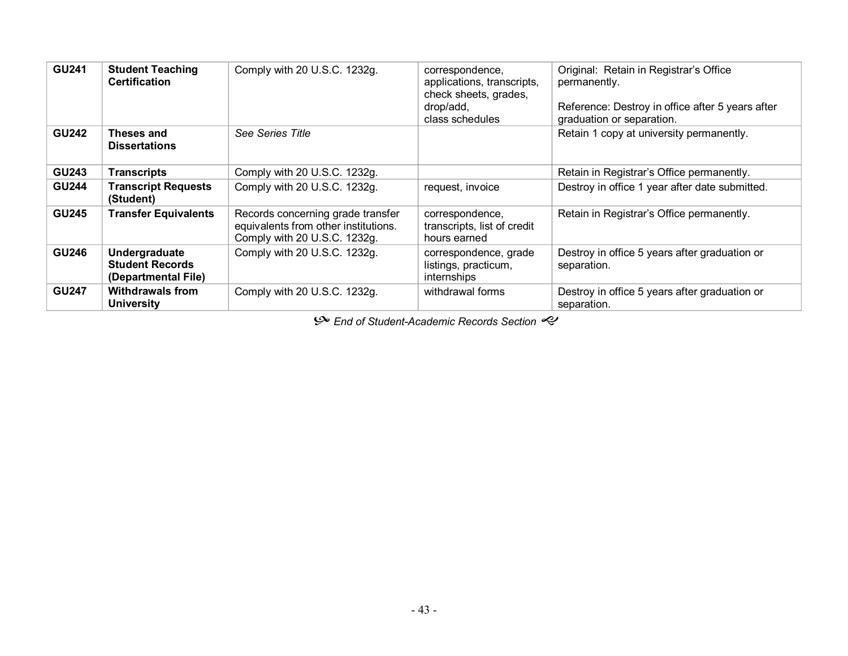| <b>GU241</b> | <b>Student Teaching</b><br><b>Certification</b>                | Comply with 20 U.S.C. 1232g.                                                                              | correspondence,<br>applications, transcripts,<br>check sheets, grades,<br>drop/add,<br>class schedules | Original: Retain in Registrar's Office<br>permanently.<br>Reference: Destroy in office after 5 years after<br>graduation or separation. |
|--------------|----------------------------------------------------------------|-----------------------------------------------------------------------------------------------------------|--------------------------------------------------------------------------------------------------------|-----------------------------------------------------------------------------------------------------------------------------------------|
| <b>GU242</b> | Theses and<br><b>Dissertations</b>                             | See Series Title                                                                                          |                                                                                                        | Retain 1 copy at university permanently.                                                                                                |
| <b>GU243</b> | <b>Transcripts</b>                                             | Comply with 20 U.S.C. 1232g.                                                                              |                                                                                                        | Retain in Registrar's Office permanently.                                                                                               |
| <b>GU244</b> | <b>Transcript Requests</b><br>(Student)                        | Comply with 20 U.S.C. 1232g.                                                                              | request, invoice                                                                                       | Destroy in office 1 year after date submitted.                                                                                          |
| <b>GU245</b> | <b>Transfer Equivalents</b>                                    | Records concerning grade transfer<br>equivalents from other institutions.<br>Comply with 20 U.S.C. 1232g. | correspondence,<br>transcripts, list of credit<br>hours earned                                         | Retain in Registrar's Office permanently.                                                                                               |
| <b>GU246</b> | Undergraduate<br><b>Student Records</b><br>(Departmental File) | Comply with 20 U.S.C. 1232g.                                                                              | correspondence, grade<br>listings, practicum,<br>internships                                           | Destroy in office 5 years after graduation or<br>separation.                                                                            |
| <b>GU247</b> | <b>Withdrawals from</b><br><b>University</b>                   | Comply with 20 U.S.C. 1232g.                                                                              | withdrawal forms                                                                                       | Destroy in office 5 years after graduation or<br>separation.                                                                            |

 $\mathcal{P}$  End of Student-Academic Records Section  $\mathcal{P}$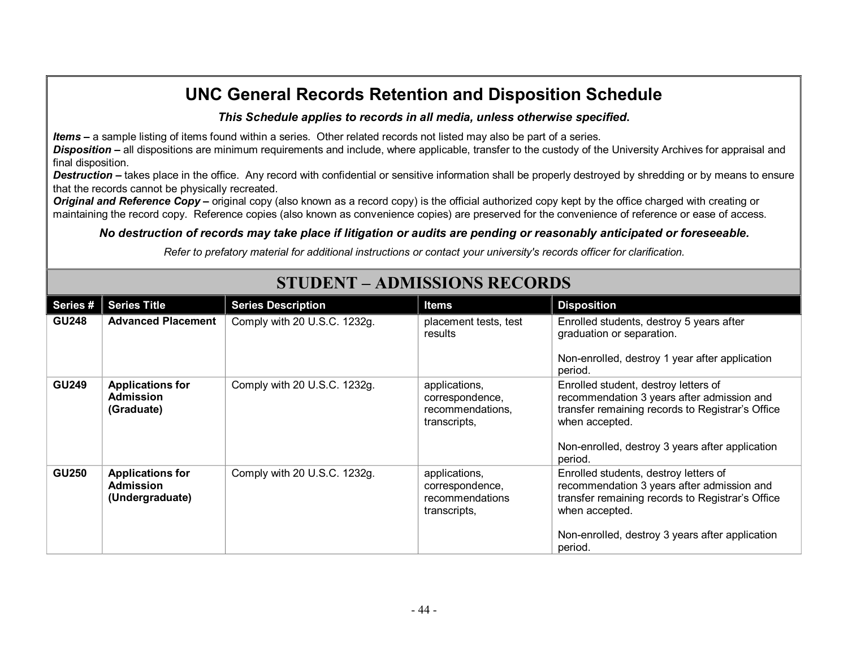#### *This Schedule applies to records in all media, unless otherwise specified***.**

*Items* **–** a sample listing of items found within a series. Other related records not listed may also be part of a series.

*Disposition* **–** all dispositions are minimum requirements and include, where applicable, transfer to the custody of the University Archives for appraisal and final disposition.

**Destruction** – takes place in the office. Any record with confidential or sensitive information shall be properly destroyed by shredding or by means to ensure that the records cannot be physically recreated.

**Original and Reference Copy** – original copy (also known as a record copy) is the official authorized copy kept by the office charged with creating or maintaining the record copy. Reference copies (also known as convenience copies) are preserved for the convenience of reference or ease of access.

#### *No destruction of records may take place if litigation or audits are pending or reasonably anticipated or foreseeable.*

*Refer to prefatory material for additional instructions or contact your university's records officer for clarification.*

| Series #     | <b>Series Title</b>                                       | <b>Series Description</b>    | <b>Items</b>                                                         | <b>Disposition</b>                                                                                                                                                                                                      |
|--------------|-----------------------------------------------------------|------------------------------|----------------------------------------------------------------------|-------------------------------------------------------------------------------------------------------------------------------------------------------------------------------------------------------------------------|
| <b>GU248</b> | <b>Advanced Placement</b>                                 | Comply with 20 U.S.C. 1232g. | placement tests, test<br>results                                     | Enrolled students, destroy 5 years after<br>graduation or separation.                                                                                                                                                   |
|              |                                                           |                              |                                                                      | Non-enrolled, destroy 1 year after application<br>period.                                                                                                                                                               |
| <b>GU249</b> | <b>Applications for</b><br><b>Admission</b><br>(Graduate) | Comply with 20 U.S.C. 1232g. | applications,<br>correspondence,<br>recommendations,<br>transcripts, | Enrolled student, destroy letters of<br>recommendation 3 years after admission and<br>transfer remaining records to Registrar's Office<br>when accepted.<br>Non-enrolled, destroy 3 years after application<br>period.  |
| <b>GU250</b> | <b>Applications for</b><br>Admission<br>(Undergraduate)   | Comply with 20 U.S.C. 1232g. | applications,<br>correspondence,<br>recommendations<br>transcripts,  | Enrolled students, destroy letters of<br>recommendation 3 years after admission and<br>transfer remaining records to Registrar's Office<br>when accepted.<br>Non-enrolled, destroy 3 years after application<br>period. |

# **STUDENT – ADMISSIONS RECORDS**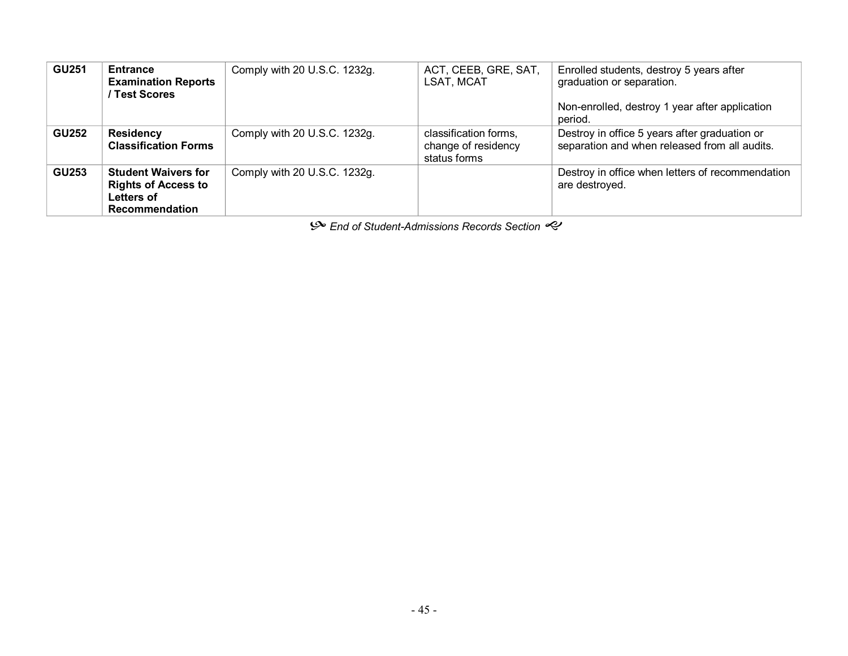| <b>GU251</b> | <b>Entrance</b><br><b>Examination Reports</b><br>/ Test Scores                                  | Comply with 20 U.S.C. 1232g. | ACT, CEEB, GRE, SAT,<br>LSAT, MCAT                           | Enrolled students, destroy 5 years after<br>graduation or separation.                          |
|--------------|-------------------------------------------------------------------------------------------------|------------------------------|--------------------------------------------------------------|------------------------------------------------------------------------------------------------|
|              |                                                                                                 |                              |                                                              | Non-enrolled, destroy 1 year after application<br>period.                                      |
| <b>GU252</b> | <b>Residency</b><br><b>Classification Forms</b>                                                 | Comply with 20 U.S.C. 1232g. | classification forms,<br>change of residency<br>status forms | Destroy in office 5 years after graduation or<br>separation and when released from all audits. |
| <b>GU253</b> | <b>Student Waivers for</b><br><b>Rights of Access to</b><br>Letters of<br><b>Recommendation</b> | Comply with 20 U.S.C. 1232g. |                                                              | Destroy in office when letters of recommendation<br>are destroyed.                             |

 $\mathcal{P}$  End of Student-Admissions Records Section  $\mathcal{P}$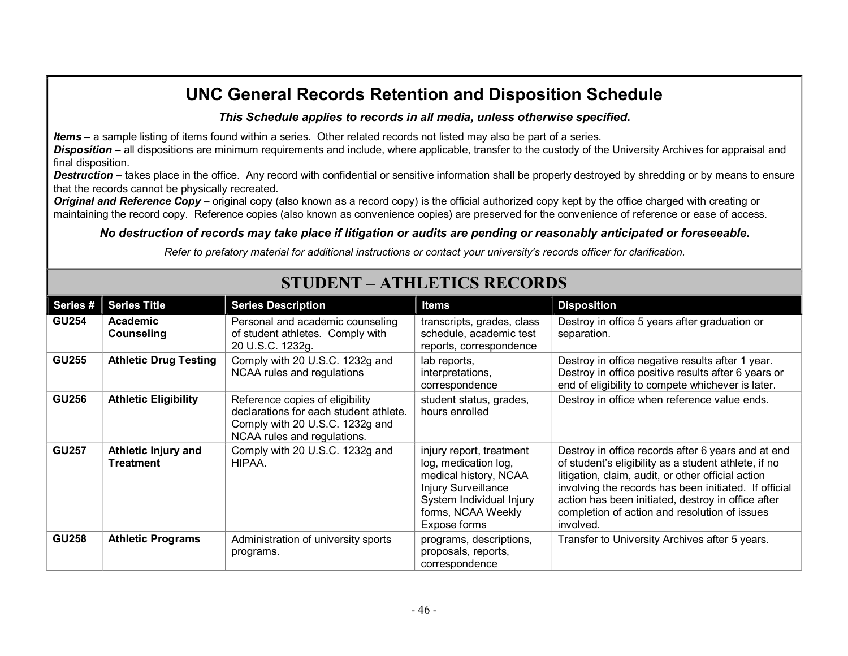#### *This Schedule applies to records in all media, unless otherwise specified***.**

*Items* **–** a sample listing of items found within a series. Other related records not listed may also be part of a series.

*Disposition* **–** all dispositions are minimum requirements and include, where applicable, transfer to the custody of the University Archives for appraisal and final disposition.

**Destruction** – takes place in the office. Any record with confidential or sensitive information shall be properly destroyed by shredding or by means to ensure that the records cannot be physically recreated.

**Original and Reference Copy** – original copy (also known as a record copy) is the official authorized copy kept by the office charged with creating or maintaining the record copy. Reference copies (also known as convenience copies) are preserved for the convenience of reference or ease of access.

#### *No destruction of records may take place if litigation or audits are pending or reasonably anticipated or foreseeable.*

*Refer to prefatory material for additional instructions or contact your university's records officer for clarification.*

| Series#      | <b>Series Title</b>                     | <b>Series Description</b>                                                                                                                   | Items                                                                                                                                                                     | <b>Disposition</b>                                                                                                                                                                                                                                                                                                                            |
|--------------|-----------------------------------------|---------------------------------------------------------------------------------------------------------------------------------------------|---------------------------------------------------------------------------------------------------------------------------------------------------------------------------|-----------------------------------------------------------------------------------------------------------------------------------------------------------------------------------------------------------------------------------------------------------------------------------------------------------------------------------------------|
| <b>GU254</b> | Academic<br>Counseling                  | Personal and academic counseling<br>of student athletes. Comply with<br>20 U.S.C. 1232g.                                                    | transcripts, grades, class<br>schedule, academic test<br>reports, correspondence                                                                                          | Destroy in office 5 years after graduation or<br>separation.                                                                                                                                                                                                                                                                                  |
| <b>GU255</b> | <b>Athletic Drug Testing</b>            | Comply with 20 U.S.C. 1232g and<br>NCAA rules and regulations                                                                               | lab reports,<br>interpretations,<br>correspondence                                                                                                                        | Destroy in office negative results after 1 year.<br>Destroy in office positive results after 6 years or<br>end of eligibility to compete whichever is later.                                                                                                                                                                                  |
| <b>GU256</b> | <b>Athletic Eligibility</b>             | Reference copies of eligibility<br>declarations for each student athlete.<br>Comply with 20 U.S.C. 1232g and<br>NCAA rules and regulations. | student status, grades,<br>hours enrolled                                                                                                                                 | Destroy in office when reference value ends.                                                                                                                                                                                                                                                                                                  |
| <b>GU257</b> | Athletic Injury and<br><b>Treatment</b> | Comply with 20 U.S.C. 1232g and<br>HIPAA.                                                                                                   | injury report, treatment<br>log, medication log,<br>medical history, NCAA<br><b>Injury Surveillance</b><br>System Individual Injury<br>forms, NCAA Weekly<br>Expose forms | Destroy in office records after 6 years and at end<br>of student's eligibility as a student athlete, if no<br>litigation, claim, audit, or other official action<br>involving the records has been initiated. If official<br>action has been initiated, destroy in office after<br>completion of action and resolution of issues<br>involved. |
| <b>GU258</b> | <b>Athletic Programs</b>                | Administration of university sports<br>programs.                                                                                            | programs, descriptions,<br>proposals, reports,<br>correspondence                                                                                                          | Transfer to University Archives after 5 years.                                                                                                                                                                                                                                                                                                |

### **STUDENT – ATHLETICS RECORDS**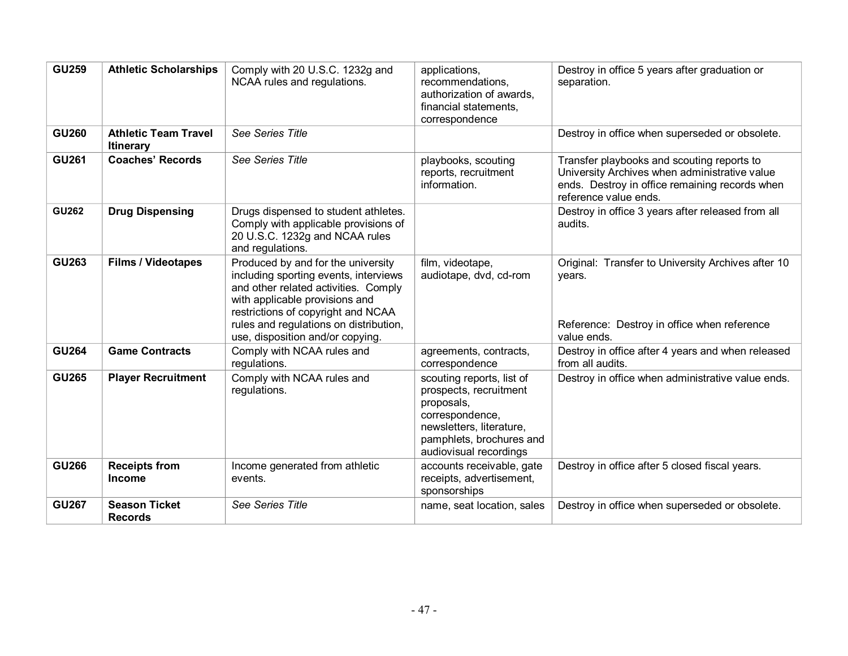| <b>GU259</b> | <b>Athletic Scholarships</b>                    | Comply with 20 U.S.C. 1232g and<br>NCAA rules and regulations.                                                                                                                                                                                                            | applications,<br>recommendations,<br>authorization of awards,<br>financial statements,<br>correspondence                                                               | Destroy in office 5 years after graduation or<br>separation.                                                                                                           |
|--------------|-------------------------------------------------|---------------------------------------------------------------------------------------------------------------------------------------------------------------------------------------------------------------------------------------------------------------------------|------------------------------------------------------------------------------------------------------------------------------------------------------------------------|------------------------------------------------------------------------------------------------------------------------------------------------------------------------|
| <b>GU260</b> | <b>Athletic Team Travel</b><br><b>Itinerary</b> | See Series Title                                                                                                                                                                                                                                                          |                                                                                                                                                                        | Destroy in office when superseded or obsolete.                                                                                                                         |
| <b>GU261</b> | <b>Coaches' Records</b>                         | See Series Title                                                                                                                                                                                                                                                          | playbooks, scouting<br>reports, recruitment<br>information.                                                                                                            | Transfer playbooks and scouting reports to<br>University Archives when administrative value<br>ends. Destroy in office remaining records when<br>reference value ends. |
| <b>GU262</b> | <b>Drug Dispensing</b>                          | Drugs dispensed to student athletes.<br>Comply with applicable provisions of<br>20 U.S.C. 1232g and NCAA rules<br>and regulations.                                                                                                                                        |                                                                                                                                                                        | Destroy in office 3 years after released from all<br>audits.                                                                                                           |
| <b>GU263</b> | <b>Films / Videotapes</b>                       | Produced by and for the university<br>including sporting events, interviews<br>and other related activities. Comply<br>with applicable provisions and<br>restrictions of copyright and NCAA<br>rules and regulations on distribution,<br>use, disposition and/or copying. | film, videotape,<br>audiotape, dvd, cd-rom                                                                                                                             | Original: Transfer to University Archives after 10<br>years.<br>Reference: Destroy in office when reference<br>value ends.                                             |
| <b>GU264</b> | <b>Game Contracts</b>                           | Comply with NCAA rules and<br>regulations.                                                                                                                                                                                                                                | agreements, contracts,<br>correspondence                                                                                                                               | Destroy in office after 4 years and when released<br>from all audits.                                                                                                  |
| <b>GU265</b> | <b>Player Recruitment</b>                       | Comply with NCAA rules and<br>regulations.                                                                                                                                                                                                                                | scouting reports, list of<br>prospects, recruitment<br>proposals,<br>correspondence,<br>newsletters, literature,<br>pamphlets, brochures and<br>audiovisual recordings | Destroy in office when administrative value ends.                                                                                                                      |
| <b>GU266</b> | <b>Receipts from</b><br><b>Income</b>           | Income generated from athletic<br>events.                                                                                                                                                                                                                                 | accounts receivable, gate<br>receipts, advertisement,<br>sponsorships                                                                                                  | Destroy in office after 5 closed fiscal years.                                                                                                                         |
| <b>GU267</b> | <b>Season Ticket</b><br><b>Records</b>          | See Series Title                                                                                                                                                                                                                                                          | name, seat location, sales                                                                                                                                             | Destroy in office when superseded or obsolete.                                                                                                                         |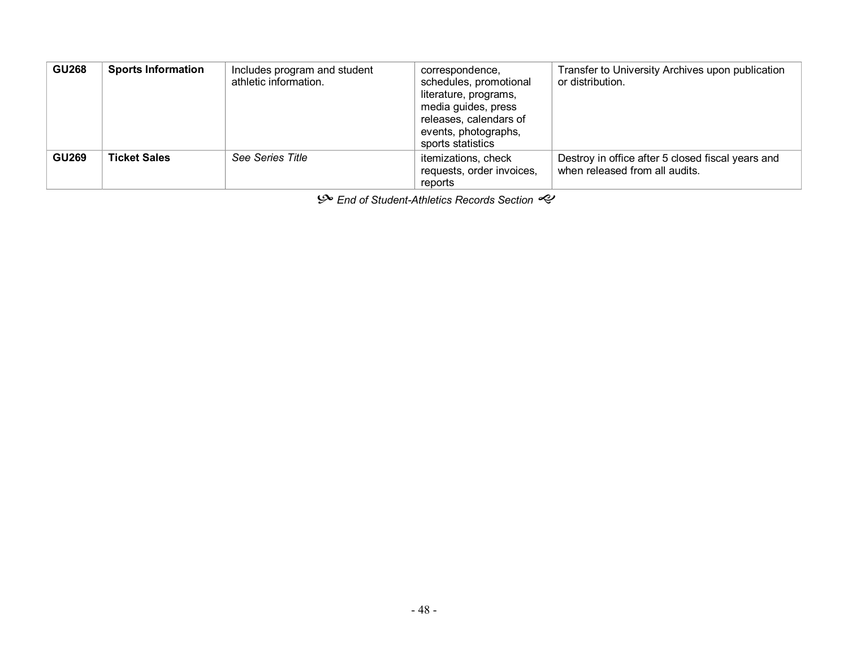| <b>GU268</b> | <b>Sports Information</b> | Includes program and student<br>athletic information. | correspondence,<br>schedules, promotional<br>literature, programs,<br>media guides, press<br>releases, calendars of<br>events, photographs,<br>sports statistics | Transfer to University Archives upon publication<br>or distribution.                |
|--------------|---------------------------|-------------------------------------------------------|------------------------------------------------------------------------------------------------------------------------------------------------------------------|-------------------------------------------------------------------------------------|
| <b>GU269</b> | <b>Ticket Sales</b>       | See Series Title                                      | itemizations, check<br>requests, order invoices,<br>reports                                                                                                      | Destroy in office after 5 closed fiscal years and<br>when released from all audits. |

h *End of StudentAthletics Records Section* g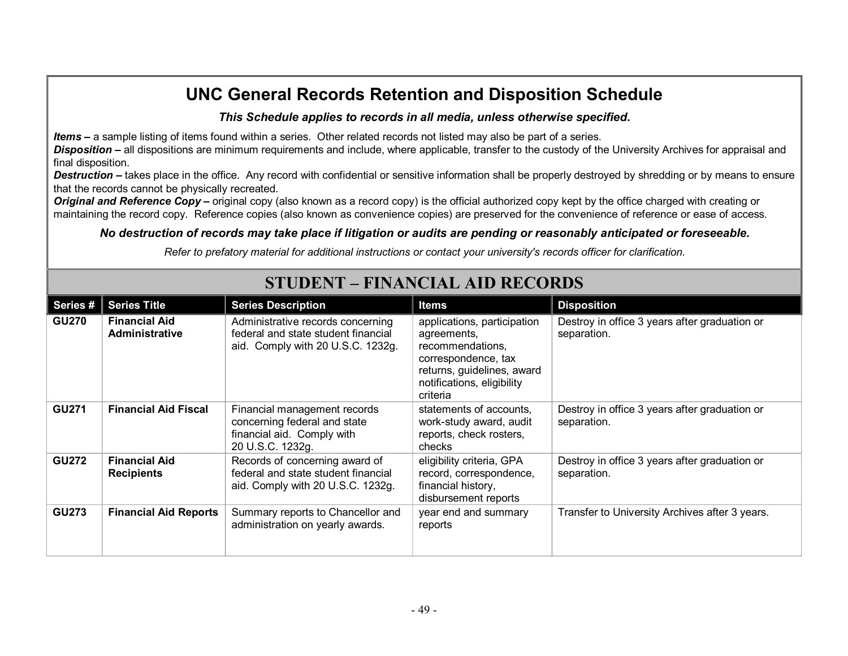#### *This Schedule applies to records in all media, unless otherwise specified***.**

*Items* **–** a sample listing of items found within a series. Other related records not listed may also be part of a series.

*Disposition* **–** all dispositions are minimum requirements and include, where applicable, transfer to the custody of the University Archives for appraisal and final disposition.

**Destruction** – takes place in the office. Any record with confidential or sensitive information shall be properly destroyed by shredding or by means to ensure that the records cannot be physically recreated.

**Original and Reference Copy** – original copy (also known as a record copy) is the official authorized copy kept by the office charged with creating or maintaining the record copy. Reference copies (also known as convenience copies) are preserved for the convenience of reference or ease of access.

#### *No destruction of records may take place if litigation or audits are pending or reasonably anticipated or foreseeable.*

*Refer to prefatory material for additional instructions or contact your university's records officer for clarification.*

| Series #     | <b>Series Title</b>                           | <b>Series Description</b>                                                                                      | Items                                                                                                                                                         | <b>Disposition</b>                                           |
|--------------|-----------------------------------------------|----------------------------------------------------------------------------------------------------------------|---------------------------------------------------------------------------------------------------------------------------------------------------------------|--------------------------------------------------------------|
| <b>GU270</b> | <b>Financial Aid</b><br><b>Administrative</b> | Administrative records concerning<br>federal and state student financial<br>aid. Comply with 20 U.S.C. 1232g.  | applications, participation<br>agreements,<br>recommendations,<br>correspondence, tax<br>returns, guidelines, award<br>notifications, eligibility<br>criteria | Destroy in office 3 years after graduation or<br>separation. |
| <b>GU271</b> | <b>Financial Aid Fiscal</b>                   | Financial management records<br>concerning federal and state<br>financial aid. Comply with<br>20 U.S.C. 1232g. | statements of accounts,<br>work-study award, audit<br>reports, check rosters,<br>checks                                                                       | Destroy in office 3 years after graduation or<br>separation. |
| <b>GU272</b> | <b>Financial Aid</b><br><b>Recipients</b>     | Records of concerning award of<br>federal and state student financial<br>aid. Comply with 20 U.S.C. 1232g.     | eligibility criteria, GPA<br>record, correspondence,<br>financial history,<br>disbursement reports                                                            | Destroy in office 3 years after graduation or<br>separation. |
| <b>GU273</b> | <b>Financial Aid Reports</b>                  | Summary reports to Chancellor and<br>administration on yearly awards.                                          | year end and summary<br>reports                                                                                                                               | Transfer to University Archives after 3 years.               |

# **STUDENT – FINANCIAL AID RECORDS**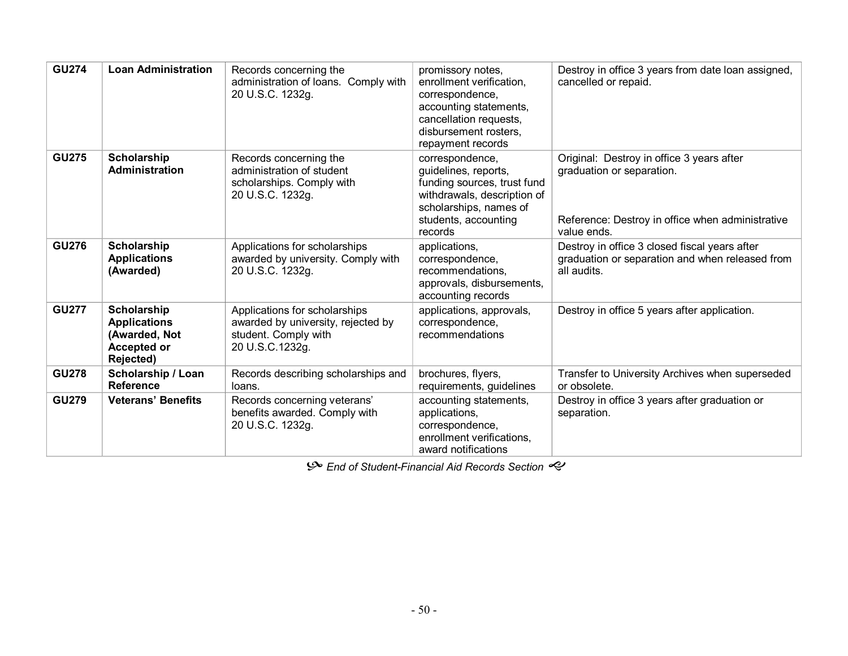| <b>GU274</b> | <b>Loan Administration</b>                                                                    | Records concerning the<br>administration of loans. Comply with<br>20 U.S.C. 1232g.                             | promissory notes,<br>enrollment verification.<br>correspondence,<br>accounting statements,<br>cancellation requests,<br>disbursement rosters,<br>repayment records | Destroy in office 3 years from date loan assigned,<br>cancelled or repaid.                                                                |
|--------------|-----------------------------------------------------------------------------------------------|----------------------------------------------------------------------------------------------------------------|--------------------------------------------------------------------------------------------------------------------------------------------------------------------|-------------------------------------------------------------------------------------------------------------------------------------------|
| <b>GU275</b> | <b>Scholarship</b><br><b>Administration</b>                                                   | Records concerning the<br>administration of student<br>scholarships. Comply with<br>20 U.S.C. 1232g.           | correspondence,<br>guidelines, reports,<br>funding sources, trust fund<br>withdrawals, description of<br>scholarships, names of<br>students, accounting<br>records | Original: Destroy in office 3 years after<br>graduation or separation.<br>Reference: Destroy in office when administrative<br>value ends. |
| <b>GU276</b> | Scholarship<br><b>Applications</b><br>(Awarded)                                               | Applications for scholarships<br>awarded by university. Comply with<br>20 U.S.C. 1232g.                        | applications,<br>correspondence,<br>recommendations,<br>approvals, disbursements,<br>accounting records                                                            | Destroy in office 3 closed fiscal years after<br>graduation or separation and when released from<br>all audits.                           |
| <b>GU277</b> | <b>Scholarship</b><br><b>Applications</b><br>(Awarded, Not<br><b>Accepted or</b><br>Rejected) | Applications for scholarships<br>awarded by university, rejected by<br>student. Comply with<br>20 U.S.C.1232g. | applications, approvals,<br>correspondence,<br>recommendations                                                                                                     | Destroy in office 5 years after application.                                                                                              |
| <b>GU278</b> | Scholarship / Loan<br><b>Reference</b>                                                        | Records describing scholarships and<br>loans.                                                                  | brochures, flyers,<br>requirements, guidelines                                                                                                                     | Transfer to University Archives when superseded<br>or obsolete.                                                                           |
| <b>GU279</b> | <b>Veterans' Benefits</b>                                                                     | Records concerning veterans'<br>benefits awarded. Comply with<br>20 U.S.C. 1232g.                              | accounting statements,<br>applications,<br>correspondence,<br>enrollment verifications,<br>award notifications                                                     | Destroy in office 3 years after graduation or<br>separation.                                                                              |

 $\mathcal{P}$  End of Student-Financial Aid Records Section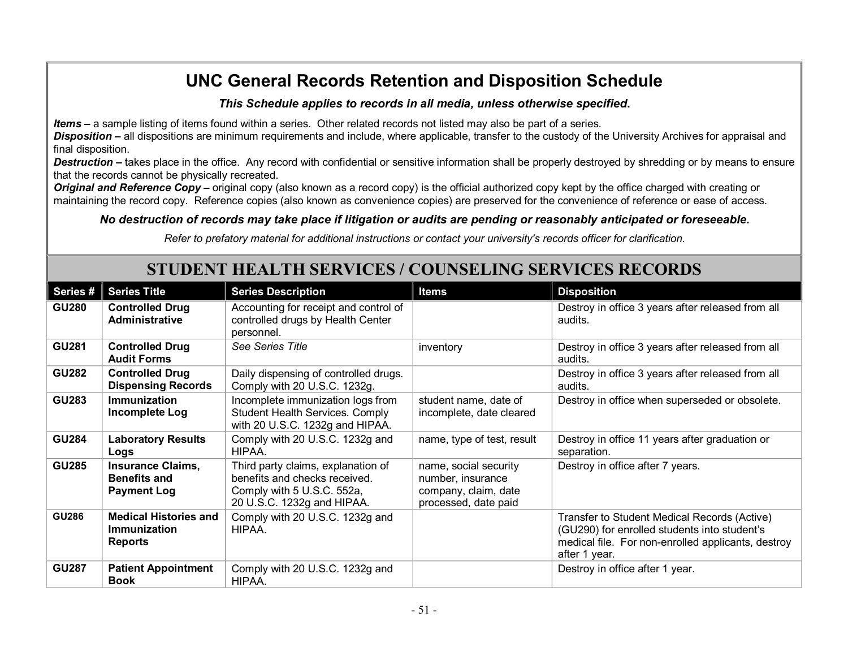#### *This Schedule applies to records in all media, unless otherwise specified***.**

*Items* **–** a sample listing of items found within a series. Other related records not listed may also be part of a series.

*Disposition* **–** all dispositions are minimum requirements and include, where applicable, transfer to the custody of the University Archives for appraisal and final disposition.

**Destruction** – takes place in the office. Any record with confidential or sensitive information shall be properly destroyed by shredding or by means to ensure that the records cannot be physically recreated.

**Original and Reference Copy** – original copy (also known as a record copy) is the official authorized copy kept by the office charged with creating or maintaining the record copy. Reference copies (also known as convenience copies) are preserved for the convenience of reference or ease of access.

#### *No destruction of records may take place if litigation or audits are pending or reasonably anticipated or foreseeable.*

*Refer to prefatory material for additional instructions or contact your university's records officer for clarification.*

### **STUDENT HEALTH SERVICES / COUNSELING SERVICES RECORDS**

| Series #     | <b>Series Title</b>                                                   | <b>Series Description</b>                                                                                                       | Items                                                                                      | <b>Disposition</b>                                                                                                                                                  |
|--------------|-----------------------------------------------------------------------|---------------------------------------------------------------------------------------------------------------------------------|--------------------------------------------------------------------------------------------|---------------------------------------------------------------------------------------------------------------------------------------------------------------------|
| <b>GU280</b> | <b>Controlled Drug</b><br>Administrative                              | Accounting for receipt and control of<br>controlled drugs by Health Center<br>personnel.                                        |                                                                                            | Destroy in office 3 years after released from all<br>audits.                                                                                                        |
| <b>GU281</b> | <b>Controlled Drug</b><br><b>Audit Forms</b>                          | See Series Title                                                                                                                | inventory                                                                                  | Destroy in office 3 years after released from all<br>audits.                                                                                                        |
| <b>GU282</b> | <b>Controlled Drug</b><br><b>Dispensing Records</b>                   | Daily dispensing of controlled drugs.<br>Comply with 20 U.S.C. 1232g.                                                           |                                                                                            | Destroy in office 3 years after released from all<br>audits.                                                                                                        |
| <b>GU283</b> | <b>Immunization</b><br>Incomplete Log                                 | Incomplete immunization logs from<br><b>Student Health Services. Comply</b><br>with 20 U.S.C. 1232g and HIPAA.                  | student name, date of<br>incomplete, date cleared                                          | Destroy in office when superseded or obsolete.                                                                                                                      |
| <b>GU284</b> | <b>Laboratory Results</b><br>Logs                                     | Comply with 20 U.S.C. 1232g and<br>HIPAA.                                                                                       | name, type of test, result                                                                 | Destroy in office 11 years after graduation or<br>separation.                                                                                                       |
| <b>GU285</b> | <b>Insurance Claims,</b><br><b>Benefits and</b><br><b>Payment Log</b> | Third party claims, explanation of<br>benefits and checks received.<br>Comply with 5 U.S.C. 552a,<br>20 U.S.C. 1232g and HIPAA. | name, social security<br>number, insurance<br>company, claim, date<br>processed, date paid | Destroy in office after 7 years.                                                                                                                                    |
| <b>GU286</b> | <b>Medical Histories and</b><br>Immunization<br><b>Reports</b>        | Comply with 20 U.S.C. 1232g and<br>HIPAA.                                                                                       |                                                                                            | Transfer to Student Medical Records (Active)<br>(GU290) for enrolled students into student's<br>medical file. For non-enrolled applicants, destroy<br>after 1 year. |
| <b>GU287</b> | <b>Patient Appointment</b><br><b>Book</b>                             | Comply with 20 U.S.C. 1232g and<br>HIPAA.                                                                                       |                                                                                            | Destroy in office after 1 year.                                                                                                                                     |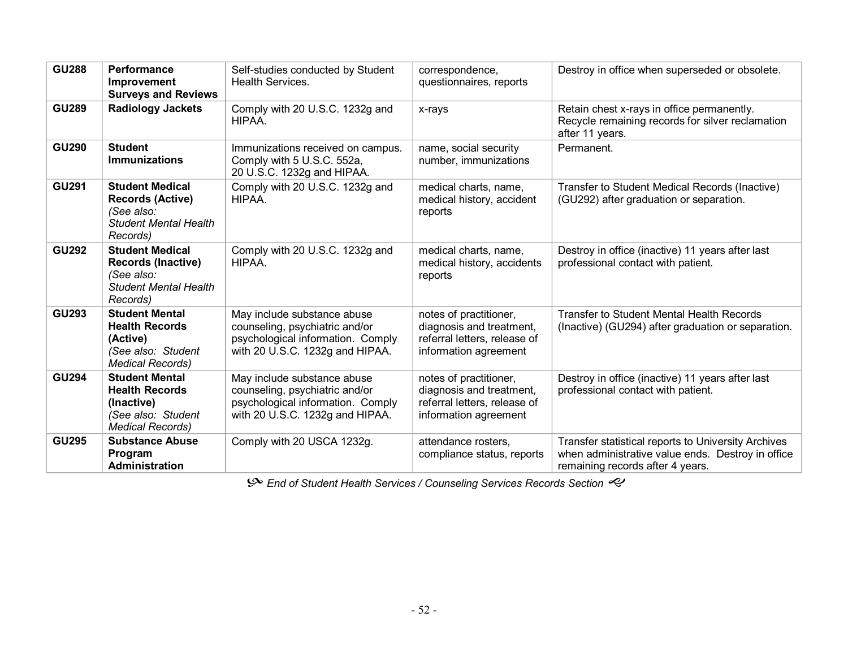| <b>GU288</b> | Performance<br>Improvement<br><b>Surveys and Reviews</b>                                                      | Self-studies conducted by Student<br>Health Services.                                                                                 | correspondence,<br>questionnaires, reports                                                                  | Destroy in office when superseded or obsolete.                                                                                               |
|--------------|---------------------------------------------------------------------------------------------------------------|---------------------------------------------------------------------------------------------------------------------------------------|-------------------------------------------------------------------------------------------------------------|----------------------------------------------------------------------------------------------------------------------------------------------|
| <b>GU289</b> | <b>Radiology Jackets</b>                                                                                      | Comply with 20 U.S.C. 1232g and<br>HIPAA.                                                                                             | x-rays                                                                                                      | Retain chest x-rays in office permanently.<br>Recycle remaining records for silver reclamation<br>after 11 years.                            |
| <b>GU290</b> | <b>Student</b><br><b>Immunizations</b>                                                                        | Immunizations received on campus.<br>Comply with 5 U.S.C. 552a,<br>20 U.S.C. 1232g and HIPAA.                                         | name, social security<br>number, immunizations                                                              | Permanent.                                                                                                                                   |
| <b>GU291</b> | <b>Student Medical</b><br><b>Records (Active)</b><br>(See also:<br><b>Student Mental Health</b><br>Records)   | Comply with 20 U.S.C. 1232g and<br>HIPAA.                                                                                             | medical charts, name,<br>medical history, accident<br>reports                                               | Transfer to Student Medical Records (Inactive)<br>(GU292) after graduation or separation.                                                    |
| <b>GU292</b> | <b>Student Medical</b><br><b>Records (Inactive)</b><br>(See also:<br><b>Student Mental Health</b><br>Records) | Comply with 20 U.S.C. 1232g and<br>HIPAA.                                                                                             | medical charts, name,<br>medical history, accidents<br>reports                                              | Destroy in office (inactive) 11 years after last<br>professional contact with patient.                                                       |
| <b>GU293</b> | <b>Student Mental</b><br><b>Health Records</b><br>(Active)<br>(See also: Student<br><b>Medical Records)</b>   | May include substance abuse<br>counseling, psychiatric and/or<br>psychological information. Comply<br>with 20 U.S.C. 1232g and HIPAA. | notes of practitioner,<br>diagnosis and treatment,<br>referral letters, release of<br>information agreement | <b>Transfer to Student Mental Health Records</b><br>(Inactive) (GU294) after graduation or separation.                                       |
| <b>GU294</b> | <b>Student Mental</b><br><b>Health Records</b><br>(Inactive)<br>(See also: Student<br><b>Medical Records)</b> | May include substance abuse<br>counseling, psychiatric and/or<br>psychological information. Comply<br>with 20 U.S.C. 1232g and HIPAA. | notes of practitioner,<br>diagnosis and treatment,<br>referral letters, release of<br>information agreement | Destroy in office (inactive) 11 years after last<br>professional contact with patient.                                                       |
| <b>GU295</b> | <b>Substance Abuse</b><br>Program<br><b>Administration</b>                                                    | Comply with 20 USCA 1232g.                                                                                                            | attendance rosters,<br>compliance status, reports                                                           | Transfer statistical reports to University Archives<br>when administrative value ends. Destroy in office<br>remaining records after 4 years. |

**Some** *End* of Student Health Services / Counseling Services Records Section  $\ll$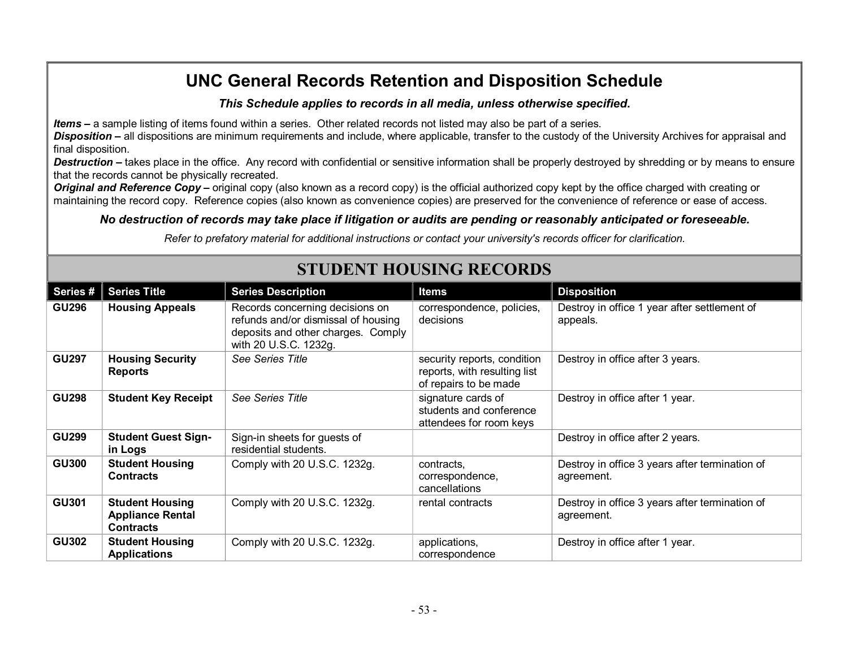#### *This Schedule applies to records in all media, unless otherwise specified***.**

*Items* **–** a sample listing of items found within a series. Other related records not listed may also be part of a series.

*Disposition* **–** all dispositions are minimum requirements and include, where applicable, transfer to the custody of the University Archives for appraisal and final disposition.

**Destruction** – takes place in the office. Any record with confidential or sensitive information shall be properly destroyed by shredding or by means to ensure that the records cannot be physically recreated.

**Original and Reference Copy** – original copy (also known as a record copy) is the official authorized copy kept by the office charged with creating or maintaining the record copy. Reference copies (also known as convenience copies) are preserved for the convenience of reference or ease of access.

#### *No destruction of records may take place if litigation or audits are pending or reasonably anticipated or foreseeable.*

*Refer to prefatory material for additional instructions or contact your university's records officer for clarification.*

| Series #     | <b>Series Title</b>                                                   | <b>Series Description</b>                                                                                                             | <b>Items</b>                                                                         | <b>Disposition</b>                                           |  |  |
|--------------|-----------------------------------------------------------------------|---------------------------------------------------------------------------------------------------------------------------------------|--------------------------------------------------------------------------------------|--------------------------------------------------------------|--|--|
| <b>GU296</b> | <b>Housing Appeals</b>                                                | Records concerning decisions on<br>refunds and/or dismissal of housing<br>deposits and other charges. Comply<br>with 20 U.S.C. 1232g. | correspondence, policies,<br>decisions                                               | Destroy in office 1 year after settlement of<br>appeals.     |  |  |
| <b>GU297</b> | <b>Housing Security</b><br><b>Reports</b>                             | See Series Title                                                                                                                      | security reports, condition<br>reports, with resulting list<br>of repairs to be made | Destroy in office after 3 years.                             |  |  |
| <b>GU298</b> | <b>Student Key Receipt</b>                                            | See Series Title                                                                                                                      | signature cards of<br>students and conference<br>attendees for room keys             | Destroy in office after 1 year.                              |  |  |
| <b>GU299</b> | <b>Student Guest Sign-</b><br>in Logs                                 | Sign-in sheets for guests of<br>residential students.                                                                                 |                                                                                      | Destroy in office after 2 years.                             |  |  |
| <b>GU300</b> | <b>Student Housing</b><br><b>Contracts</b>                            | Comply with 20 U.S.C. 1232g.                                                                                                          | contracts,<br>correspondence,<br>cancellations                                       | Destroy in office 3 years after termination of<br>agreement. |  |  |
| <b>GU301</b> | <b>Student Housing</b><br><b>Appliance Rental</b><br><b>Contracts</b> | Comply with 20 U.S.C. 1232g.                                                                                                          | rental contracts                                                                     | Destroy in office 3 years after termination of<br>agreement. |  |  |
| <b>GU302</b> | <b>Student Housing</b><br><b>Applications</b>                         | Comply with 20 U.S.C. 1232g.                                                                                                          | applications,<br>correspondence                                                      | Destroy in office after 1 year.                              |  |  |

# **STUDENT HOUSING RECORDS**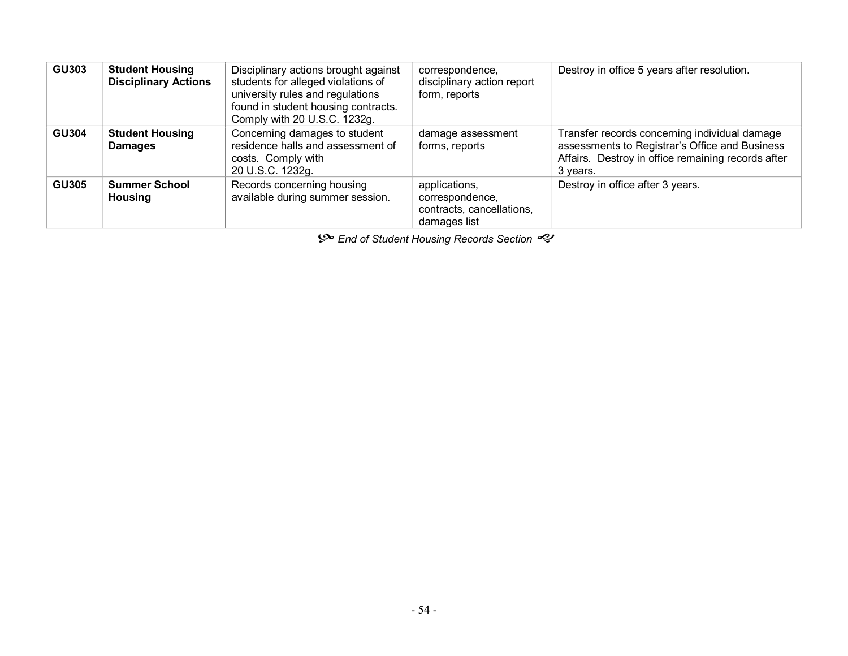| <b>GU303</b> | <b>Student Housing</b><br><b>Disciplinary Actions</b> | Disciplinary actions brought against<br>students for alleged violations of<br>university rules and regulations<br>found in student housing contracts.<br>Comply with 20 U.S.C. 1232g. | correspondence,<br>disciplinary action report<br>form, reports                | Destroy in office 5 years after resolution.                                                                                                                       |
|--------------|-------------------------------------------------------|---------------------------------------------------------------------------------------------------------------------------------------------------------------------------------------|-------------------------------------------------------------------------------|-------------------------------------------------------------------------------------------------------------------------------------------------------------------|
| <b>GU304</b> | <b>Student Housing</b><br><b>Damages</b>              | Concerning damages to student<br>residence halls and assessment of<br>costs. Comply with<br>20 U.S.C. 1232g.                                                                          | damage assessment<br>forms, reports                                           | Transfer records concerning individual damage<br>assessments to Registrar's Office and Business<br>Affairs. Destroy in office remaining records after<br>3 years. |
| <b>GU305</b> | <b>Summer School</b><br><b>Housing</b>                | Records concerning housing<br>available during summer session.                                                                                                                        | applications,<br>correspondence,<br>contracts, cancellations,<br>damages list | Destroy in office after 3 years.                                                                                                                                  |

 $\mathcal{S}$  End of Student Housing Records Section  $\mathcal{S}$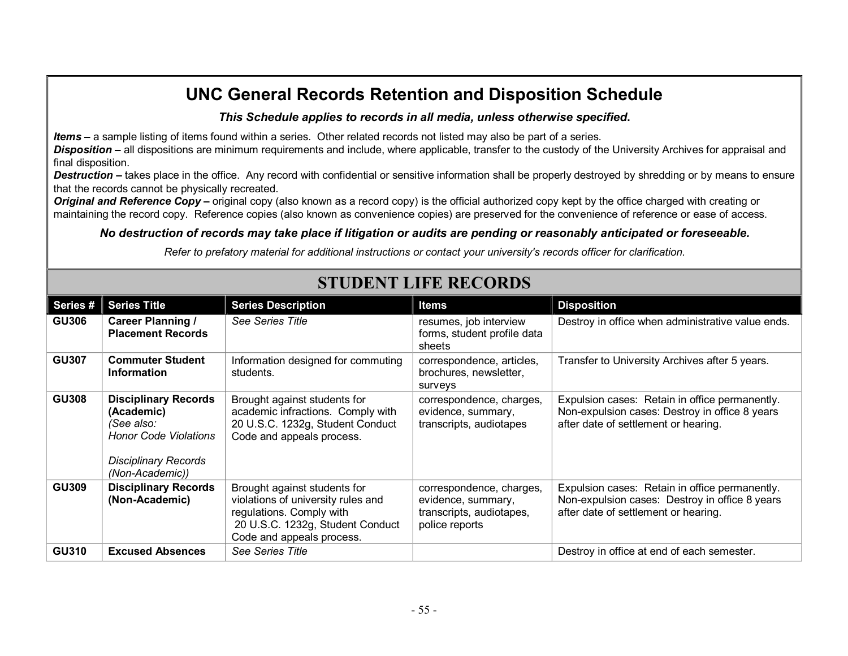#### *This Schedule applies to records in all media, unless otherwise specified***.**

*Items* **–** a sample listing of items found within a series. Other related records not listed may also be part of a series.

*Disposition* **–** all dispositions are minimum requirements and include, where applicable, transfer to the custody of the University Archives for appraisal and final disposition.

**Destruction** – takes place in the office. Any record with confidential or sensitive information shall be properly destroyed by shredding or by means to ensure that the records cannot be physically recreated.

**Original and Reference Copy** – original copy (also known as a record copy) is the official authorized copy kept by the office charged with creating or maintaining the record copy. Reference copies (also known as convenience copies) are preserved for the convenience of reference or ease of access.

#### *No destruction of records may take place if litigation or audits are pending or reasonably anticipated or foreseeable.*

*Refer to prefatory material for additional instructions or contact your university's records officer for clarification.*

| Series#      | <b>Series Title</b>                                                                                                                       | <b>Series Description</b>                                                                                                                                       | Items                                                                                        | <b>Disposition</b>                                                                                                                       |
|--------------|-------------------------------------------------------------------------------------------------------------------------------------------|-----------------------------------------------------------------------------------------------------------------------------------------------------------------|----------------------------------------------------------------------------------------------|------------------------------------------------------------------------------------------------------------------------------------------|
| <b>GU306</b> | <b>Career Planning /</b><br><b>Placement Records</b>                                                                                      | <b>See Series Title</b>                                                                                                                                         | resumes, job interview<br>forms, student profile data<br>sheets                              | Destroy in office when administrative value ends.                                                                                        |
| <b>GU307</b> | <b>Commuter Student</b><br><b>Information</b>                                                                                             | Information designed for commuting<br>students.                                                                                                                 | correspondence, articles,<br>brochures, newsletter,<br>surveys                               | Transfer to University Archives after 5 years.                                                                                           |
| <b>GU308</b> | <b>Disciplinary Records</b><br>(Academic)<br>(See also:<br><b>Honor Code Violations</b><br><b>Disciplinary Records</b><br>(Non-Academic)) | Brought against students for<br>academic infractions. Comply with<br>20 U.S.C. 1232g, Student Conduct<br>Code and appeals process.                              | correspondence, charges,<br>evidence, summary,<br>transcripts, audiotapes                    | Expulsion cases: Retain in office permanently.<br>Non-expulsion cases: Destroy in office 8 years<br>after date of settlement or hearing. |
| <b>GU309</b> | <b>Disciplinary Records</b><br>(Non-Academic)                                                                                             | Brought against students for<br>violations of university rules and<br>regulations. Comply with<br>20 U.S.C. 1232g, Student Conduct<br>Code and appeals process. | correspondence, charges,<br>evidence, summary,<br>transcripts, audiotapes,<br>police reports | Expulsion cases: Retain in office permanently.<br>Non-expulsion cases: Destroy in office 8 years<br>after date of settlement or hearing. |
| <b>GU310</b> | <b>Excused Absences</b>                                                                                                                   | See Series Title                                                                                                                                                |                                                                                              | Destroy in office at end of each semester.                                                                                               |

# **STUDENT LIFE RECORDS**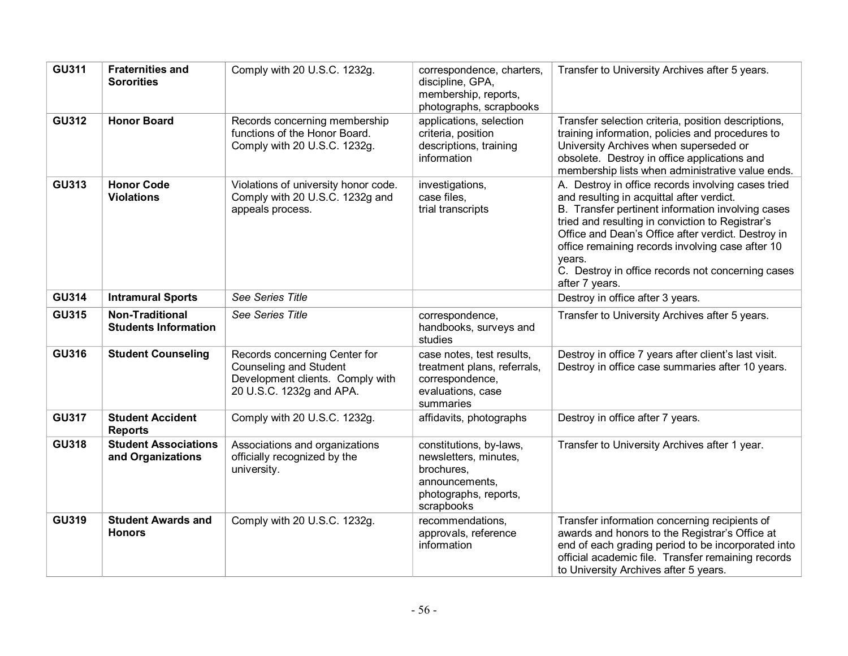| <b>GU311</b> | <b>Fraternities and</b><br><b>Sororities</b>          | Comply with 20 U.S.C. 1232g.                                                                                            | correspondence, charters,<br>discipline, GPA,<br>membership, reports,<br>photographs, scrapbooks                        | Transfer to University Archives after 5 years.                                                                                                                                                                                                                                                                                                                                                      |
|--------------|-------------------------------------------------------|-------------------------------------------------------------------------------------------------------------------------|-------------------------------------------------------------------------------------------------------------------------|-----------------------------------------------------------------------------------------------------------------------------------------------------------------------------------------------------------------------------------------------------------------------------------------------------------------------------------------------------------------------------------------------------|
| <b>GU312</b> | <b>Honor Board</b>                                    | Records concerning membership<br>functions of the Honor Board.<br>Comply with 20 U.S.C. 1232g.                          | applications, selection<br>criteria, position<br>descriptions, training<br>information                                  | Transfer selection criteria, position descriptions,<br>training information, policies and procedures to<br>University Archives when superseded or<br>obsolete. Destroy in office applications and<br>membership lists when administrative value ends.                                                                                                                                               |
| <b>GU313</b> | <b>Honor Code</b><br><b>Violations</b>                | Violations of university honor code.<br>Comply with 20 U.S.C. 1232g and<br>appeals process.                             | investigations,<br>case files,<br>trial transcripts                                                                     | A. Destroy in office records involving cases tried<br>and resulting in acquittal after verdict.<br>B. Transfer pertinent information involving cases<br>tried and resulting in conviction to Registrar's<br>Office and Dean's Office after verdict. Destroy in<br>office remaining records involving case after 10<br>years.<br>C. Destroy in office records not concerning cases<br>after 7 years. |
| <b>GU314</b> | <b>Intramural Sports</b>                              | See Series Title                                                                                                        |                                                                                                                         | Destroy in office after 3 years.                                                                                                                                                                                                                                                                                                                                                                    |
| <b>GU315</b> | <b>Non-Traditional</b><br><b>Students Information</b> | See Series Title                                                                                                        | correspondence,<br>handbooks, surveys and<br>studies                                                                    | Transfer to University Archives after 5 years.                                                                                                                                                                                                                                                                                                                                                      |
| <b>GU316</b> | <b>Student Counseling</b>                             | Records concerning Center for<br>Counseling and Student<br>Development clients. Comply with<br>20 U.S.C. 1232g and APA. | case notes, test results,<br>treatment plans, referrals,<br>correspondence,<br>evaluations, case<br>summaries           | Destroy in office 7 years after client's last visit.<br>Destroy in office case summaries after 10 years.                                                                                                                                                                                                                                                                                            |
| <b>GU317</b> | <b>Student Accident</b><br><b>Reports</b>             | Comply with 20 U.S.C. 1232g.                                                                                            | affidavits, photographs                                                                                                 | Destroy in office after 7 years.                                                                                                                                                                                                                                                                                                                                                                    |
| <b>GU318</b> | <b>Student Associations</b><br>and Organizations      | Associations and organizations<br>officially recognized by the<br>university.                                           | constitutions, by-laws,<br>newsletters, minutes,<br>brochures,<br>announcements,<br>photographs, reports,<br>scrapbooks | Transfer to University Archives after 1 year.                                                                                                                                                                                                                                                                                                                                                       |
| <b>GU319</b> | <b>Student Awards and</b><br><b>Honors</b>            | Comply with 20 U.S.C. 1232g.                                                                                            | recommendations,<br>approvals, reference<br>information                                                                 | Transfer information concerning recipients of<br>awards and honors to the Registrar's Office at<br>end of each grading period to be incorporated into<br>official academic file. Transfer remaining records<br>to University Archives after 5 years.                                                                                                                                                |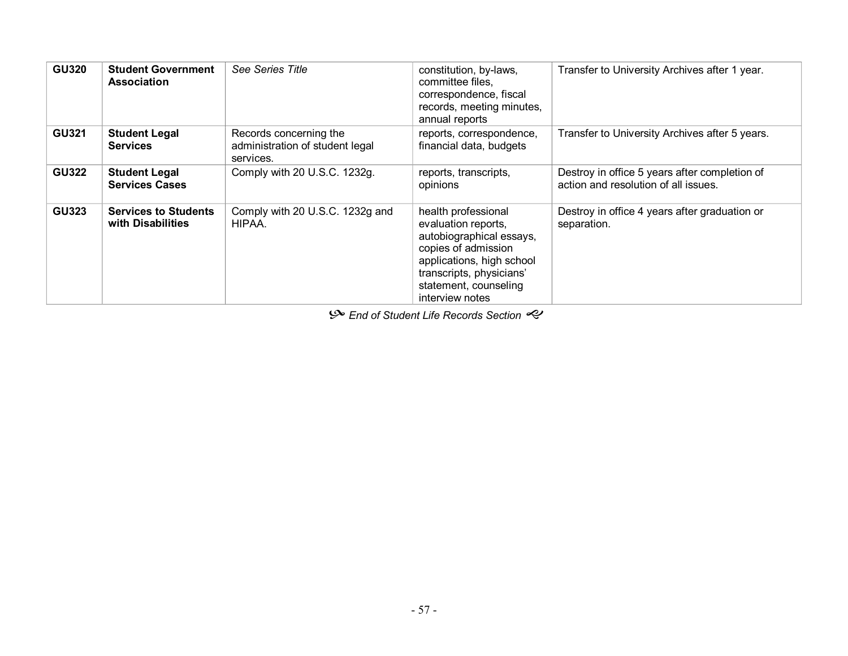| <b>GU320</b> | <b>Student Government</b><br><b>Association</b>  | <b>See Series Title</b>                                                | constitution, by-laws,<br>committee files.<br>correspondence, fiscal<br>records, meeting minutes,<br>annual reports                                                                                | Transfer to University Archives after 1 year.                                         |
|--------------|--------------------------------------------------|------------------------------------------------------------------------|----------------------------------------------------------------------------------------------------------------------------------------------------------------------------------------------------|---------------------------------------------------------------------------------------|
| <b>GU321</b> | <b>Student Legal</b><br><b>Services</b>          | Records concerning the<br>administration of student legal<br>services. | reports, correspondence,<br>financial data, budgets                                                                                                                                                | Transfer to University Archives after 5 years.                                        |
| <b>GU322</b> | <b>Student Legal</b><br><b>Services Cases</b>    | Comply with 20 U.S.C. 1232g.                                           | reports, transcripts,<br>opinions                                                                                                                                                                  | Destroy in office 5 years after completion of<br>action and resolution of all issues. |
| <b>GU323</b> | <b>Services to Students</b><br>with Disabilities | Comply with 20 U.S.C. 1232g and<br>HIPAA.                              | health professional<br>evaluation reports,<br>autobiographical essays,<br>copies of admission<br>applications, high school<br>transcripts, physicians'<br>statement, counseling<br>interview notes | Destroy in office 4 years after graduation or<br>separation.                          |

 $\mathcal{P}$  End of Student Life Records Section  $\mathcal{P}$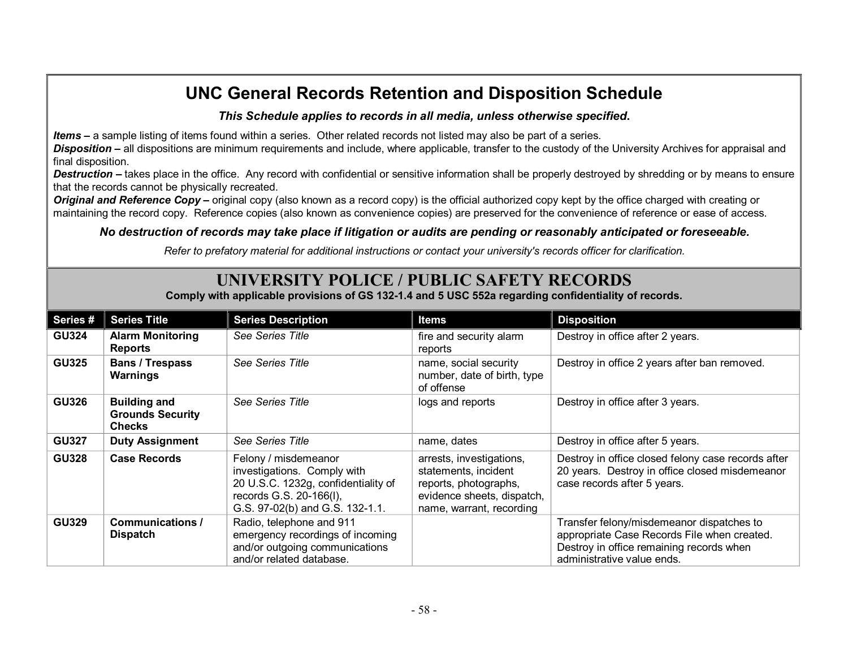#### *This Schedule applies to records in all media, unless otherwise specified***.**

*Items* **–** a sample listing of items found within a series. Other related records not listed may also be part of a series.

*Disposition* **–** all dispositions are minimum requirements and include, where applicable, transfer to the custody of the University Archives for appraisal and final disposition.

**Destruction** – takes place in the office. Any record with confidential or sensitive information shall be properly destroyed by shredding or by means to ensure that the records cannot be physically recreated.

*Original and Reference Copy* **–** original copy (also known as a record copy) is the official authorized copy kept by the office charged with creating or maintaining the record copy. Reference copies (also known as convenience copies) are preserved for the convenience of reference or ease of access.

#### *No destruction of records may take place if litigation or audits are pending or reasonably anticipated or foreseeable.*

*Refer to prefatory material for additional instructions or contact your university's records officer for clarification.*

### **UNIVERSITY POLICE / PUBLIC SAFETY RECORDS**

**Comply with applicable provisions of GS 1321.4 and 5 USC 552a regarding confidentiality of records.**

| Series#      | <b>Series Title</b>                                             | <b>Series Description</b>                                                                                                                                | <b>Items</b>                                                                                                                        | <b>Disposition</b>                                                                                                                                                 |
|--------------|-----------------------------------------------------------------|----------------------------------------------------------------------------------------------------------------------------------------------------------|-------------------------------------------------------------------------------------------------------------------------------------|--------------------------------------------------------------------------------------------------------------------------------------------------------------------|
| <b>GU324</b> | <b>Alarm Monitoring</b><br><b>Reports</b>                       | See Series Title                                                                                                                                         | fire and security alarm<br>reports                                                                                                  | Destroy in office after 2 years.                                                                                                                                   |
| <b>GU325</b> | <b>Bans / Trespass</b><br>Warnings                              | See Series Title                                                                                                                                         | name, social security<br>number, date of birth, type<br>of offense                                                                  | Destroy in office 2 years after ban removed.                                                                                                                       |
| <b>GU326</b> | <b>Building and</b><br><b>Grounds Security</b><br><b>Checks</b> | See Series Title                                                                                                                                         | logs and reports                                                                                                                    | Destroy in office after 3 years.                                                                                                                                   |
| <b>GU327</b> | <b>Duty Assignment</b>                                          | See Series Title                                                                                                                                         | name, dates                                                                                                                         | Destroy in office after 5 years.                                                                                                                                   |
| <b>GU328</b> | <b>Case Records</b>                                             | Felony / misdemeanor<br>investigations. Comply with<br>20 U.S.C. 1232g, confidentiality of<br>records G.S. 20-166(I),<br>G.S. 97-02(b) and G.S. 132-1.1. | arrests, investigations,<br>statements, incident<br>reports, photographs,<br>evidence sheets, dispatch,<br>name, warrant, recording | Destroy in office closed felony case records after<br>20 years. Destroy in office closed misdemeanor<br>case records after 5 years.                                |
| <b>GU329</b> | Communications /<br><b>Dispatch</b>                             | Radio, telephone and 911<br>emergency recordings of incoming<br>and/or outgoing communications<br>and/or related database.                               |                                                                                                                                     | Transfer felony/misdemeanor dispatches to<br>appropriate Case Records File when created.<br>Destroy in office remaining records when<br>administrative value ends. |